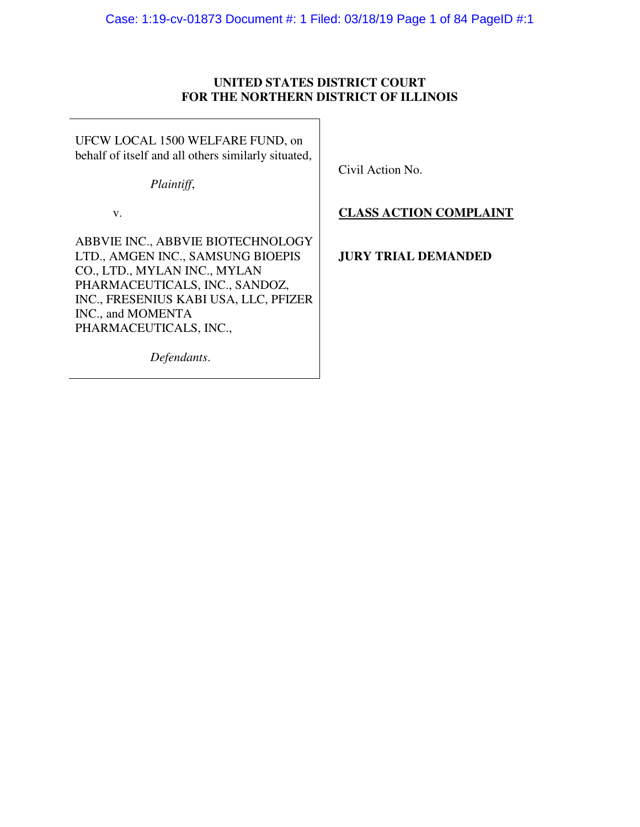# **UNITED STATES DISTRICT COURT FOR THE NORTHERN DISTRICT OF ILLINOIS**

UFCW LOCAL 1500 WELFARE FUND, on behalf of itself and all others similarly situated,

*Plaintiff*,

Civil Action No.

# v.

ABBVIE INC., ABBVIE BIOTECHNOLOGY LTD., AMGEN INC., SAMSUNG BIOEPIS CO., LTD., MYLAN INC., MYLAN PHARMACEUTICALS, INC., SANDOZ, INC., FRESENIUS KABI USA, LLC, PFIZER INC., and MOMENTA PHARMACEUTICALS, INC.,

# **CLASS ACTION COMPLAINT**

# **JURY TRIAL DEMANDED**

*Defendants*.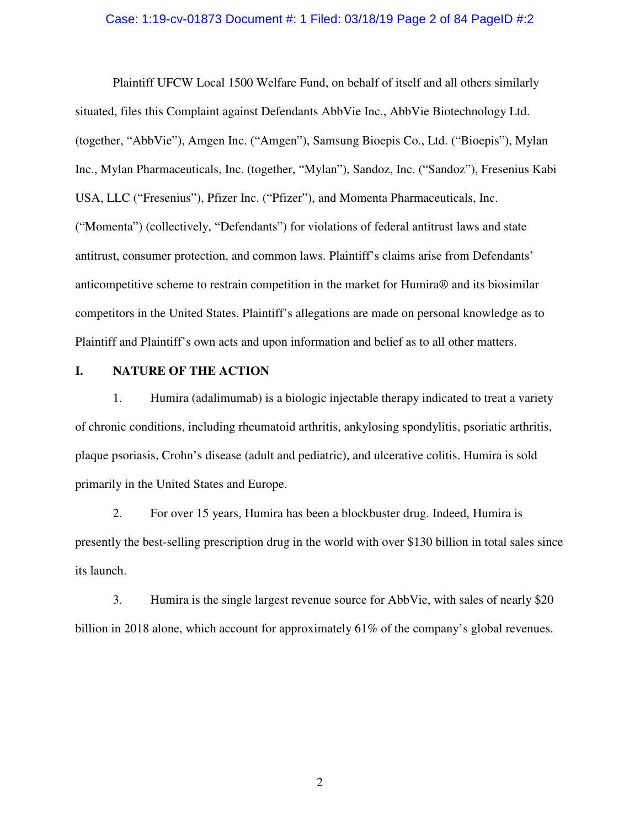### Case: 1:19-cv-01873 Document #: 1 Filed: 03/18/19 Page 2 of 84 PageID #:2

Plaintiff UFCW Local 1500 Welfare Fund, on behalf of itself and all others similarly situated, files this Complaint against Defendants AbbVie Inc., AbbVie Biotechnology Ltd. (together, "AbbVie"), Amgen Inc. ("Amgen"), Samsung Bioepis Co., Ltd. ("Bioepis"), Mylan Inc., Mylan Pharmaceuticals, Inc. (together, "Mylan"), Sandoz, Inc. ("Sandoz"), Fresenius Kabi USA, LLC ("Fresenius"), Pfizer Inc. ("Pfizer"), and Momenta Pharmaceuticals, Inc. ("Momenta") (collectively, "Defendants") for violations of federal antitrust laws and state antitrust, consumer protection, and common laws. Plaintiff's claims arise from Defendants' anticompetitive scheme to restrain competition in the market for Humira® and its biosimilar competitors in the United States. Plaintiff's allegations are made on personal knowledge as to Plaintiff and Plaintiff's own acts and upon information and belief as to all other matters.

### **I. NATURE OF THE ACTION**

1. Humira (adalimumab) is a biologic injectable therapy indicated to treat a variety of chronic conditions, including rheumatoid arthritis, ankylosing spondylitis, psoriatic arthritis, plaque psoriasis, Crohn's disease (adult and pediatric), and ulcerative colitis. Humira is sold primarily in the United States and Europe.

2. For over 15 years, Humira has been a blockbuster drug. Indeed, Humira is presently the best-selling prescription drug in the world with over \$130 billion in total sales since its launch.

3. Humira is the single largest revenue source for AbbVie, with sales of nearly \$20 billion in 2018 alone, which account for approximately 61% of the company's global revenues.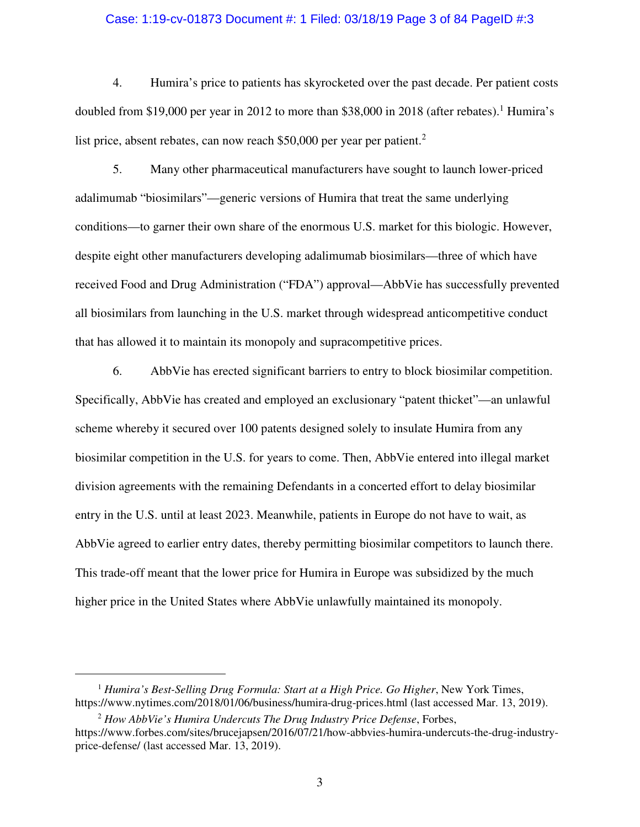#### Case: 1:19-cv-01873 Document #: 1 Filed: 03/18/19 Page 3 of 84 PageID #:3

4. Humira's price to patients has skyrocketed over the past decade. Per patient costs doubled from \$19,000 per year in 2012 to more than \$38,000 in 2018 (after rebates).<sup>1</sup> Humira's list price, absent rebates, can now reach \$50,000 per year per patient.<sup>2</sup>

5. Many other pharmaceutical manufacturers have sought to launch lower-priced adalimumab "biosimilars"—generic versions of Humira that treat the same underlying conditions—to garner their own share of the enormous U.S. market for this biologic. However, despite eight other manufacturers developing adalimumab biosimilars—three of which have received Food and Drug Administration ("FDA") approval—AbbVie has successfully prevented all biosimilars from launching in the U.S. market through widespread anticompetitive conduct that has allowed it to maintain its monopoly and supracompetitive prices.

6. AbbVie has erected significant barriers to entry to block biosimilar competition. Specifically, AbbVie has created and employed an exclusionary "patent thicket"—an unlawful scheme whereby it secured over 100 patents designed solely to insulate Humira from any biosimilar competition in the U.S. for years to come. Then, AbbVie entered into illegal market division agreements with the remaining Defendants in a concerted effort to delay biosimilar entry in the U.S. until at least 2023. Meanwhile, patients in Europe do not have to wait, as AbbVie agreed to earlier entry dates, thereby permitting biosimilar competitors to launch there. This trade-off meant that the lower price for Humira in Europe was subsidized by the much higher price in the United States where AbbVie unlawfully maintained its monopoly.

<u>.</u>

<sup>1</sup> *Humira's Best-Selling Drug Formula: Start at a High Price. Go Higher*, New York Times, https://www.nytimes.com/2018/01/06/business/humira-drug-prices.html (last accessed Mar. 13, 2019).

<sup>2</sup> *How AbbVie's Humira Undercuts The Drug Industry Price Defense*, Forbes, https://www.forbes.com/sites/brucejapsen/2016/07/21/how-abbvies-humira-undercuts-the-drug-industryprice-defense/ (last accessed Mar. 13, 2019).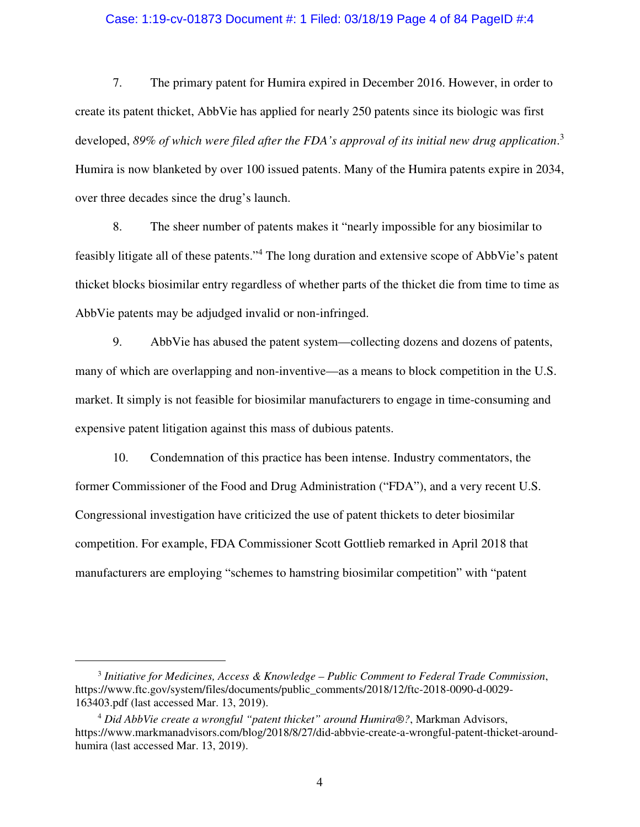### Case: 1:19-cv-01873 Document #: 1 Filed: 03/18/19 Page 4 of 84 PageID #:4

7. The primary patent for Humira expired in December 2016. However, in order to create its patent thicket, AbbVie has applied for nearly 250 patents since its biologic was first developed, *89% of which were filed after the FDA's approval of its initial new drug application*. 3 Humira is now blanketed by over 100 issued patents. Many of the Humira patents expire in 2034, over three decades since the drug's launch.

8. The sheer number of patents makes it "nearly impossible for any biosimilar to feasibly litigate all of these patents."<sup>4</sup> The long duration and extensive scope of AbbVie's patent thicket blocks biosimilar entry regardless of whether parts of the thicket die from time to time as AbbVie patents may be adjudged invalid or non-infringed.

9. AbbVie has abused the patent system—collecting dozens and dozens of patents, many of which are overlapping and non-inventive—as a means to block competition in the U.S. market. It simply is not feasible for biosimilar manufacturers to engage in time-consuming and expensive patent litigation against this mass of dubious patents.

10. Condemnation of this practice has been intense. Industry commentators, the former Commissioner of the Food and Drug Administration ("FDA"), and a very recent U.S. Congressional investigation have criticized the use of patent thickets to deter biosimilar competition. For example, FDA Commissioner Scott Gottlieb remarked in April 2018 that manufacturers are employing "schemes to hamstring biosimilar competition" with "patent

<sup>3</sup> *Initiative for Medicines, Access & Knowledge – Public Comment to Federal Trade Commission*, https://www.ftc.gov/system/files/documents/public\_comments/2018/12/ftc-2018-0090-d-0029- 163403.pdf (last accessed Mar. 13, 2019).

<sup>4</sup> *Did AbbVie create a wrongful "patent thicket" around Humira®?*, Markman Advisors, https://www.markmanadvisors.com/blog/2018/8/27/did-abbvie-create-a-wrongful-patent-thicket-aroundhumira (last accessed Mar. 13, 2019).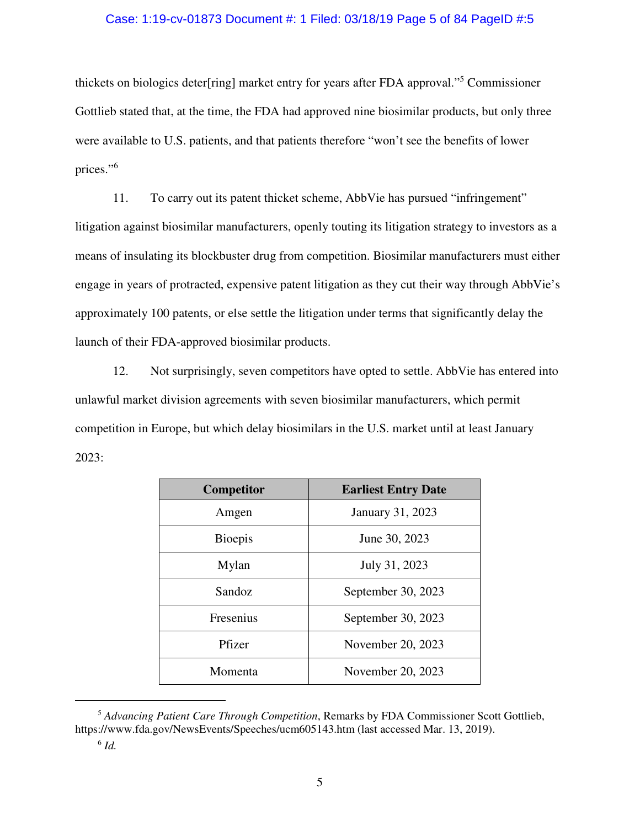### Case: 1:19-cv-01873 Document #: 1 Filed: 03/18/19 Page 5 of 84 PageID #:5

thickets on biologics deter[ring] market entry for years after FDA approval."<sup>5</sup> Commissioner Gottlieb stated that, at the time, the FDA had approved nine biosimilar products, but only three were available to U.S. patients, and that patients therefore "won't see the benefits of lower prices."<sup>6</sup>

11. To carry out its patent thicket scheme, AbbVie has pursued "infringement" litigation against biosimilar manufacturers, openly touting its litigation strategy to investors as a means of insulating its blockbuster drug from competition. Biosimilar manufacturers must either engage in years of protracted, expensive patent litigation as they cut their way through AbbVie's approximately 100 patents, or else settle the litigation under terms that significantly delay the launch of their FDA-approved biosimilar products.

12. Not surprisingly, seven competitors have opted to settle. AbbVie has entered into unlawful market division agreements with seven biosimilar manufacturers, which permit competition in Europe, but which delay biosimilars in the U.S. market until at least January 2023:

| <b>Competitor</b> | <b>Earliest Entry Date</b> |
|-------------------|----------------------------|
| Amgen             | January 31, 2023           |
| <b>Bioepis</b>    | June 30, 2023              |
| Mylan             | July 31, 2023              |
| Sandoz            | September 30, 2023         |
| Fresenius         | September 30, 2023         |
| Pfizer            | November 20, 2023          |
| Momenta           | November 20, 2023          |

<sup>5</sup> *Advancing Patient Care Through Competition*, Remarks by FDA Commissioner Scott Gottlieb, https://www.fda.gov/NewsEvents/Speeches/ucm605143.htm (last accessed Mar. 13, 2019).

-

<sup>6</sup> *Id.*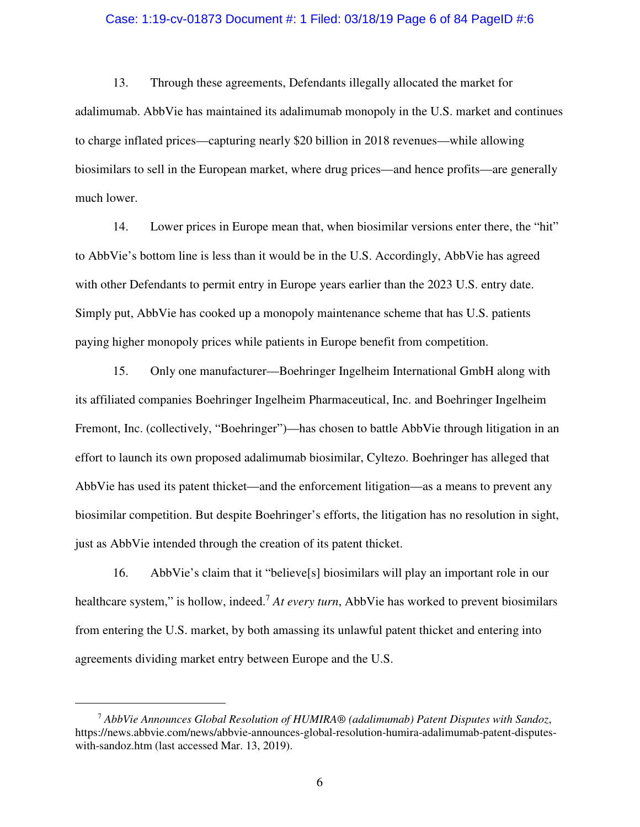#### Case: 1:19-cv-01873 Document #: 1 Filed: 03/18/19 Page 6 of 84 PageID #:6

13. Through these agreements, Defendants illegally allocated the market for adalimumab. AbbVie has maintained its adalimumab monopoly in the U.S. market and continues to charge inflated prices—capturing nearly \$20 billion in 2018 revenues—while allowing biosimilars to sell in the European market, where drug prices—and hence profits—are generally much lower.

14. Lower prices in Europe mean that, when biosimilar versions enter there, the "hit" to AbbVie's bottom line is less than it would be in the U.S. Accordingly, AbbVie has agreed with other Defendants to permit entry in Europe years earlier than the 2023 U.S. entry date. Simply put, AbbVie has cooked up a monopoly maintenance scheme that has U.S. patients paying higher monopoly prices while patients in Europe benefit from competition.

15. Only one manufacturer—Boehringer Ingelheim International GmbH along with its affiliated companies Boehringer Ingelheim Pharmaceutical, Inc. and Boehringer Ingelheim Fremont, Inc. (collectively, "Boehringer")—has chosen to battle AbbVie through litigation in an effort to launch its own proposed adalimumab biosimilar, Cyltezo. Boehringer has alleged that AbbVie has used its patent thicket—and the enforcement litigation—as a means to prevent any biosimilar competition. But despite Boehringer's efforts, the litigation has no resolution in sight, just as AbbVie intended through the creation of its patent thicket.

16. AbbVie's claim that it "believe[s] biosimilars will play an important role in our healthcare system," is hollow, indeed.<sup>7</sup> *At every turn*, AbbVie has worked to prevent biosimilars from entering the U.S. market, by both amassing its unlawful patent thicket and entering into agreements dividing market entry between Europe and the U.S.

<sup>7</sup> *AbbVie Announces Global Resolution of HUMIRA® (adalimumab) Patent Disputes with Sandoz*, https://news.abbvie.com/news/abbvie-announces-global-resolution-humira-adalimumab-patent-disputeswith-sandoz.htm (last accessed Mar. 13, 2019).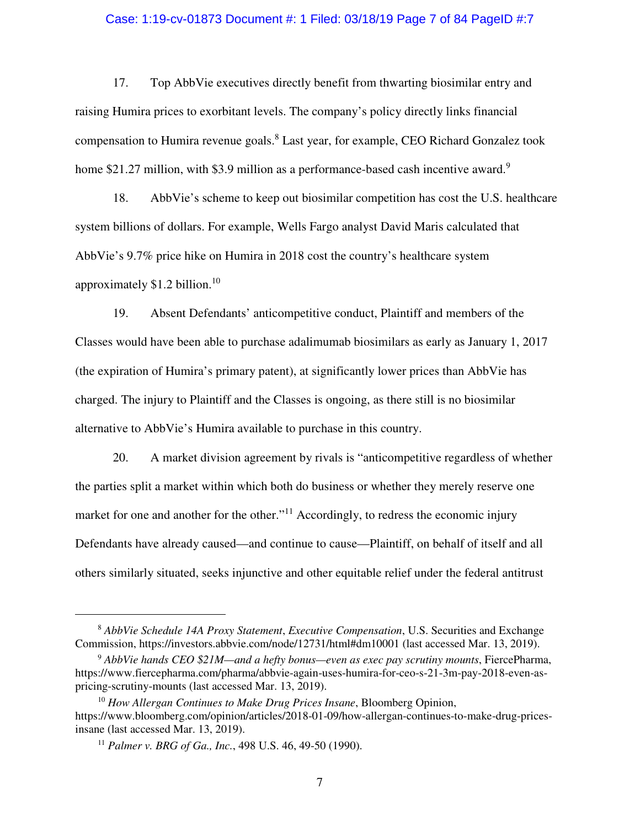#### Case: 1:19-cv-01873 Document #: 1 Filed: 03/18/19 Page 7 of 84 PageID #:7

17. Top AbbVie executives directly benefit from thwarting biosimilar entry and raising Humira prices to exorbitant levels. The company's policy directly links financial compensation to Humira revenue goals.<sup>8</sup> Last year, for example, CEO Richard Gonzalez took home \$21.27 million, with \$3.9 million as a performance-based cash incentive award.<sup>9</sup>

18. AbbVie's scheme to keep out biosimilar competition has cost the U.S. healthcare system billions of dollars. For example, Wells Fargo analyst David Maris calculated that AbbVie's 9.7% price hike on Humira in 2018 cost the country's healthcare system approximately \$1.2 billion. $10<sup>10</sup>$ 

19. Absent Defendants' anticompetitive conduct, Plaintiff and members of the Classes would have been able to purchase adalimumab biosimilars as early as January 1, 2017 (the expiration of Humira's primary patent), at significantly lower prices than AbbVie has charged. The injury to Plaintiff and the Classes is ongoing, as there still is no biosimilar alternative to AbbVie's Humira available to purchase in this country.

20. A market division agreement by rivals is "anticompetitive regardless of whether the parties split a market within which both do business or whether they merely reserve one market for one and another for the other."<sup>11</sup> Accordingly, to redress the economic injury Defendants have already caused—and continue to cause—Plaintiff, on behalf of itself and all others similarly situated, seeks injunctive and other equitable relief under the federal antitrust

<sup>8</sup> *AbbVie Schedule 14A Proxy Statement*, *Executive Compensation*, U.S. Securities and Exchange Commission, https://investors.abbvie.com/node/12731/html#dm10001 (last accessed Mar. 13, 2019).

<sup>9</sup> *AbbVie hands CEO \$21M—and a hefty bonus—even as exec pay scrutiny mounts*, FiercePharma, https://www.fiercepharma.com/pharma/abbvie-again-uses-humira-for-ceo-s-21-3m-pay-2018-even-aspricing-scrutiny-mounts (last accessed Mar. 13, 2019).

<sup>10</sup> *How Allergan Continues to Make Drug Prices Insane*, Bloomberg Opinion, https://www.bloomberg.com/opinion/articles/2018-01-09/how-allergan-continues-to-make-drug-pricesinsane (last accessed Mar. 13, 2019).

<sup>11</sup> *Palmer v. BRG of Ga., Inc.*, 498 U.S. 46, 49-50 (1990).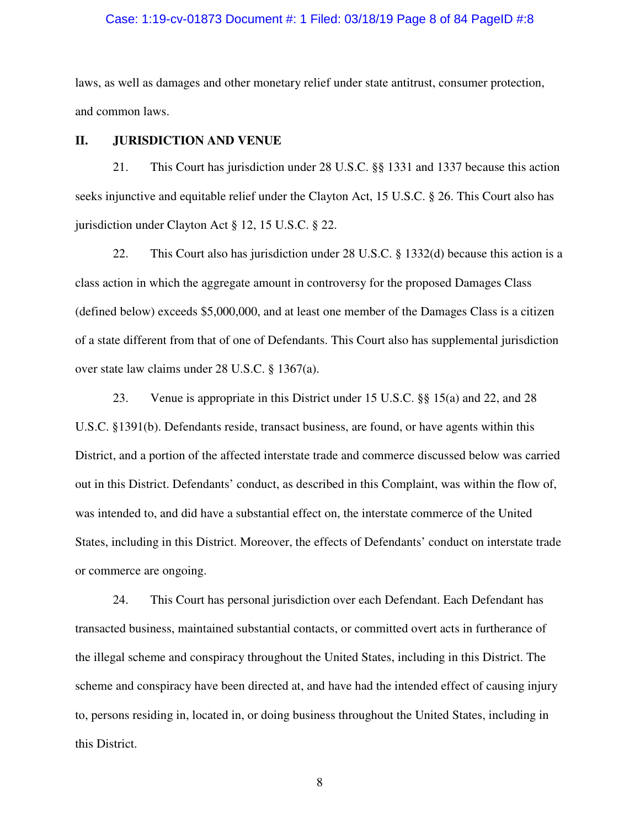#### Case: 1:19-cv-01873 Document #: 1 Filed: 03/18/19 Page 8 of 84 PageID #:8

laws, as well as damages and other monetary relief under state antitrust, consumer protection, and common laws.

### **II. JURISDICTION AND VENUE**

21. This Court has jurisdiction under 28 U.S.C. §§ 1331 and 1337 because this action seeks injunctive and equitable relief under the Clayton Act, 15 U.S.C. § 26. This Court also has jurisdiction under Clayton Act § 12, 15 U.S.C. § 22.

22. This Court also has jurisdiction under 28 U.S.C. § 1332(d) because this action is a class action in which the aggregate amount in controversy for the proposed Damages Class (defined below) exceeds \$5,000,000, and at least one member of the Damages Class is a citizen of a state different from that of one of Defendants. This Court also has supplemental jurisdiction over state law claims under 28 U.S.C. § 1367(a).

23. Venue is appropriate in this District under 15 U.S.C. §§ 15(a) and 22, and 28 U.S.C. §1391(b). Defendants reside, transact business, are found, or have agents within this District, and a portion of the affected interstate trade and commerce discussed below was carried out in this District. Defendants' conduct, as described in this Complaint, was within the flow of, was intended to, and did have a substantial effect on, the interstate commerce of the United States, including in this District. Moreover, the effects of Defendants' conduct on interstate trade or commerce are ongoing.

24. This Court has personal jurisdiction over each Defendant. Each Defendant has transacted business, maintained substantial contacts, or committed overt acts in furtherance of the illegal scheme and conspiracy throughout the United States, including in this District. The scheme and conspiracy have been directed at, and have had the intended effect of causing injury to, persons residing in, located in, or doing business throughout the United States, including in this District.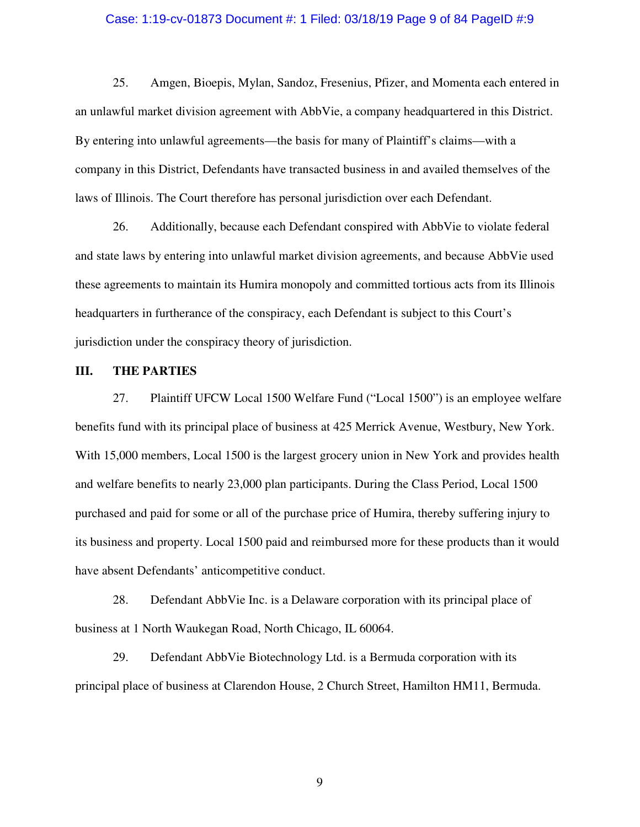#### Case: 1:19-cv-01873 Document #: 1 Filed: 03/18/19 Page 9 of 84 PageID #:9

25. Amgen, Bioepis, Mylan, Sandoz, Fresenius, Pfizer, and Momenta each entered in an unlawful market division agreement with AbbVie, a company headquartered in this District. By entering into unlawful agreements—the basis for many of Plaintiff's claims—with a company in this District, Defendants have transacted business in and availed themselves of the laws of Illinois. The Court therefore has personal jurisdiction over each Defendant.

26. Additionally, because each Defendant conspired with AbbVie to violate federal and state laws by entering into unlawful market division agreements, and because AbbVie used these agreements to maintain its Humira monopoly and committed tortious acts from its Illinois headquarters in furtherance of the conspiracy, each Defendant is subject to this Court's jurisdiction under the conspiracy theory of jurisdiction.

#### **III. THE PARTIES**

27. Plaintiff UFCW Local 1500 Welfare Fund ("Local 1500") is an employee welfare benefits fund with its principal place of business at 425 Merrick Avenue, Westbury, New York. With 15,000 members, Local 1500 is the largest grocery union in New York and provides health and welfare benefits to nearly 23,000 plan participants. During the Class Period, Local 1500 purchased and paid for some or all of the purchase price of Humira, thereby suffering injury to its business and property. Local 1500 paid and reimbursed more for these products than it would have absent Defendants' anticompetitive conduct.

28. Defendant AbbVie Inc. is a Delaware corporation with its principal place of business at 1 North Waukegan Road, North Chicago, IL 60064.

29. Defendant AbbVie Biotechnology Ltd. is a Bermuda corporation with its principal place of business at Clarendon House, 2 Church Street, Hamilton HM11, Bermuda.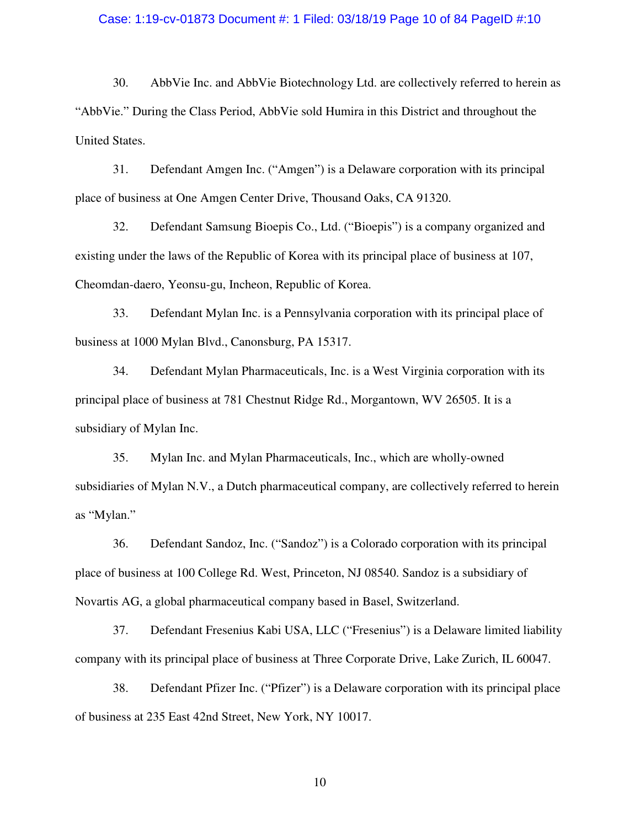## Case: 1:19-cv-01873 Document #: 1 Filed: 03/18/19 Page 10 of 84 PageID #:10

30. AbbVie Inc. and AbbVie Biotechnology Ltd. are collectively referred to herein as "AbbVie." During the Class Period, AbbVie sold Humira in this District and throughout the United States.

31. Defendant Amgen Inc. ("Amgen") is a Delaware corporation with its principal place of business at One Amgen Center Drive, Thousand Oaks, CA 91320.

32. Defendant Samsung Bioepis Co., Ltd. ("Bioepis") is a company organized and existing under the laws of the Republic of Korea with its principal place of business at 107, Cheomdan-daero, Yeonsu-gu, Incheon, Republic of Korea.

33. Defendant Mylan Inc. is a Pennsylvania corporation with its principal place of business at 1000 Mylan Blvd., Canonsburg, PA 15317.

34. Defendant Mylan Pharmaceuticals, Inc. is a West Virginia corporation with its principal place of business at 781 Chestnut Ridge Rd., Morgantown, WV 26505. It is a subsidiary of Mylan Inc.

35. Mylan Inc. and Mylan Pharmaceuticals, Inc., which are wholly-owned subsidiaries of Mylan N.V., a Dutch pharmaceutical company, are collectively referred to herein as "Mylan."

36. Defendant Sandoz, Inc. ("Sandoz") is a Colorado corporation with its principal place of business at 100 College Rd. West, Princeton, NJ 08540. Sandoz is a subsidiary of Novartis AG, a global pharmaceutical company based in Basel, Switzerland.

37. Defendant Fresenius Kabi USA, LLC ("Fresenius") is a Delaware limited liability company with its principal place of business at Three Corporate Drive, Lake Zurich, IL 60047.

38. Defendant Pfizer Inc. ("Pfizer") is a Delaware corporation with its principal place of business at 235 East 42nd Street, New York, NY 10017.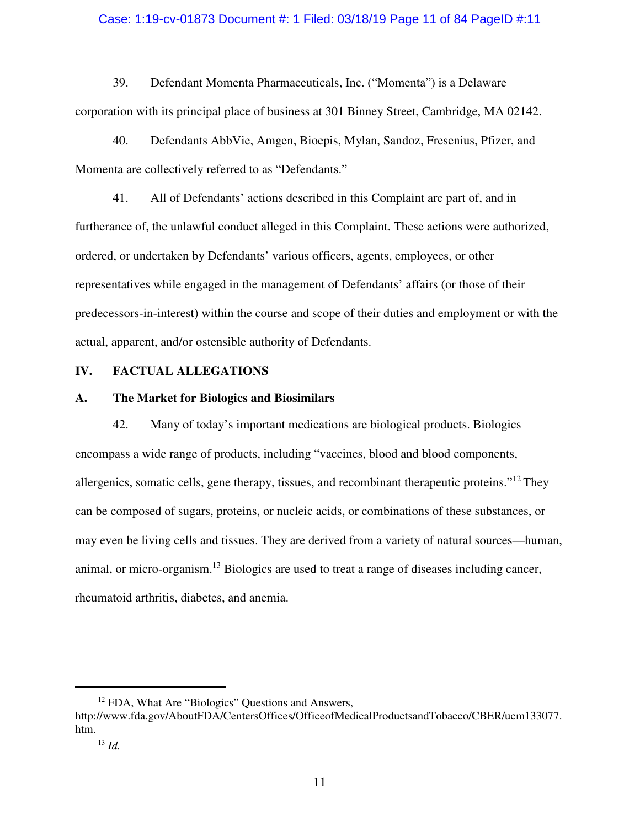### Case: 1:19-cv-01873 Document #: 1 Filed: 03/18/19 Page 11 of 84 PageID #:11

39. Defendant Momenta Pharmaceuticals, Inc. ("Momenta") is a Delaware corporation with its principal place of business at 301 Binney Street, Cambridge, MA 02142.

40. Defendants AbbVie, Amgen, Bioepis, Mylan, Sandoz, Fresenius, Pfizer, and Momenta are collectively referred to as "Defendants."

41. All of Defendants' actions described in this Complaint are part of, and in furtherance of, the unlawful conduct alleged in this Complaint. These actions were authorized, ordered, or undertaken by Defendants' various officers, agents, employees, or other representatives while engaged in the management of Defendants' affairs (or those of their predecessors-in-interest) within the course and scope of their duties and employment or with the actual, apparent, and/or ostensible authority of Defendants.

## **IV. FACTUAL ALLEGATIONS**

### **A. The Market for Biologics and Biosimilars**

42. Many of today's important medications are biological products. Biologics encompass a wide range of products, including "vaccines, blood and blood components, allergenics, somatic cells, gene therapy, tissues, and recombinant therapeutic proteins."<sup>12</sup> They can be composed of sugars, proteins, or nucleic acids, or combinations of these substances, or may even be living cells and tissues. They are derived from a variety of natural sources—human, animal, or micro-organism.<sup>13</sup> Biologics are used to treat a range of diseases including cancer, rheumatoid arthritis, diabetes, and anemia.

<sup>&</sup>lt;sup>12</sup> FDA, What Are "Biologics" Questions and Answers,

http://www.fda.gov/AboutFDA/CentersOffices/OfficeofMedicalProductsandTobacco/CBER/ucm133077. htm.

<sup>13</sup> *Id.*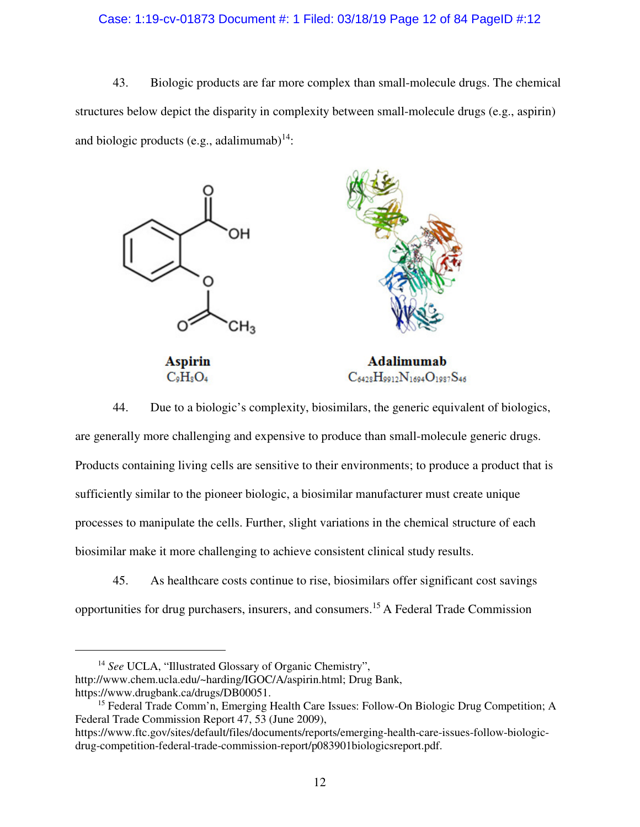### Case: 1:19-cv-01873 Document #: 1 Filed: 03/18/19 Page 12 of 84 PageID #:12

43. Biologic products are far more complex than small-molecule drugs. The chemical structures below depict the disparity in complexity between small-molecule drugs (e.g., aspirin) and biologic products (e.g., adalimumab) $14$ :



 $C_9H_8O_4$ 

 $C_{6428}H_{9912}N_{1694}O_{1987}S_{46}$ 

44. Due to a biologic's complexity, biosimilars, the generic equivalent of biologics, are generally more challenging and expensive to produce than small-molecule generic drugs. Products containing living cells are sensitive to their environments; to produce a product that is sufficiently similar to the pioneer biologic, a biosimilar manufacturer must create unique processes to manipulate the cells. Further, slight variations in the chemical structure of each biosimilar make it more challenging to achieve consistent clinical study results.

45. As healthcare costs continue to rise, biosimilars offer significant cost savings opportunities for drug purchasers, insurers, and consumers.<sup>15</sup>A Federal Trade Commission

-

<sup>&</sup>lt;sup>14</sup> See UCLA, "Illustrated Glossary of Organic Chemistry", http://www.chem.ucla.edu/~harding/IGOC/A/aspirin.html; Drug Bank, https://www.drugbank.ca/drugs/DB00051.

<sup>&</sup>lt;sup>15</sup> Federal Trade Comm'n, Emerging Health Care Issues: Follow-On Biologic Drug Competition; A Federal Trade Commission Report 47, 53 (June 2009),

https://www.ftc.gov/sites/default/files/documents/reports/emerging-health-care-issues-follow-biologicdrug-competition-federal-trade-commission-report/p083901biologicsreport.pdf.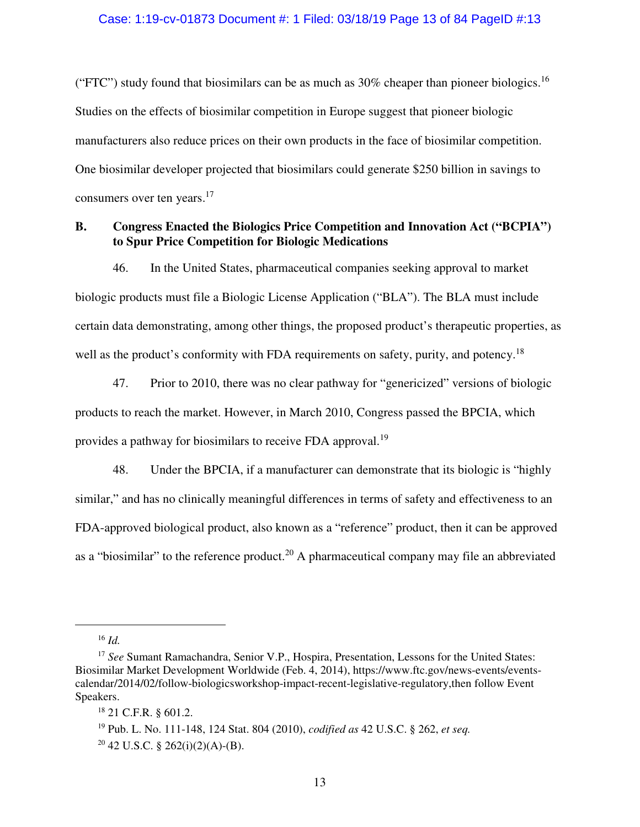("FTC") study found that biosimilars can be as much as  $30\%$  cheaper than pioneer biologics.<sup>16</sup> Studies on the effects of biosimilar competition in Europe suggest that pioneer biologic manufacturers also reduce prices on their own products in the face of biosimilar competition. One biosimilar developer projected that biosimilars could generate \$250 billion in savings to consumers over ten years.<sup>17</sup>

# **B. Congress Enacted the Biologics Price Competition and Innovation Act ("BCPIA") to Spur Price Competition for Biologic Medications**

46. In the United States, pharmaceutical companies seeking approval to market biologic products must file a Biologic License Application ("BLA"). The BLA must include certain data demonstrating, among other things, the proposed product's therapeutic properties, as well as the product's conformity with FDA requirements on safety, purity, and potency.<sup>18</sup>

47. Prior to 2010, there was no clear pathway for "genericized" versions of biologic products to reach the market. However, in March 2010, Congress passed the BPCIA, which provides a pathway for biosimilars to receive FDA approval.<sup>19</sup>

48. Under the BPCIA, if a manufacturer can demonstrate that its biologic is "highly similar," and has no clinically meaningful differences in terms of safety and effectiveness to an FDA-approved biological product, also known as a "reference" product, then it can be approved as a "biosimilar" to the reference product.<sup>20</sup> A pharmaceutical company may file an abbreviated

<sup>16</sup> *Id.*

<sup>&</sup>lt;sup>17</sup> See Sumant Ramachandra, Senior V.P., Hospira, Presentation, Lessons for the United States: Biosimilar Market Development Worldwide (Feb. 4, 2014), https://www.ftc.gov/news-events/eventscalendar/2014/02/follow-biologicsworkshop-impact-recent-legislative-regulatory,then follow Event Speakers.

<sup>18</sup> 21 C.F.R. § 601.2.

<sup>19</sup> Pub. L. No. 111-148, 124 Stat. 804 (2010), *codified as* 42 U.S.C. § 262, *et seq.*  $20$  42 U.S.C. § 262(i)(2)(A)-(B).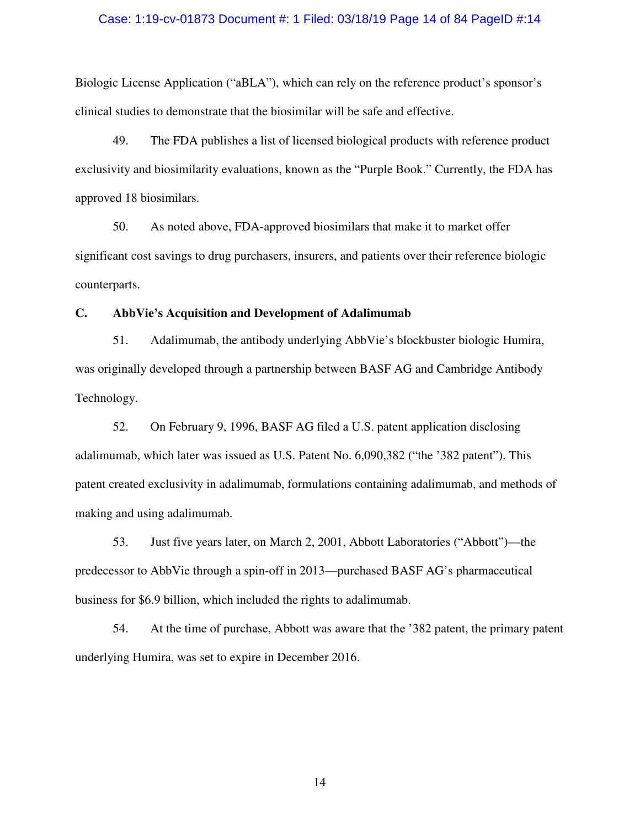#### Case: 1:19-cv-01873 Document #: 1 Filed: 03/18/19 Page 14 of 84 PageID #:14

Biologic License Application ("aBLA"), which can rely on the reference product's sponsor's clinical studies to demonstrate that the biosimilar will be safe and effective.

49. The FDA publishes a list of licensed biological products with reference product exclusivity and biosimilarity evaluations, known as the "Purple Book." Currently, the FDA has approved 18 biosimilars.

50. As noted above, FDA-approved biosimilars that make it to market offer significant cost savings to drug purchasers, insurers, and patients over their reference biologic counterparts.

## **C. AbbVie's Acquisition and Development of Adalimumab**

51. Adalimumab, the antibody underlying AbbVie's blockbuster biologic Humira, was originally developed through a partnership between BASF AG and Cambridge Antibody Technology.

52. On February 9, 1996, BASF AG filed a U.S. patent application disclosing adalimumab, which later was issued as U.S. Patent No. 6,090,382 ("the '382 patent"). This patent created exclusivity in adalimumab, formulations containing adalimumab, and methods of making and using adalimumab.

53. Just five years later, on March 2, 2001, Abbott Laboratories ("Abbott")—the predecessor to AbbVie through a spin-off in 2013—purchased BASF AG's pharmaceutical business for \$6.9 billion, which included the rights to adalimumab.

54. At the time of purchase, Abbott was aware that the '382 patent, the primary patent underlying Humira, was set to expire in December 2016.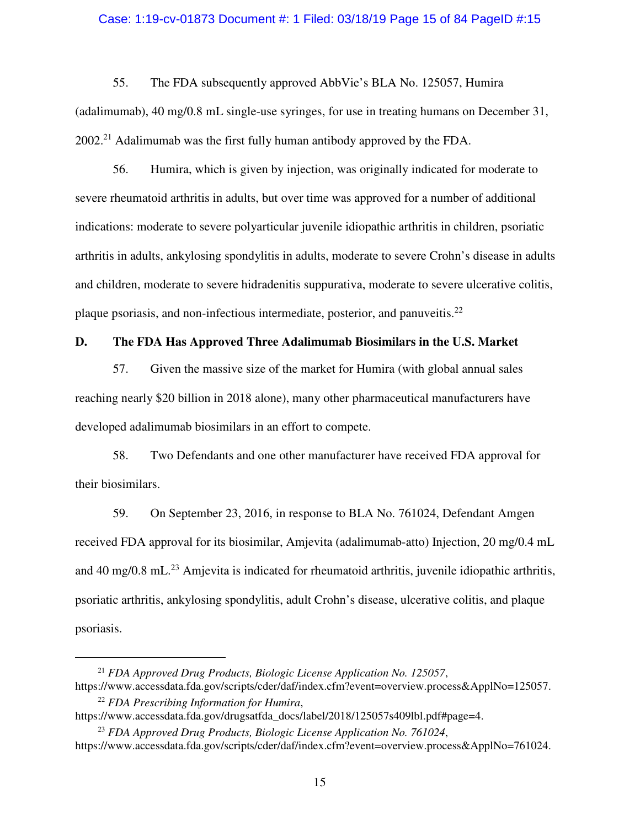#### Case: 1:19-cv-01873 Document #: 1 Filed: 03/18/19 Page 15 of 84 PageID #:15

55. The FDA subsequently approved AbbVie's BLA No. 125057, Humira (adalimumab), 40 mg/0.8 mL single-use syringes, for use in treating humans on December 31,  $2002<sup>21</sup>$  Adalimumab was the first fully human antibody approved by the FDA.

56. Humira, which is given by injection, was originally indicated for moderate to severe rheumatoid arthritis in adults, but over time was approved for a number of additional indications: moderate to severe polyarticular juvenile idiopathic arthritis in children, psoriatic arthritis in adults, ankylosing spondylitis in adults, moderate to severe Crohn's disease in adults and children, moderate to severe hidradenitis suppurativa, moderate to severe ulcerative colitis, plaque psoriasis, and non-infectious intermediate, posterior, and panuveitis. $^{22}$ 

# **D. The FDA Has Approved Three Adalimumab Biosimilars in the U.S. Market**

57. Given the massive size of the market for Humira (with global annual sales reaching nearly \$20 billion in 2018 alone), many other pharmaceutical manufacturers have developed adalimumab biosimilars in an effort to compete.

58. Two Defendants and one other manufacturer have received FDA approval for their biosimilars.

59. On September 23, 2016, in response to BLA No. 761024, Defendant Amgen received FDA approval for its biosimilar, Amjevita (adalimumab-atto) Injection, 20 mg/0.4 mL and 40 mg/0.8 mL $^{23}$  Amjevita is indicated for rheumatoid arthritis, juvenile idiopathic arthritis, psoriatic arthritis, ankylosing spondylitis, adult Crohn's disease, ulcerative colitis, and plaque psoriasis.

<sup>21</sup> *FDA Approved Drug Products, Biologic License Application No. 125057*, https://www.accessdata.fda.gov/scripts/cder/daf/index.cfm?event=overview.process&ApplNo=125057.

<sup>22</sup> *FDA Prescribing Information for Humira*, https://www.accessdata.fda.gov/drugsatfda\_docs/label/2018/125057s409lbl.pdf#page=4.

<sup>23</sup> *FDA Approved Drug Products, Biologic License Application No. 761024*, https://www.accessdata.fda.gov/scripts/cder/daf/index.cfm?event=overview.process&ApplNo=761024.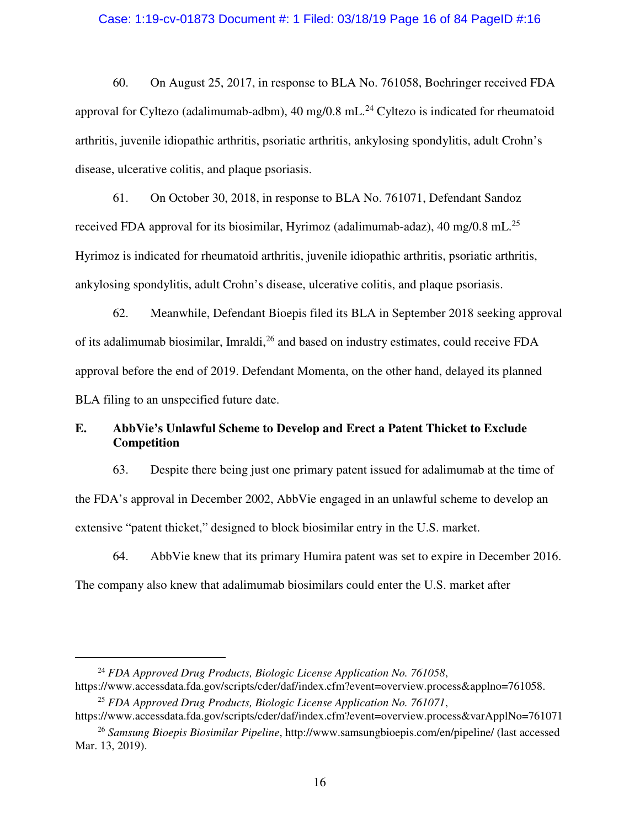#### Case: 1:19-cv-01873 Document #: 1 Filed: 03/18/19 Page 16 of 84 PageID #:16

60. On August 25, 2017, in response to BLA No. 761058, Boehringer received FDA approval for Cyltezo (adalimumab-adbm),  $40 \text{ mg}/0.8 \text{ mL}^{24}$  Cyltezo is indicated for rheumatoid arthritis, juvenile idiopathic arthritis, psoriatic arthritis, ankylosing spondylitis, adult Crohn's disease, ulcerative colitis, and plaque psoriasis.

61. On October 30, 2018, in response to BLA No. 761071, Defendant Sandoz received FDA approval for its biosimilar, Hyrimoz (adalimumab-adaz), 40 mg/0.8 mL.<sup>25</sup> Hyrimoz is indicated for rheumatoid arthritis, juvenile idiopathic arthritis, psoriatic arthritis, ankylosing spondylitis, adult Crohn's disease, ulcerative colitis, and plaque psoriasis.

62. Meanwhile, Defendant Bioepis filed its BLA in September 2018 seeking approval of its adalimumab biosimilar, Imraldi, <sup>26</sup> and based on industry estimates, could receive FDA approval before the end of 2019. Defendant Momenta, on the other hand, delayed its planned BLA filing to an unspecified future date.

# **E. AbbVie's Unlawful Scheme to Develop and Erect a Patent Thicket to Exclude Competition**

63. Despite there being just one primary patent issued for adalimumab at the time of the FDA's approval in December 2002, AbbVie engaged in an unlawful scheme to develop an extensive "patent thicket," designed to block biosimilar entry in the U.S. market.

64. AbbVie knew that its primary Humira patent was set to expire in December 2016. The company also knew that adalimumab biosimilars could enter the U.S. market after

-

<sup>24</sup> *FDA Approved Drug Products, Biologic License Application No. 761058*, https://www.accessdata.fda.gov/scripts/cder/daf/index.cfm?event=overview.process&applno=761058.

<sup>25</sup> *FDA Approved Drug Products, Biologic License Application No. 761071*, https://www.accessdata.fda.gov/scripts/cder/daf/index.cfm?event=overview.process&varApplNo=761071

<sup>26</sup> *Samsung Bioepis Biosimilar Pipeline*, http://www.samsungbioepis.com/en/pipeline/ (last accessed Mar. 13, 2019).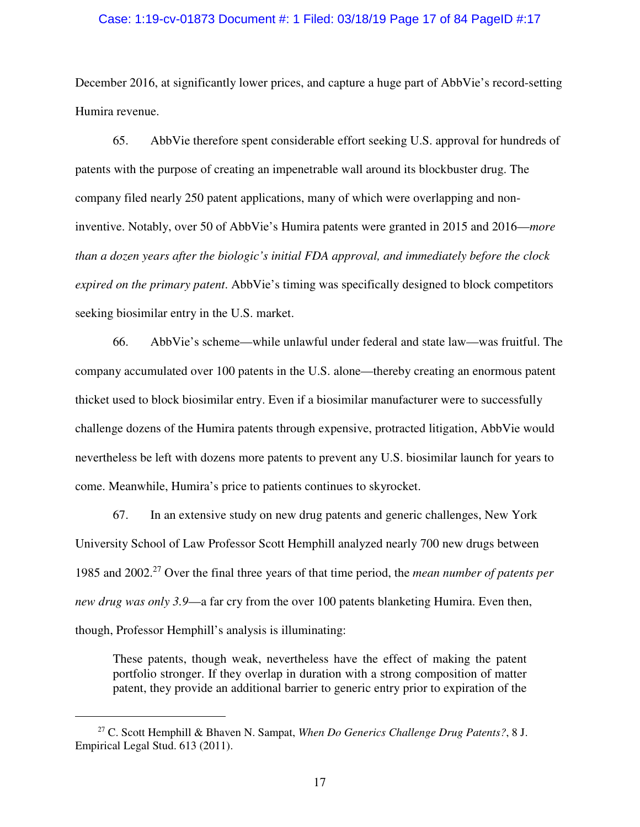#### Case: 1:19-cv-01873 Document #: 1 Filed: 03/18/19 Page 17 of 84 PageID #:17

December 2016, at significantly lower prices, and capture a huge part of AbbVie's record-setting Humira revenue.

65. AbbVie therefore spent considerable effort seeking U.S. approval for hundreds of patents with the purpose of creating an impenetrable wall around its blockbuster drug. The company filed nearly 250 patent applications, many of which were overlapping and noninventive. Notably, over 50 of AbbVie's Humira patents were granted in 2015 and 2016—*more than a dozen years after the biologic's initial FDA approval, and immediately before the clock expired on the primary patent*. AbbVie's timing was specifically designed to block competitors seeking biosimilar entry in the U.S. market.

66. AbbVie's scheme—while unlawful under federal and state law—was fruitful. The company accumulated over 100 patents in the U.S. alone—thereby creating an enormous patent thicket used to block biosimilar entry. Even if a biosimilar manufacturer were to successfully challenge dozens of the Humira patents through expensive, protracted litigation, AbbVie would nevertheless be left with dozens more patents to prevent any U.S. biosimilar launch for years to come. Meanwhile, Humira's price to patients continues to skyrocket.

67. In an extensive study on new drug patents and generic challenges, New York University School of Law Professor Scott Hemphill analyzed nearly 700 new drugs between 1985 and 2002.<sup>27</sup> Over the final three years of that time period, the *mean number of patents per new drug was only 3.9*—a far cry from the over 100 patents blanketing Humira. Even then, though, Professor Hemphill's analysis is illuminating:

These patents, though weak, nevertheless have the effect of making the patent portfolio stronger. If they overlap in duration with a strong composition of matter patent, they provide an additional barrier to generic entry prior to expiration of the

<sup>27</sup> C. Scott Hemphill & Bhaven N. Sampat, *When Do Generics Challenge Drug Patents?*, 8 J. Empirical Legal Stud. 613 (2011).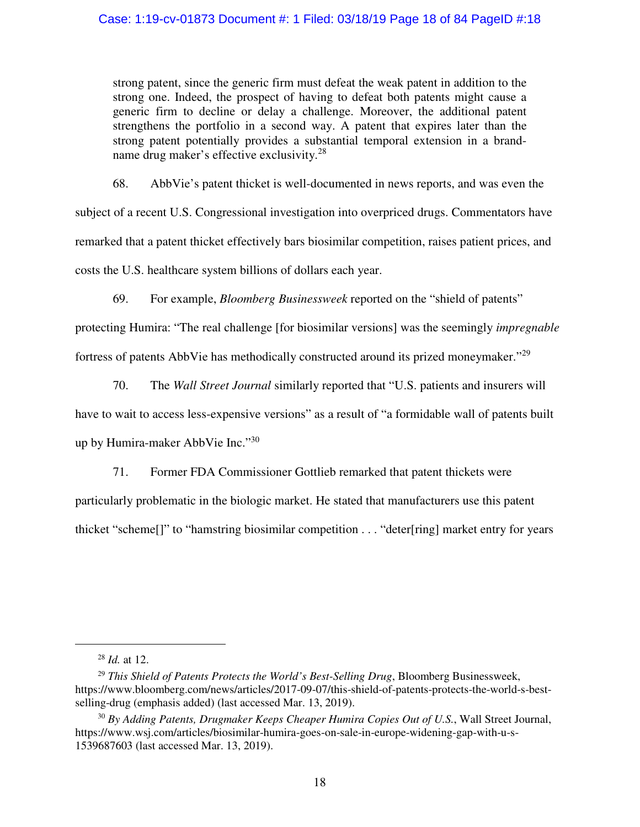## Case: 1:19-cv-01873 Document #: 1 Filed: 03/18/19 Page 18 of 84 PageID #:18

strong patent, since the generic firm must defeat the weak patent in addition to the strong one. Indeed, the prospect of having to defeat both patents might cause a generic firm to decline or delay a challenge. Moreover, the additional patent strengthens the portfolio in a second way. A patent that expires later than the strong patent potentially provides a substantial temporal extension in a brandname drug maker's effective exclusivity.<sup>28</sup>

68. AbbVie's patent thicket is well-documented in news reports, and was even the subject of a recent U.S. Congressional investigation into overpriced drugs. Commentators have remarked that a patent thicket effectively bars biosimilar competition, raises patient prices, and costs the U.S. healthcare system billions of dollars each year.

69. For example, *Bloomberg Businessweek* reported on the "shield of patents"

protecting Humira: "The real challenge [for biosimilar versions] was the seemingly *impregnable* fortress of patents AbbVie has methodically constructed around its prized moneymaker."<sup>29</sup>

70. The *Wall Street Journal* similarly reported that "U.S. patients and insurers will

have to wait to access less-expensive versions" as a result of "a formidable wall of patents built up by Humira-maker AbbVie Inc."<sup>30</sup>

71. Former FDA Commissioner Gottlieb remarked that patent thickets were

particularly problematic in the biologic market. He stated that manufacturers use this patent

thicket "scheme[]" to "hamstring biosimilar competition . . . "deter[ring] market entry for years

-

<sup>28</sup> *Id.* at 12.

<sup>&</sup>lt;sup>29</sup> This Shield of Patents Protects the World's Best-Selling Drug, Bloomberg Businessweek, https://www.bloomberg.com/news/articles/2017-09-07/this-shield-of-patents-protects-the-world-s-bestselling-drug (emphasis added) (last accessed Mar. 13, 2019).

<sup>30</sup> *By Adding Patents, Drugmaker Keeps Cheaper Humira Copies Out of U.S.*, Wall Street Journal, https://www.wsj.com/articles/biosimilar-humira-goes-on-sale-in-europe-widening-gap-with-u-s-1539687603 (last accessed Mar. 13, 2019).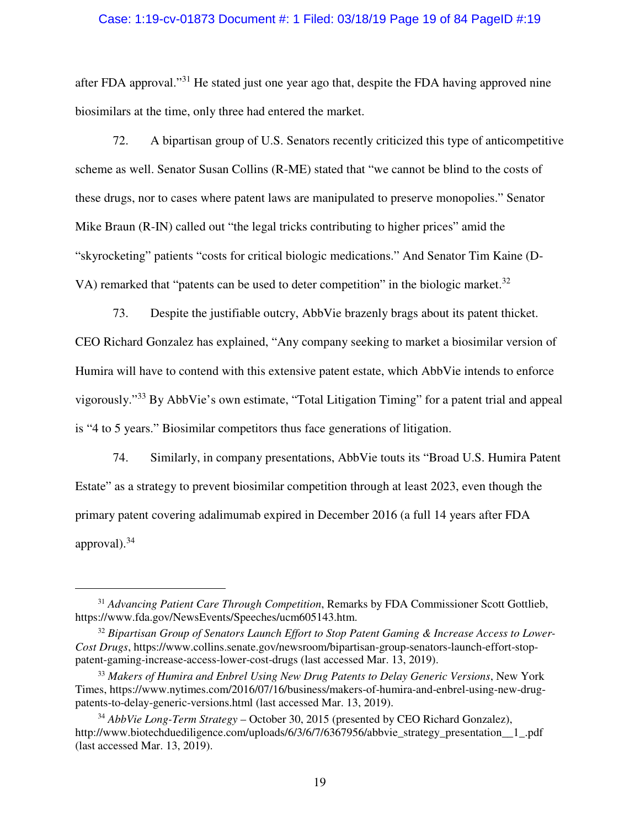### Case: 1:19-cv-01873 Document #: 1 Filed: 03/18/19 Page 19 of 84 PageID #:19

after FDA approval."<sup>31</sup> He stated just one year ago that, despite the FDA having approved nine biosimilars at the time, only three had entered the market.

72. A bipartisan group of U.S. Senators recently criticized this type of anticompetitive scheme as well. Senator Susan Collins (R-ME) stated that "we cannot be blind to the costs of these drugs, nor to cases where patent laws are manipulated to preserve monopolies." Senator Mike Braun (R-IN) called out "the legal tricks contributing to higher prices" amid the "skyrocketing" patients "costs for critical biologic medications." And Senator Tim Kaine (D-VA) remarked that "patents can be used to deter competition" in the biologic market.<sup>32</sup>

73. Despite the justifiable outcry, AbbVie brazenly brags about its patent thicket. CEO Richard Gonzalez has explained, "Any company seeking to market a biosimilar version of Humira will have to contend with this extensive patent estate, which AbbVie intends to enforce vigorously."<sup>33</sup> By AbbVie's own estimate, "Total Litigation Timing" for a patent trial and appeal is "4 to 5 years." Biosimilar competitors thus face generations of litigation.

74. Similarly, in company presentations, AbbVie touts its "Broad U.S. Humira Patent Estate" as a strategy to prevent biosimilar competition through at least 2023, even though the primary patent covering adalimumab expired in December 2016 (a full 14 years after FDA approval).<sup>34</sup>

<u>.</u>

<sup>31</sup> *Advancing Patient Care Through Competition*, Remarks by FDA Commissioner Scott Gottlieb, https://www.fda.gov/NewsEvents/Speeches/ucm605143.htm.

<sup>32</sup> *Bipartisan Group of Senators Launch Effort to Stop Patent Gaming & Increase Access to Lower-Cost Drugs*, https://www.collins.senate.gov/newsroom/bipartisan-group-senators-launch-effort-stoppatent-gaming-increase-access-lower-cost-drugs (last accessed Mar. 13, 2019).

<sup>33</sup> *Makers of Humira and Enbrel Using New Drug Patents to Delay Generic Versions*, New York Times, https://www.nytimes.com/2016/07/16/business/makers-of-humira-and-enbrel-using-new-drugpatents-to-delay-generic-versions.html (last accessed Mar. 13, 2019).

<sup>34</sup> *AbbVie Long-Term Strategy* – October 30, 2015 (presented by CEO Richard Gonzalez), http://www.biotechduediligence.com/uploads/6/3/6/7/6367956/abbvie\_strategy\_presentation\_1\_.pdf (last accessed Mar. 13, 2019).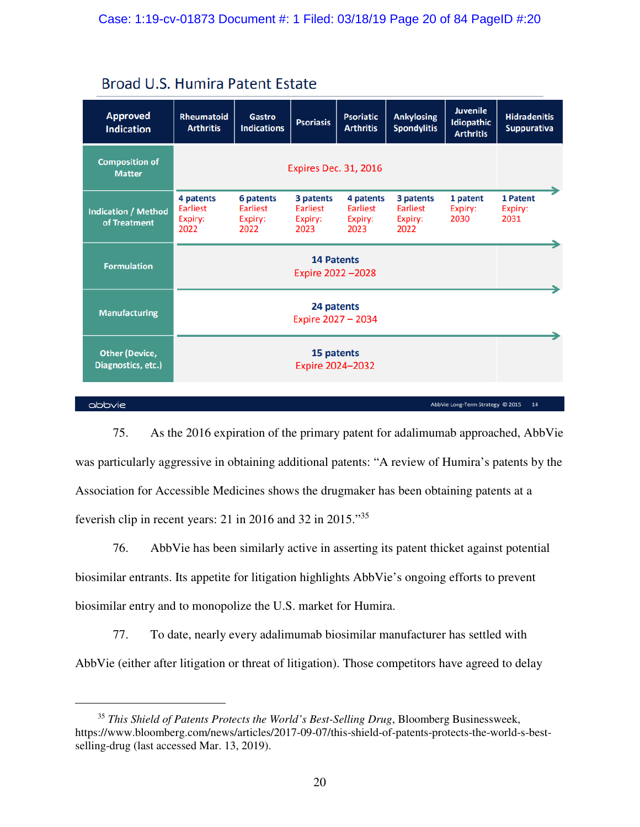|  |  | <b>Broad U.S. Humira Patent Estate</b> |  |  |
|--|--|----------------------------------------|--|--|
|--|--|----------------------------------------|--|--|

| <b>Approved</b><br><b>Indication</b>        | <b>Rheumatoid</b><br><b>Arthritis</b>           | <b>Gastro</b><br><b>Indications</b>      | <b>Psoriasis</b>                                | <b>Psoriatic</b><br><b>Arthritis</b>            | <b>Ankylosing</b><br><b>Spondylitis</b>  | <b>Juvenile</b><br>Idiopathic<br><b>Arthritis</b> | <b>Hidradenitis</b><br><b>Suppurativa</b> |
|---------------------------------------------|-------------------------------------------------|------------------------------------------|-------------------------------------------------|-------------------------------------------------|------------------------------------------|---------------------------------------------------|-------------------------------------------|
| <b>Composition of</b><br><b>Matter</b>      |                                                 |                                          | <b>Expires Dec. 31, 2016</b>                    |                                                 |                                          |                                                   |                                           |
| <b>Indication / Method</b><br>of Treatment  | 4 patents<br><b>Earliest</b><br>Expiry:<br>2022 | 6 patents<br>Earliest<br>Expiry:<br>2022 | 3 patents<br><b>Earliest</b><br>Expiry:<br>2023 | 4 patents<br><b>Earliest</b><br>Expiry:<br>2023 | 3 patents<br>Earliest<br>Expiry:<br>2022 | 1 patent<br>Expiry:<br>2030                       | 1 Patent<br>Expiry:<br>2031               |
| <b>Formulation</b>                          |                                                 |                                          | <b>14 Patents</b><br>Expire 2022-2028           |                                                 |                                          |                                                   |                                           |
| <b>Manufacturing</b>                        | 24 patents<br>Expire 2027 - 2034                |                                          |                                                 |                                                 |                                          |                                                   |                                           |
| <b>Other (Device,</b><br>Diagnostics, etc.) |                                                 |                                          | 15 patents<br>Expire 2024-2032                  |                                                 |                                          |                                                   |                                           |
|                                             |                                                 |                                          |                                                 |                                                 |                                          |                                                   |                                           |

### $\Delta$ bb $\vee$ ie

 $\overline{a}$ 

AbbVie Long-Term Strategy @ 2015 14

75. As the 2016 expiration of the primary patent for adalimumab approached, AbbVie was particularly aggressive in obtaining additional patents: "A review of Humira's patents by the Association for Accessible Medicines shows the drugmaker has been obtaining patents at a feverish clip in recent years: 21 in 2016 and 32 in 2015."<sup>35</sup>

76. AbbVie has been similarly active in asserting its patent thicket against potential biosimilar entrants. Its appetite for litigation highlights AbbVie's ongoing efforts to prevent biosimilar entry and to monopolize the U.S. market for Humira.

77. To date, nearly every adalimumab biosimilar manufacturer has settled with AbbVie (either after litigation or threat of litigation). Those competitors have agreed to delay

<sup>35</sup> *This Shield of Patents Protects the World's Best-Selling Drug*, Bloomberg Businessweek, https://www.bloomberg.com/news/articles/2017-09-07/this-shield-of-patents-protects-the-world-s-bestselling-drug (last accessed Mar. 13, 2019).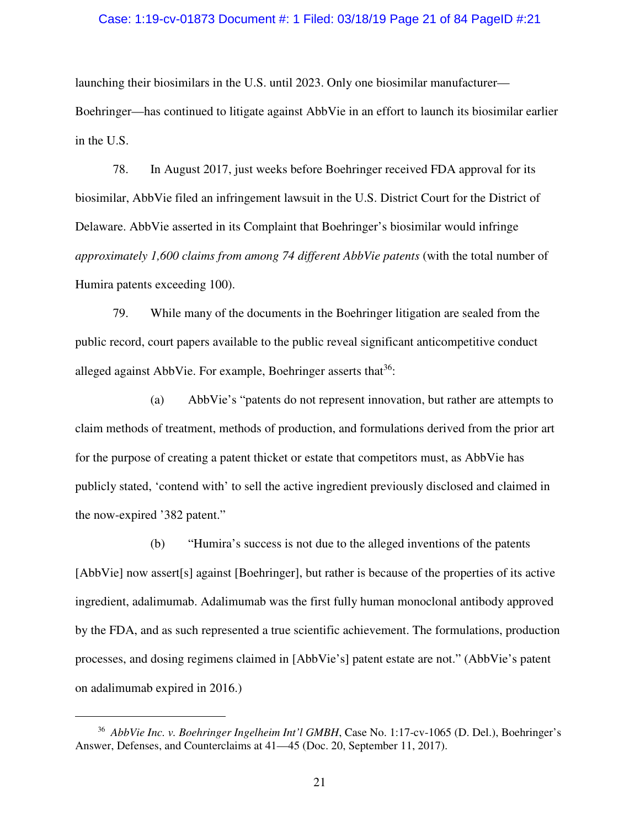#### Case: 1:19-cv-01873 Document #: 1 Filed: 03/18/19 Page 21 of 84 PageID #:21

launching their biosimilars in the U.S. until 2023. Only one biosimilar manufacturer— Boehringer—has continued to litigate against AbbVie in an effort to launch its biosimilar earlier in the U.S.

78. In August 2017, just weeks before Boehringer received FDA approval for its biosimilar, AbbVie filed an infringement lawsuit in the U.S. District Court for the District of Delaware. AbbVie asserted in its Complaint that Boehringer's biosimilar would infringe *approximately 1,600 claims from among 74 different AbbVie patents* (with the total number of Humira patents exceeding 100).

79. While many of the documents in the Boehringer litigation are sealed from the public record, court papers available to the public reveal significant anticompetitive conduct alleged against AbbVie. For example, Boehringer asserts that  $36$ :

(a) AbbVie's "patents do not represent innovation, but rather are attempts to claim methods of treatment, methods of production, and formulations derived from the prior art for the purpose of creating a patent thicket or estate that competitors must, as AbbVie has publicly stated, 'contend with' to sell the active ingredient previously disclosed and claimed in the now-expired '382 patent."

(b) "Humira's success is not due to the alleged inventions of the patents [AbbVie] now assert[s] against [Boehringer], but rather is because of the properties of its active ingredient, adalimumab. Adalimumab was the first fully human monoclonal antibody approved by the FDA, and as such represented a true scientific achievement. The formulations, production processes, and dosing regimens claimed in [AbbVie's] patent estate are not." (AbbVie's patent on adalimumab expired in 2016.)

<u>.</u>

<sup>36</sup> *AbbVie Inc. v. Boehringer Ingelheim Int'l GMBH*, Case No. 1:17-cv-1065 (D. Del.), Boehringer's Answer, Defenses, and Counterclaims at 41—45 (Doc. 20, September 11, 2017).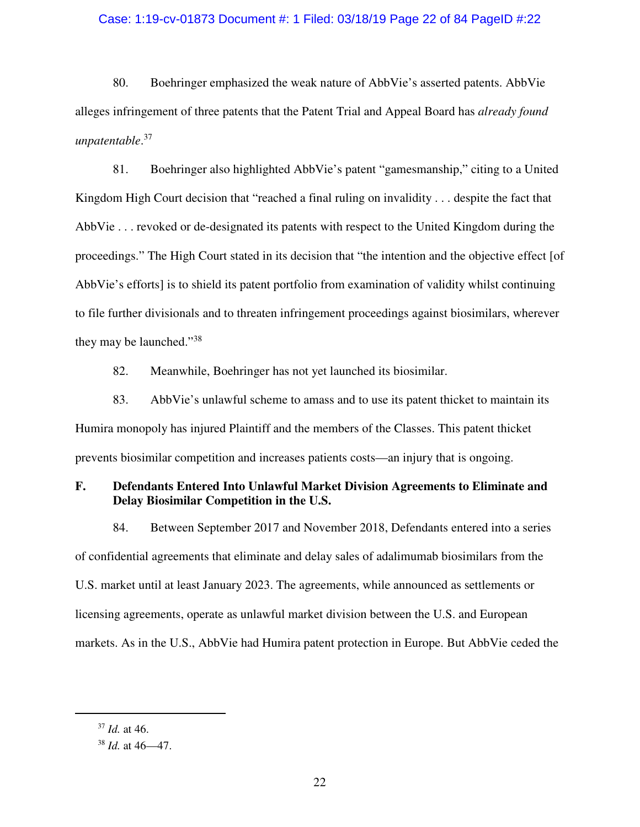### Case: 1:19-cv-01873 Document #: 1 Filed: 03/18/19 Page 22 of 84 PageID #:22

80. Boehringer emphasized the weak nature of AbbVie's asserted patents. AbbVie alleges infringement of three patents that the Patent Trial and Appeal Board has *already found unpatentable*. 37

81. Boehringer also highlighted AbbVie's patent "gamesmanship," citing to a United Kingdom High Court decision that "reached a final ruling on invalidity . . . despite the fact that AbbVie . . . revoked or de-designated its patents with respect to the United Kingdom during the proceedings." The High Court stated in its decision that "the intention and the objective effect [of AbbVie's efforts] is to shield its patent portfolio from examination of validity whilst continuing to file further divisionals and to threaten infringement proceedings against biosimilars, wherever they may be launched."<sup>38</sup>

82. Meanwhile, Boehringer has not yet launched its biosimilar.

83. AbbVie's unlawful scheme to amass and to use its patent thicket to maintain its Humira monopoly has injured Plaintiff and the members of the Classes. This patent thicket prevents biosimilar competition and increases patients costs—an injury that is ongoing.

# **F. Defendants Entered Into Unlawful Market Division Agreements to Eliminate and Delay Biosimilar Competition in the U.S.**

84. Between September 2017 and November 2018, Defendants entered into a series of confidential agreements that eliminate and delay sales of adalimumab biosimilars from the U.S. market until at least January 2023. The agreements, while announced as settlements or licensing agreements, operate as unlawful market division between the U.S. and European markets. As in the U.S., AbbVie had Humira patent protection in Europe. But AbbVie ceded the

<sup>37</sup> *Id.* at 46.

<sup>38</sup> *Id.* at 46—47.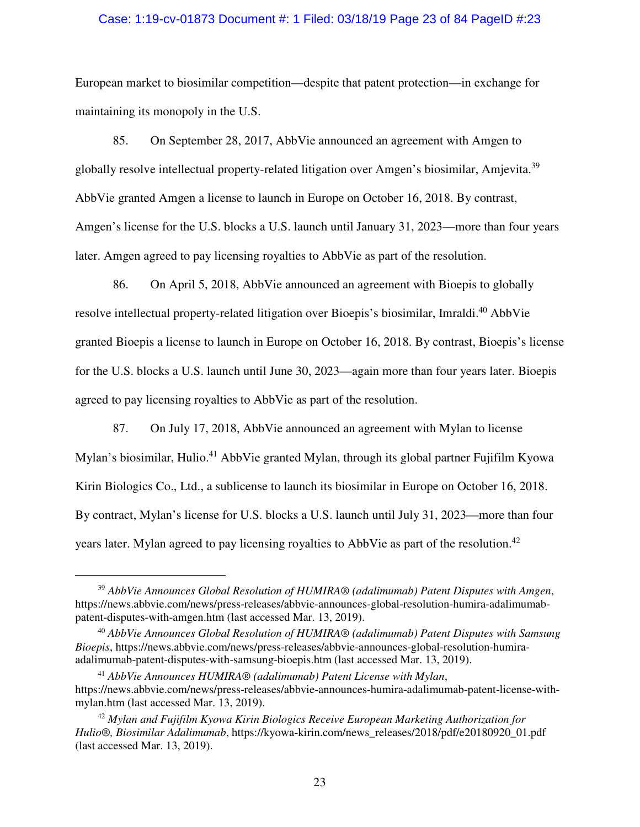### Case: 1:19-cv-01873 Document #: 1 Filed: 03/18/19 Page 23 of 84 PageID #:23

European market to biosimilar competition—despite that patent protection—in exchange for maintaining its monopoly in the U.S.

85. On September 28, 2017, AbbVie announced an agreement with Amgen to globally resolve intellectual property-related litigation over Amgen's biosimilar, Amjevita.<sup>39</sup> AbbVie granted Amgen a license to launch in Europe on October 16, 2018. By contrast, Amgen's license for the U.S. blocks a U.S. launch until January 31, 2023—more than four years later. Amgen agreed to pay licensing royalties to AbbVie as part of the resolution.

86. On April 5, 2018, AbbVie announced an agreement with Bioepis to globally resolve intellectual property-related litigation over Bioepis's biosimilar, Imraldi.<sup>40</sup> AbbVie granted Bioepis a license to launch in Europe on October 16, 2018. By contrast, Bioepis's license for the U.S. blocks a U.S. launch until June 30, 2023—again more than four years later. Bioepis agreed to pay licensing royalties to AbbVie as part of the resolution.

87. On July 17, 2018, AbbVie announced an agreement with Mylan to license Mylan's biosimilar, Hulio.<sup>41</sup> AbbVie granted Mylan, through its global partner Fujifilm Kyowa Kirin Biologics Co., Ltd., a sublicense to launch its biosimilar in Europe on October 16, 2018. By contract, Mylan's license for U.S. blocks a U.S. launch until July 31, 2023—more than four years later. Mylan agreed to pay licensing royalties to AbbVie as part of the resolution.<sup>42</sup>

<sup>39</sup> *AbbVie Announces Global Resolution of HUMIRA® (adalimumab) Patent Disputes with Amgen*, https://news.abbvie.com/news/press-releases/abbvie-announces-global-resolution-humira-adalimumabpatent-disputes-with-amgen.htm (last accessed Mar. 13, 2019).

<sup>40</sup> *AbbVie Announces Global Resolution of HUMIRA® (adalimumab) Patent Disputes with Samsung Bioepis*, https://news.abbvie.com/news/press-releases/abbvie-announces-global-resolution-humiraadalimumab-patent-disputes-with-samsung-bioepis.htm (last accessed Mar. 13, 2019).

<sup>41</sup> *AbbVie Announces HUMIRA® (adalimumab) Patent License with Mylan*, https://news.abbvie.com/news/press-releases/abbvie-announces-humira-adalimumab-patent-license-withmylan.htm (last accessed Mar. 13, 2019).

<sup>42</sup> *Mylan and Fujifilm Kyowa Kirin Biologics Receive European Marketing Authorization for Hulio®, Biosimilar Adalimumab*, https://kyowa-kirin.com/news\_releases/2018/pdf/e20180920\_01.pdf (last accessed Mar. 13, 2019).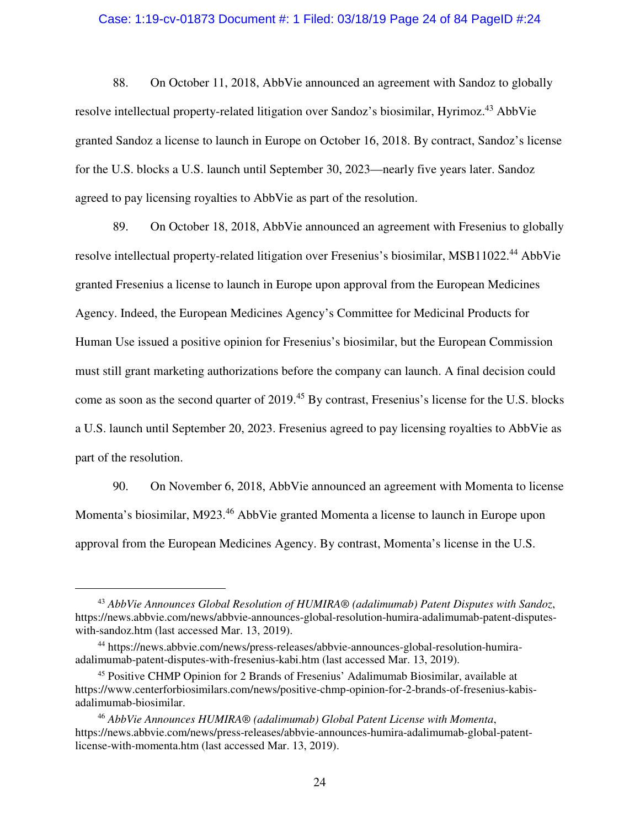#### Case: 1:19-cv-01873 Document #: 1 Filed: 03/18/19 Page 24 of 84 PageID #:24

88. On October 11, 2018, AbbVie announced an agreement with Sandoz to globally resolve intellectual property-related litigation over Sandoz's biosimilar, Hyrimoz.<sup>43</sup> AbbVie granted Sandoz a license to launch in Europe on October 16, 2018. By contract, Sandoz's license for the U.S. blocks a U.S. launch until September 30, 2023—nearly five years later. Sandoz agreed to pay licensing royalties to AbbVie as part of the resolution.

89. On October 18, 2018, AbbVie announced an agreement with Fresenius to globally resolve intellectual property-related litigation over Fresenius's biosimilar, MSB11022.<sup>44</sup> AbbVie granted Fresenius a license to launch in Europe upon approval from the European Medicines Agency. Indeed, the European Medicines Agency's Committee for Medicinal Products for Human Use issued a positive opinion for Fresenius's biosimilar, but the European Commission must still grant marketing authorizations before the company can launch. A final decision could come as soon as the second quarter of 2019.<sup>45</sup> By contrast, Fresenius's license for the U.S. blocks a U.S. launch until September 20, 2023. Fresenius agreed to pay licensing royalties to AbbVie as part of the resolution.

90. On November 6, 2018, AbbVie announced an agreement with Momenta to license Momenta's biosimilar, M923.<sup>46</sup> AbbVie granted Momenta a license to launch in Europe upon approval from the European Medicines Agency. By contrast, Momenta's license in the U.S.

<u>.</u>

<sup>43</sup> *AbbVie Announces Global Resolution of HUMIRA® (adalimumab) Patent Disputes with Sandoz*, https://news.abbvie.com/news/abbvie-announces-global-resolution-humira-adalimumab-patent-disputeswith-sandoz.htm (last accessed Mar. 13, 2019).

<sup>44</sup> https://news.abbvie.com/news/press-releases/abbvie-announces-global-resolution-humiraadalimumab-patent-disputes-with-fresenius-kabi.htm (last accessed Mar. 13, 2019).

<sup>45</sup> Positive CHMP Opinion for 2 Brands of Fresenius' Adalimumab Biosimilar, available at https://www.centerforbiosimilars.com/news/positive-chmp-opinion-for-2-brands-of-fresenius-kabisadalimumab-biosimilar.

<sup>46</sup> *AbbVie Announces HUMIRA® (adalimumab) Global Patent License with Momenta*, https://news.abbvie.com/news/press-releases/abbvie-announces-humira-adalimumab-global-patentlicense-with-momenta.htm (last accessed Mar. 13, 2019).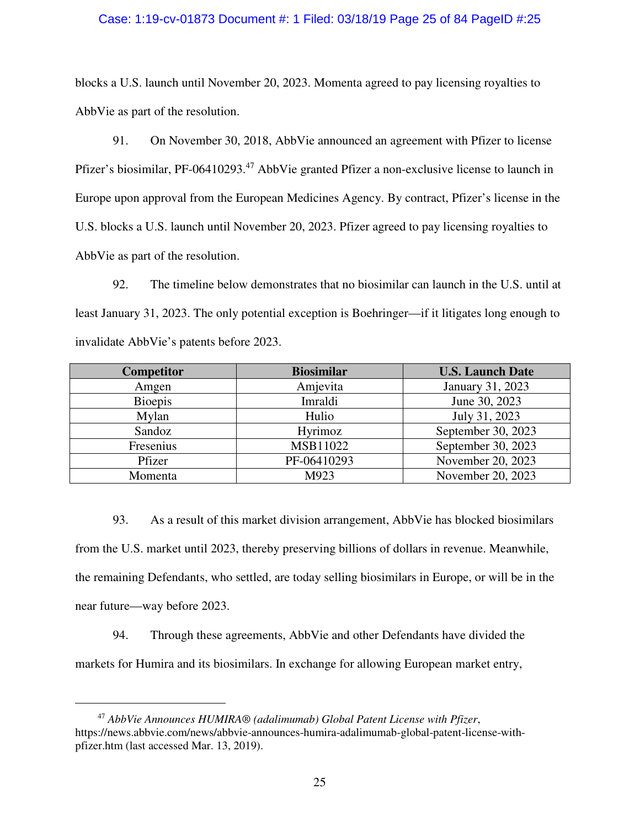### Case: 1:19-cv-01873 Document #: 1 Filed: 03/18/19 Page 25 of 84 PageID #:25

blocks a U.S. launch until November 20, 2023. Momenta agreed to pay licensing royalties to AbbVie as part of the resolution.

91. On November 30, 2018, AbbVie announced an agreement with Pfizer to license Pfizer's biosimilar, PF-06410293.<sup>47</sup> AbbVie granted Pfizer a non-exclusive license to launch in Europe upon approval from the European Medicines Agency. By contract, Pfizer's license in the U.S. blocks a U.S. launch until November 20, 2023. Pfizer agreed to pay licensing royalties to AbbVie as part of the resolution.

92. The timeline below demonstrates that no biosimilar can launch in the U.S. until at least January 31, 2023. The only potential exception is Boehringer—if it litigates long enough to invalidate AbbVie's patents before 2023.

| Competitor     | <b>Biosimilar</b> | <b>U.S. Launch Date</b> |
|----------------|-------------------|-------------------------|
| Amgen          | Amjevita          | January 31, 2023        |
| <b>Bioepis</b> | Imraldi           | June 30, 2023           |
| Mylan          | Hulio             | July 31, 2023           |
| Sandoz         | Hyrimoz           | September 30, 2023      |
| Fresenius      | MSB11022          | September 30, 2023      |
| Pfizer         | PF-06410293       | November 20, 2023       |
| Momenta        | M923              | November 20, 2023       |

93. As a result of this market division arrangement, AbbVie has blocked biosimilars from the U.S. market until 2023, thereby preserving billions of dollars in revenue. Meanwhile, the remaining Defendants, who settled, are today selling biosimilars in Europe, or will be in the near future—way before 2023.

94. Through these agreements, AbbVie and other Defendants have divided the markets for Humira and its biosimilars. In exchange for allowing European market entry,

-

<sup>47</sup> *AbbVie Announces HUMIRA® (adalimumab) Global Patent License with Pfizer*, https://news.abbvie.com/news/abbvie-announces-humira-adalimumab-global-patent-license-withpfizer.htm (last accessed Mar. 13, 2019).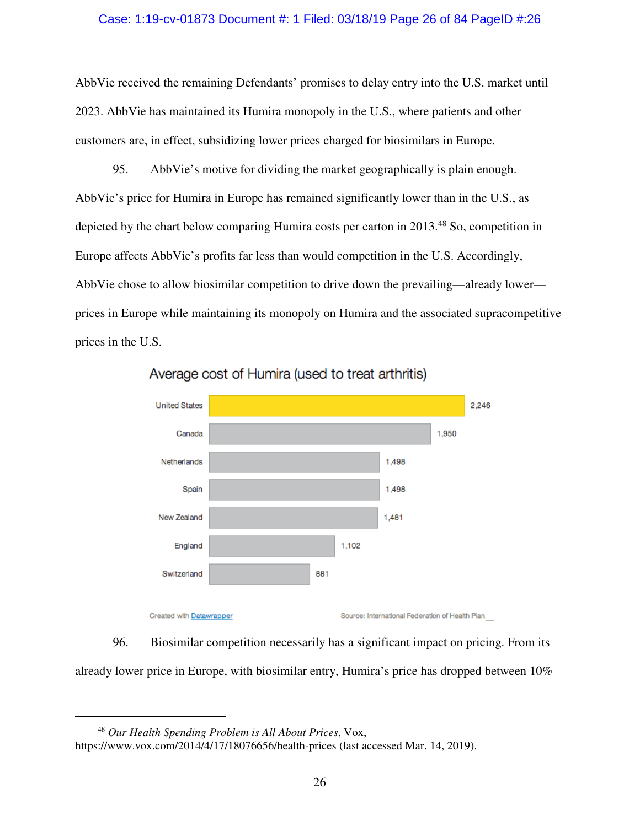### Case: 1:19-cv-01873 Document #: 1 Filed: 03/18/19 Page 26 of 84 PageID #:26

AbbVie received the remaining Defendants' promises to delay entry into the U.S. market until 2023. AbbVie has maintained its Humira monopoly in the U.S., where patients and other customers are, in effect, subsidizing lower prices charged for biosimilars in Europe.

95. AbbVie's motive for dividing the market geographically is plain enough. AbbVie's price for Humira in Europe has remained significantly lower than in the U.S., as depicted by the chart below comparing Humira costs per carton in 2013.<sup>48</sup> So, competition in Europe affects AbbVie's profits far less than would competition in the U.S. Accordingly, AbbVie chose to allow biosimilar competition to drive down the prevailing—already lower prices in Europe while maintaining its monopoly on Humira and the associated supracompetitive prices in the U.S.



Average cost of Humira (used to treat arthritis)

96. Biosimilar competition necessarily has a significant impact on pricing. From its already lower price in Europe, with biosimilar entry, Humira's price has dropped between 10%

<sup>48</sup> *Our Health Spending Problem is All About Prices*, Vox,

https://www.vox.com/2014/4/17/18076656/health-prices (last accessed Mar. 14, 2019).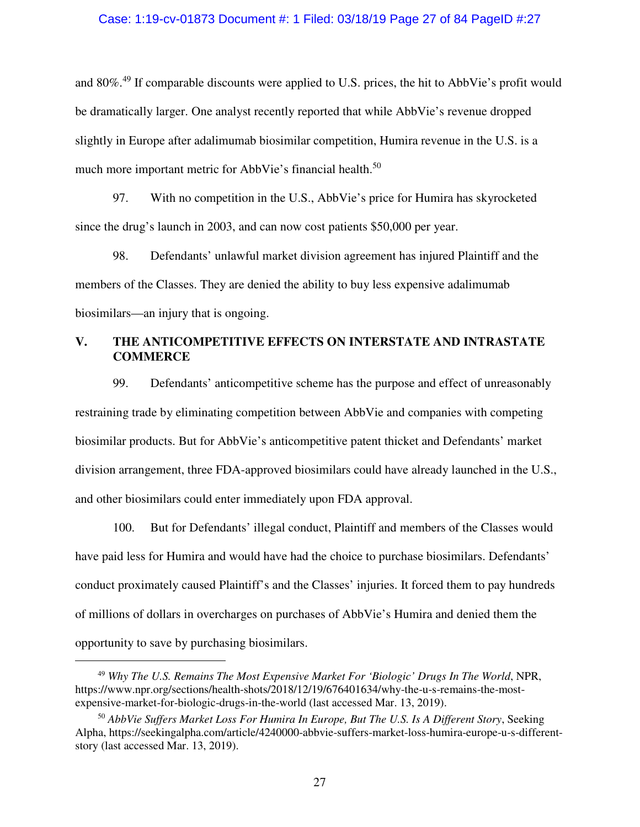#### Case: 1:19-cv-01873 Document #: 1 Filed: 03/18/19 Page 27 of 84 PageID #:27

and 80%.<sup>49</sup> If comparable discounts were applied to U.S. prices, the hit to AbbVie's profit would be dramatically larger. One analyst recently reported that while AbbVie's revenue dropped slightly in Europe after adalimumab biosimilar competition, Humira revenue in the U.S. is a much more important metric for AbbVie's financial health.<sup>50</sup>

97. With no competition in the U.S., AbbVie's price for Humira has skyrocketed since the drug's launch in 2003, and can now cost patients \$50,000 per year.

98. Defendants' unlawful market division agreement has injured Plaintiff and the members of the Classes. They are denied the ability to buy less expensive adalimumab biosimilars—an injury that is ongoing.

## **V. THE ANTICOMPETITIVE EFFECTS ON INTERSTATE AND INTRASTATE COMMERCE**

99. Defendants' anticompetitive scheme has the purpose and effect of unreasonably restraining trade by eliminating competition between AbbVie and companies with competing biosimilar products. But for AbbVie's anticompetitive patent thicket and Defendants' market division arrangement, three FDA-approved biosimilars could have already launched in the U.S., and other biosimilars could enter immediately upon FDA approval.

100. But for Defendants' illegal conduct, Plaintiff and members of the Classes would have paid less for Humira and would have had the choice to purchase biosimilars. Defendants' conduct proximately caused Plaintiff's and the Classes' injuries. It forced them to pay hundreds of millions of dollars in overcharges on purchases of AbbVie's Humira and denied them the opportunity to save by purchasing biosimilars.

-

<sup>49</sup> *Why The U.S. Remains The Most Expensive Market For 'Biologic' Drugs In The World*, NPR, https://www.npr.org/sections/health-shots/2018/12/19/676401634/why-the-u-s-remains-the-mostexpensive-market-for-biologic-drugs-in-the-world (last accessed Mar. 13, 2019).

<sup>50</sup> *AbbVie Suffers Market Loss For Humira In Europe, But The U.S. Is A Different Story*, Seeking Alpha, https://seekingalpha.com/article/4240000-abbvie-suffers-market-loss-humira-europe-u-s-differentstory (last accessed Mar. 13, 2019).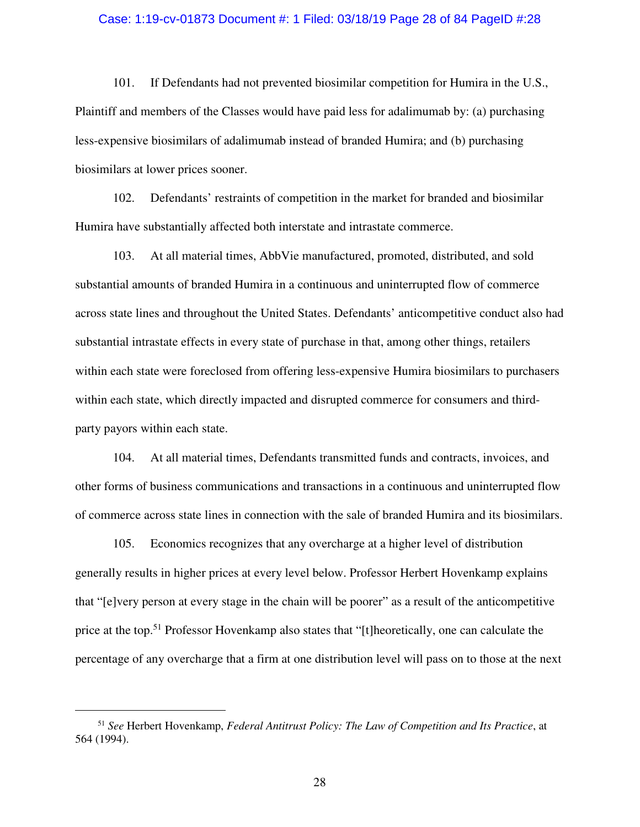#### Case: 1:19-cv-01873 Document #: 1 Filed: 03/18/19 Page 28 of 84 PageID #:28

101. If Defendants had not prevented biosimilar competition for Humira in the U.S., Plaintiff and members of the Classes would have paid less for adalimumab by: (a) purchasing less-expensive biosimilars of adalimumab instead of branded Humira; and (b) purchasing biosimilars at lower prices sooner.

102. Defendants' restraints of competition in the market for branded and biosimilar Humira have substantially affected both interstate and intrastate commerce.

103. At all material times, AbbVie manufactured, promoted, distributed, and sold substantial amounts of branded Humira in a continuous and uninterrupted flow of commerce across state lines and throughout the United States. Defendants' anticompetitive conduct also had substantial intrastate effects in every state of purchase in that, among other things, retailers within each state were foreclosed from offering less-expensive Humira biosimilars to purchasers within each state, which directly impacted and disrupted commerce for consumers and thirdparty payors within each state.

104. At all material times, Defendants transmitted funds and contracts, invoices, and other forms of business communications and transactions in a continuous and uninterrupted flow of commerce across state lines in connection with the sale of branded Humira and its biosimilars.

105. Economics recognizes that any overcharge at a higher level of distribution generally results in higher prices at every level below. Professor Herbert Hovenkamp explains that "[e]very person at every stage in the chain will be poorer" as a result of the anticompetitive price at the top.<sup>51</sup> Professor Hovenkamp also states that "[t]heoretically, one can calculate the percentage of any overcharge that a firm at one distribution level will pass on to those at the next

<sup>51</sup> *See* Herbert Hovenkamp, *Federal Antitrust Policy: The Law of Competition and Its Practice*, at 564 (1994).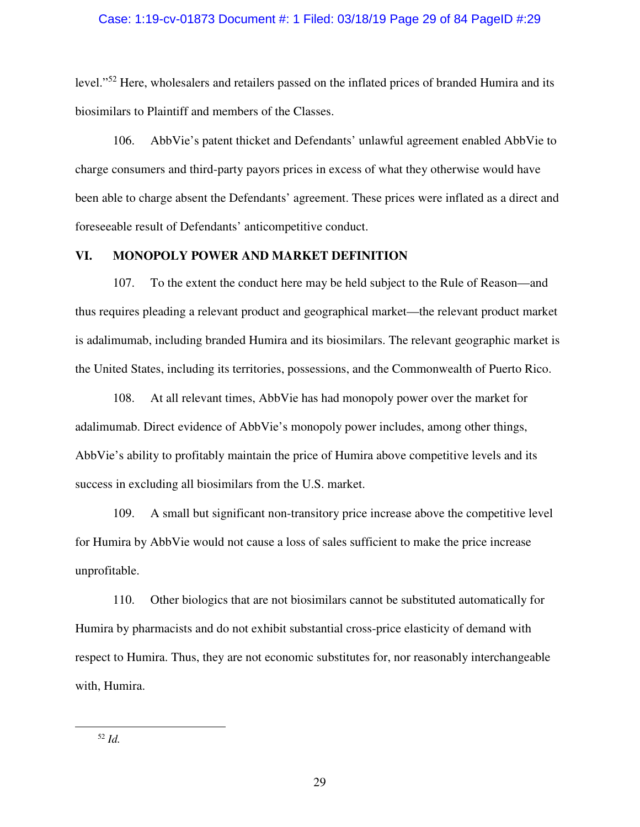### Case: 1:19-cv-01873 Document #: 1 Filed: 03/18/19 Page 29 of 84 PageID #:29

level."<sup>52</sup> Here, wholesalers and retailers passed on the inflated prices of branded Humira and its biosimilars to Plaintiff and members of the Classes.

106. AbbVie's patent thicket and Defendants' unlawful agreement enabled AbbVie to charge consumers and third-party payors prices in excess of what they otherwise would have been able to charge absent the Defendants' agreement. These prices were inflated as a direct and foreseeable result of Defendants' anticompetitive conduct.

## **VI. MONOPOLY POWER AND MARKET DEFINITION**

107. To the extent the conduct here may be held subject to the Rule of Reason—and thus requires pleading a relevant product and geographical market—the relevant product market is adalimumab, including branded Humira and its biosimilars. The relevant geographic market is the United States, including its territories, possessions, and the Commonwealth of Puerto Rico.

108. At all relevant times, AbbVie has had monopoly power over the market for adalimumab. Direct evidence of AbbVie's monopoly power includes, among other things, AbbVie's ability to profitably maintain the price of Humira above competitive levels and its success in excluding all biosimilars from the U.S. market.

109. A small but significant non-transitory price increase above the competitive level for Humira by AbbVie would not cause a loss of sales sufficient to make the price increase unprofitable.

110. Other biologics that are not biosimilars cannot be substituted automatically for Humira by pharmacists and do not exhibit substantial cross-price elasticity of demand with respect to Humira. Thus, they are not economic substitutes for, nor reasonably interchangeable with, Humira.

<sup>52</sup> *Id.*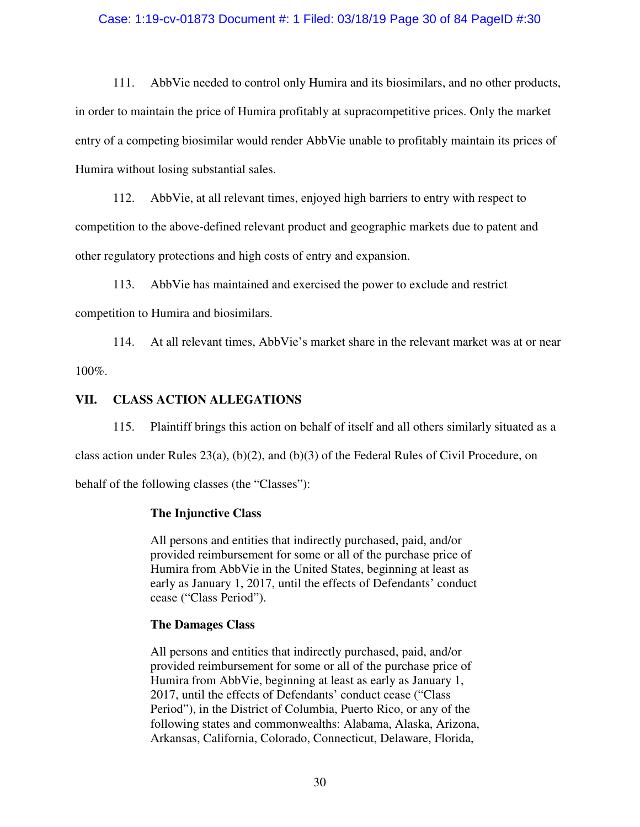### Case: 1:19-cv-01873 Document #: 1 Filed: 03/18/19 Page 30 of 84 PageID #:30

111. AbbVie needed to control only Humira and its biosimilars, and no other products, in order to maintain the price of Humira profitably at supracompetitive prices. Only the market entry of a competing biosimilar would render AbbVie unable to profitably maintain its prices of Humira without losing substantial sales.

112. AbbVie, at all relevant times, enjoyed high barriers to entry with respect to competition to the above-defined relevant product and geographic markets due to patent and other regulatory protections and high costs of entry and expansion.

113. AbbVie has maintained and exercised the power to exclude and restrict competition to Humira and biosimilars.

114. At all relevant times, AbbVie's market share in the relevant market was at or near 100%.

## **VII. CLASS ACTION ALLEGATIONS**

115. Plaintiff brings this action on behalf of itself and all others similarly situated as a class action under Rules 23(a), (b)(2), and (b)(3) of the Federal Rules of Civil Procedure, on

behalf of the following classes (the "Classes"):

### **The Injunctive Class**

All persons and entities that indirectly purchased, paid, and/or provided reimbursement for some or all of the purchase price of Humira from AbbVie in the United States, beginning at least as early as January 1, 2017, until the effects of Defendants' conduct cease ("Class Period").

### **The Damages Class**

All persons and entities that indirectly purchased, paid, and/or provided reimbursement for some or all of the purchase price of Humira from AbbVie, beginning at least as early as January 1, 2017, until the effects of Defendants' conduct cease ("Class Period"), in the District of Columbia, Puerto Rico, or any of the following states and commonwealths: Alabama, Alaska, Arizona, Arkansas, California, Colorado, Connecticut, Delaware, Florida,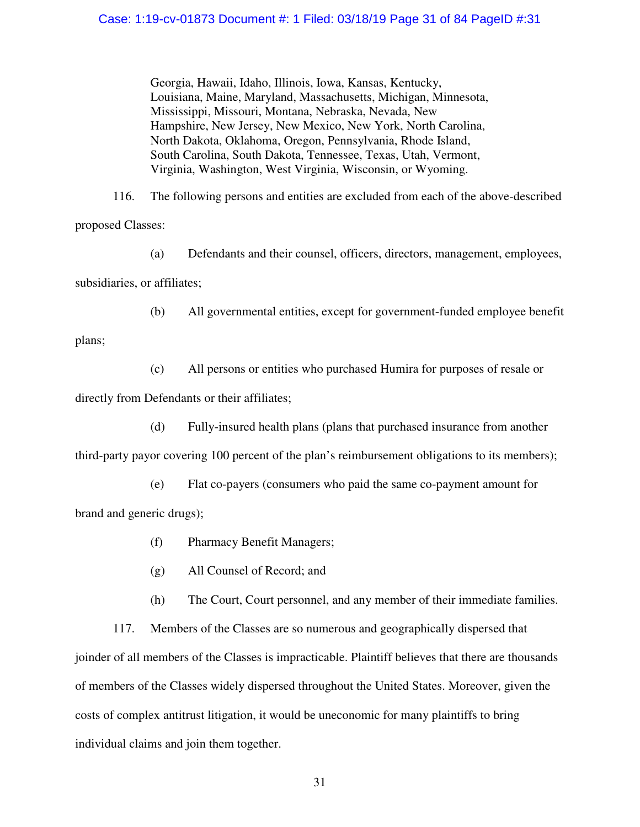Georgia, Hawaii, Idaho, Illinois, Iowa, Kansas, Kentucky, Louisiana, Maine, Maryland, Massachusetts, Michigan, Minnesota, Mississippi, Missouri, Montana, Nebraska, Nevada, New Hampshire, New Jersey, New Mexico, New York, North Carolina, North Dakota, Oklahoma, Oregon, Pennsylvania, Rhode Island, South Carolina, South Dakota, Tennessee, Texas, Utah, Vermont, Virginia, Washington, West Virginia, Wisconsin, or Wyoming.

116. The following persons and entities are excluded from each of the above-described proposed Classes:

(a) Defendants and their counsel, officers, directors, management, employees, subsidiaries, or affiliates;

(b) All governmental entities, except for government-funded employee benefit

plans;

(c) All persons or entities who purchased Humira for purposes of resale or directly from Defendants or their affiliates;

(d) Fully-insured health plans (plans that purchased insurance from another

third-party payor covering 100 percent of the plan's reimbursement obligations to its members);

(e) Flat co-payers (consumers who paid the same co-payment amount for brand and generic drugs);

- (f) Pharmacy Benefit Managers;
- (g) All Counsel of Record; and
- (h) The Court, Court personnel, and any member of their immediate families.

117. Members of the Classes are so numerous and geographically dispersed that joinder of all members of the Classes is impracticable. Plaintiff believes that there are thousands of members of the Classes widely dispersed throughout the United States. Moreover, given the costs of complex antitrust litigation, it would be uneconomic for many plaintiffs to bring individual claims and join them together.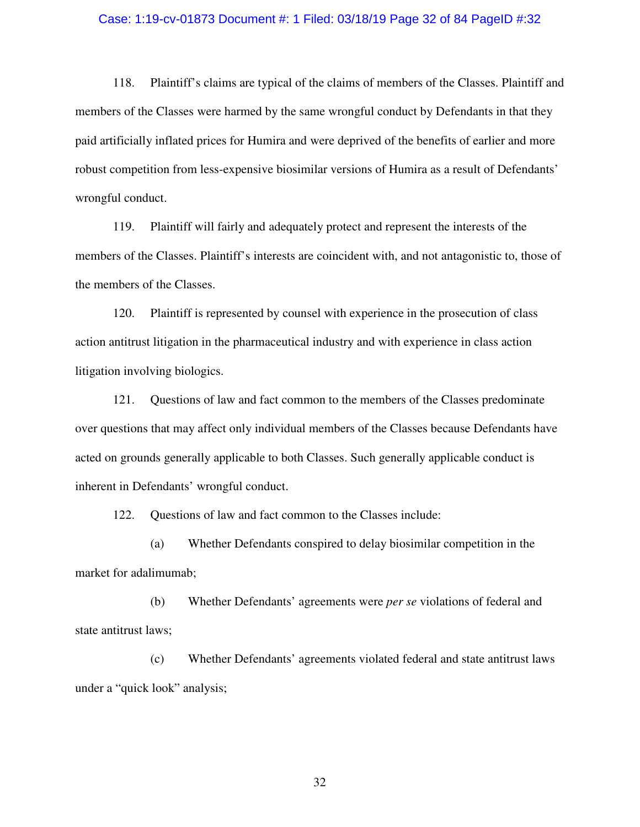#### Case: 1:19-cv-01873 Document #: 1 Filed: 03/18/19 Page 32 of 84 PageID #:32

118. Plaintiff's claims are typical of the claims of members of the Classes. Plaintiff and members of the Classes were harmed by the same wrongful conduct by Defendants in that they paid artificially inflated prices for Humira and were deprived of the benefits of earlier and more robust competition from less-expensive biosimilar versions of Humira as a result of Defendants' wrongful conduct.

119. Plaintiff will fairly and adequately protect and represent the interests of the members of the Classes. Plaintiff's interests are coincident with, and not antagonistic to, those of the members of the Classes.

120. Plaintiff is represented by counsel with experience in the prosecution of class action antitrust litigation in the pharmaceutical industry and with experience in class action litigation involving biologics.

121. Questions of law and fact common to the members of the Classes predominate over questions that may affect only individual members of the Classes because Defendants have acted on grounds generally applicable to both Classes. Such generally applicable conduct is inherent in Defendants' wrongful conduct.

122. Questions of law and fact common to the Classes include:

(a) Whether Defendants conspired to delay biosimilar competition in the market for adalimumab;

(b) Whether Defendants' agreements were *per se* violations of federal and state antitrust laws;

(c) Whether Defendants' agreements violated federal and state antitrust laws under a "quick look" analysis;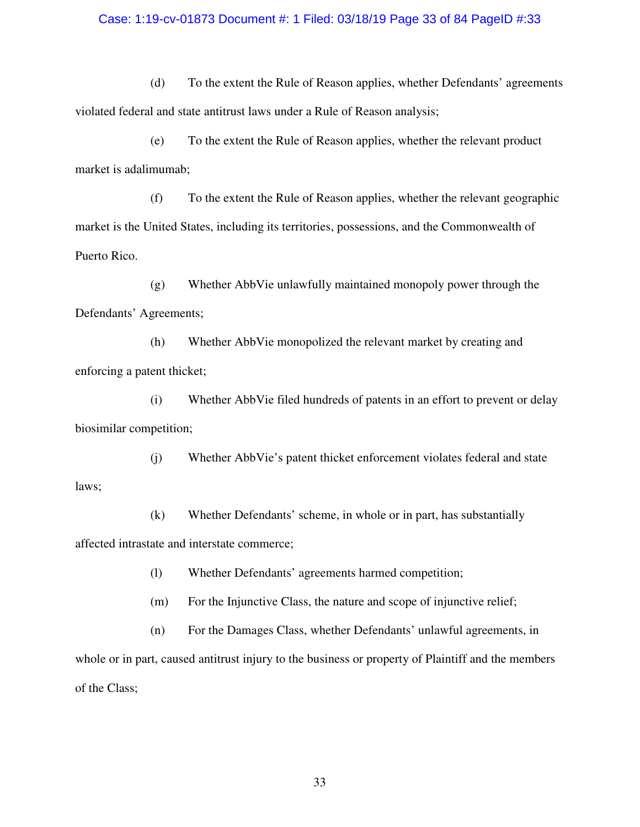### Case: 1:19-cv-01873 Document #: 1 Filed: 03/18/19 Page 33 of 84 PageID #:33

(d) To the extent the Rule of Reason applies, whether Defendants' agreements violated federal and state antitrust laws under a Rule of Reason analysis;

(e) To the extent the Rule of Reason applies, whether the relevant product market is adalimumab;

(f) To the extent the Rule of Reason applies, whether the relevant geographic market is the United States, including its territories, possessions, and the Commonwealth of Puerto Rico.

(g) Whether AbbVie unlawfully maintained monopoly power through the Defendants' Agreements;

(h) Whether AbbVie monopolized the relevant market by creating and enforcing a patent thicket;

(i) Whether AbbVie filed hundreds of patents in an effort to prevent or delay biosimilar competition;

(j) Whether AbbVie's patent thicket enforcement violates federal and state laws;

(k) Whether Defendants' scheme, in whole or in part, has substantially affected intrastate and interstate commerce;

(l) Whether Defendants' agreements harmed competition;

(m) For the Injunctive Class, the nature and scope of injunctive relief;

(n) For the Damages Class, whether Defendants' unlawful agreements, in whole or in part, caused antitrust injury to the business or property of Plaintiff and the members of the Class;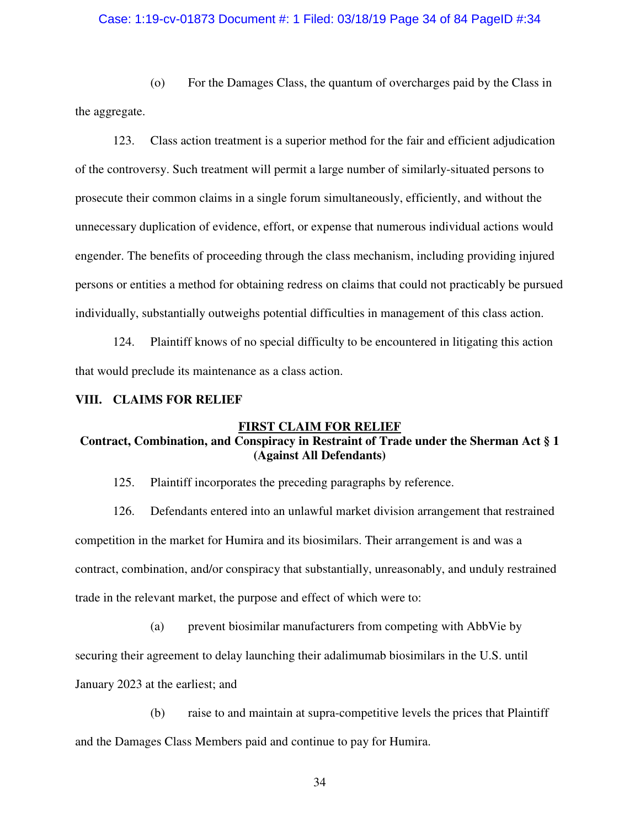### Case: 1:19-cv-01873 Document #: 1 Filed: 03/18/19 Page 34 of 84 PageID #:34

(o) For the Damages Class, the quantum of overcharges paid by the Class in the aggregate.

123. Class action treatment is a superior method for the fair and efficient adjudication of the controversy. Such treatment will permit a large number of similarly-situated persons to prosecute their common claims in a single forum simultaneously, efficiently, and without the unnecessary duplication of evidence, effort, or expense that numerous individual actions would engender. The benefits of proceeding through the class mechanism, including providing injured persons or entities a method for obtaining redress on claims that could not practicably be pursued individually, substantially outweighs potential difficulties in management of this class action.

124. Plaintiff knows of no special difficulty to be encountered in litigating this action that would preclude its maintenance as a class action.

#### **VIII. CLAIMS FOR RELIEF**

#### **FIRST CLAIM FOR RELIEF**

# **Contract, Combination, and Conspiracy in Restraint of Trade under the Sherman Act § 1 (Against All Defendants)**

125. Plaintiff incorporates the preceding paragraphs by reference.

126. Defendants entered into an unlawful market division arrangement that restrained competition in the market for Humira and its biosimilars. Their arrangement is and was a contract, combination, and/or conspiracy that substantially, unreasonably, and unduly restrained trade in the relevant market, the purpose and effect of which were to:

(a) prevent biosimilar manufacturers from competing with AbbVie by

securing their agreement to delay launching their adalimumab biosimilars in the U.S. until

January 2023 at the earliest; and

(b) raise to and maintain at supra-competitive levels the prices that Plaintiff and the Damages Class Members paid and continue to pay for Humira.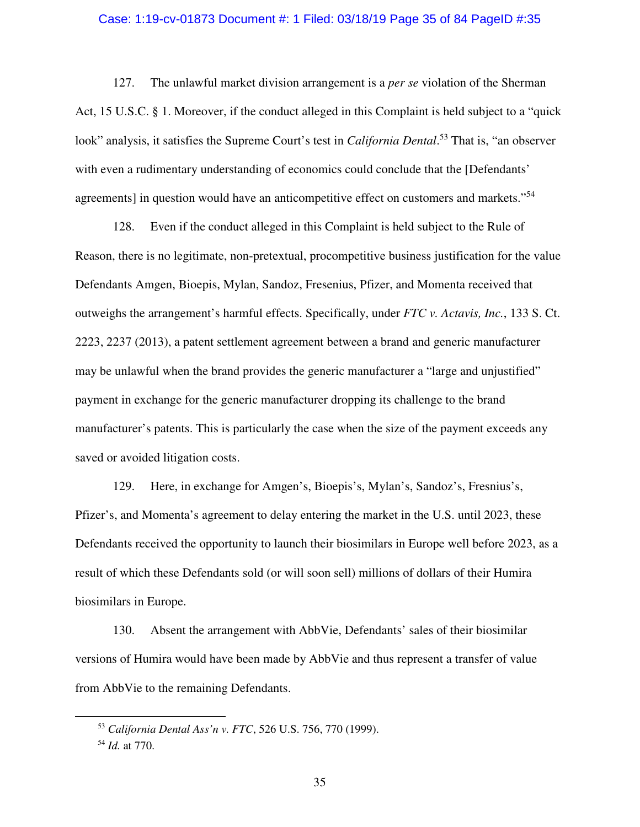#### Case: 1:19-cv-01873 Document #: 1 Filed: 03/18/19 Page 35 of 84 PageID #:35

127. The unlawful market division arrangement is a *per se* violation of the Sherman Act, 15 U.S.C. § 1. Moreover, if the conduct alleged in this Complaint is held subject to a "quick look" analysis, it satisfies the Supreme Court's test in *California Dental*. <sup>53</sup> That is, "an observer with even a rudimentary understanding of economics could conclude that the [Defendants' agreements] in question would have an anticompetitive effect on customers and markets."<sup>54</sup>

128. Even if the conduct alleged in this Complaint is held subject to the Rule of Reason, there is no legitimate, non-pretextual, procompetitive business justification for the value Defendants Amgen, Bioepis, Mylan, Sandoz, Fresenius, Pfizer, and Momenta received that outweighs the arrangement's harmful effects. Specifically, under *FTC v. Actavis, Inc.*, 133 S. Ct. 2223, 2237 (2013), a patent settlement agreement between a brand and generic manufacturer may be unlawful when the brand provides the generic manufacturer a "large and unjustified" payment in exchange for the generic manufacturer dropping its challenge to the brand manufacturer's patents. This is particularly the case when the size of the payment exceeds any saved or avoided litigation costs.

129. Here, in exchange for Amgen's, Bioepis's, Mylan's, Sandoz's, Fresnius's, Pfizer's, and Momenta's agreement to delay entering the market in the U.S. until 2023, these Defendants received the opportunity to launch their biosimilars in Europe well before 2023, as a result of which these Defendants sold (or will soon sell) millions of dollars of their Humira biosimilars in Europe.

130. Absent the arrangement with AbbVie, Defendants' sales of their biosimilar versions of Humira would have been made by AbbVie and thus represent a transfer of value from AbbVie to the remaining Defendants.

<u>.</u>

<sup>53</sup> *California Dental Ass'n v. FTC*, 526 U.S. 756, 770 (1999).

<sup>54</sup> *Id.* at 770.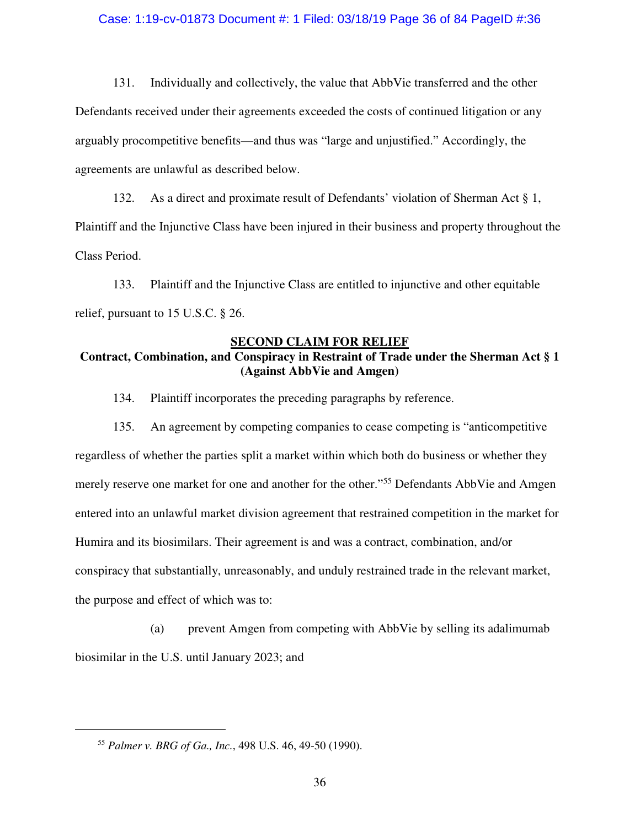### Case: 1:19-cv-01873 Document #: 1 Filed: 03/18/19 Page 36 of 84 PageID #:36

131. Individually and collectively, the value that AbbVie transferred and the other Defendants received under their agreements exceeded the costs of continued litigation or any arguably procompetitive benefits—and thus was "large and unjustified." Accordingly, the agreements are unlawful as described below.

132. As a direct and proximate result of Defendants' violation of Sherman Act § 1, Plaintiff and the Injunctive Class have been injured in their business and property throughout the Class Period.

133. Plaintiff and the Injunctive Class are entitled to injunctive and other equitable relief, pursuant to 15 U.S.C. § 26.

### **SECOND CLAIM FOR RELIEF**

# **Contract, Combination, and Conspiracy in Restraint of Trade under the Sherman Act § 1 (Against AbbVie and Amgen)**

134. Plaintiff incorporates the preceding paragraphs by reference.

135. An agreement by competing companies to cease competing is "anticompetitive regardless of whether the parties split a market within which both do business or whether they merely reserve one market for one and another for the other."<sup>55</sup> Defendants AbbVie and Amgen entered into an unlawful market division agreement that restrained competition in the market for Humira and its biosimilars. Their agreement is and was a contract, combination, and/or conspiracy that substantially, unreasonably, and unduly restrained trade in the relevant market, the purpose and effect of which was to:

(a) prevent Amgen from competing with AbbVie by selling its adalimumab biosimilar in the U.S. until January 2023; and

<sup>55</sup> *Palmer v. BRG of Ga., Inc.*, 498 U.S. 46, 49-50 (1990).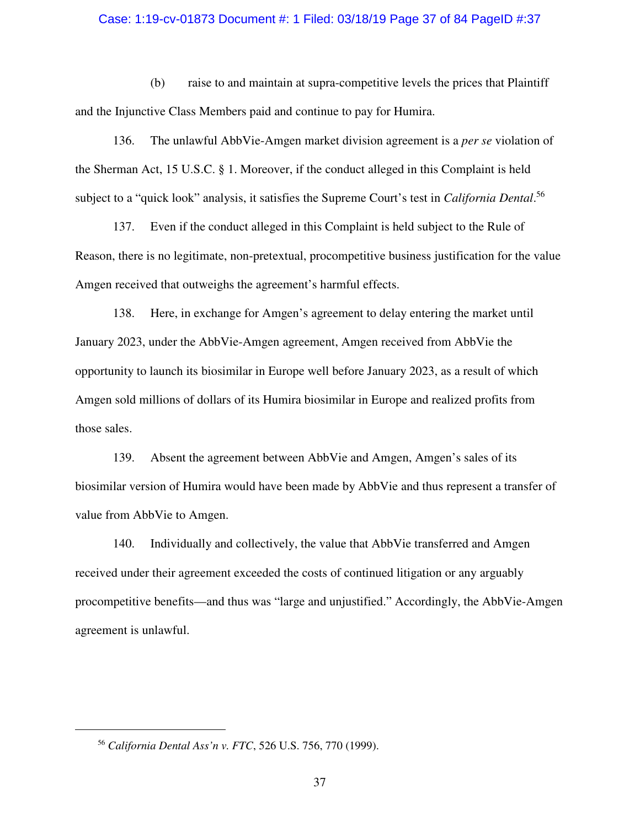#### Case: 1:19-cv-01873 Document #: 1 Filed: 03/18/19 Page 37 of 84 PageID #:37

(b) raise to and maintain at supra-competitive levels the prices that Plaintiff and the Injunctive Class Members paid and continue to pay for Humira.

136. The unlawful AbbVie-Amgen market division agreement is a *per se* violation of the Sherman Act, 15 U.S.C. § 1. Moreover, if the conduct alleged in this Complaint is held subject to a "quick look" analysis, it satisfies the Supreme Court's test in *California Dental*. 56

137. Even if the conduct alleged in this Complaint is held subject to the Rule of Reason, there is no legitimate, non-pretextual, procompetitive business justification for the value Amgen received that outweighs the agreement's harmful effects.

138. Here, in exchange for Amgen's agreement to delay entering the market until January 2023, under the AbbVie-Amgen agreement, Amgen received from AbbVie the opportunity to launch its biosimilar in Europe well before January 2023, as a result of which Amgen sold millions of dollars of its Humira biosimilar in Europe and realized profits from those sales.

139. Absent the agreement between AbbVie and Amgen, Amgen's sales of its biosimilar version of Humira would have been made by AbbVie and thus represent a transfer of value from AbbVie to Amgen.

140. Individually and collectively, the value that AbbVie transferred and Amgen received under their agreement exceeded the costs of continued litigation or any arguably procompetitive benefits—and thus was "large and unjustified." Accordingly, the AbbVie-Amgen agreement is unlawful.

 $\overline{a}$ 

<sup>56</sup> *California Dental Ass'n v. FTC*, 526 U.S. 756, 770 (1999).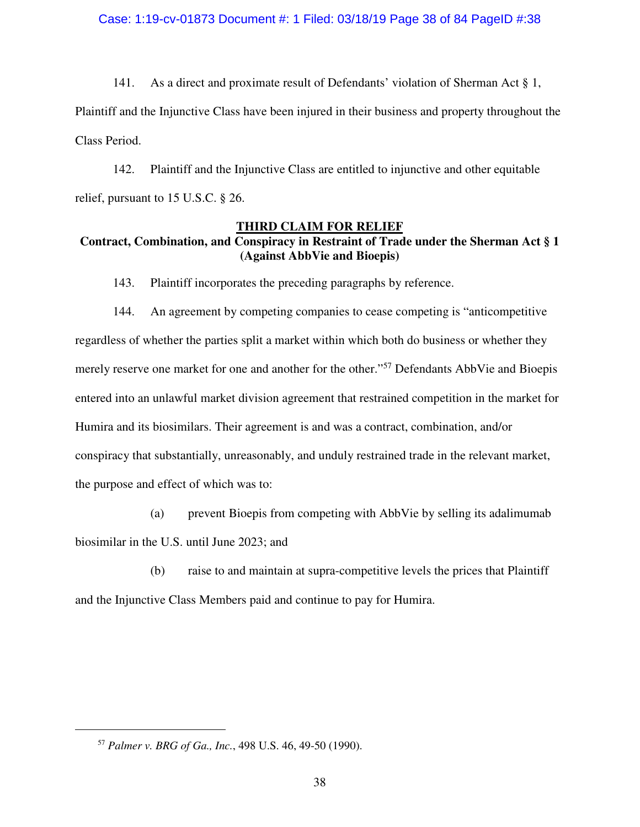141. As a direct and proximate result of Defendants' violation of Sherman Act § 1,

Plaintiff and the Injunctive Class have been injured in their business and property throughout the Class Period.

142. Plaintiff and the Injunctive Class are entitled to injunctive and other equitable relief, pursuant to 15 U.S.C. § 26.

## **THIRD CLAIM FOR RELIEF**

# **Contract, Combination, and Conspiracy in Restraint of Trade under the Sherman Act § 1 (Against AbbVie and Bioepis)**

143. Plaintiff incorporates the preceding paragraphs by reference.

144. An agreement by competing companies to cease competing is "anticompetitive regardless of whether the parties split a market within which both do business or whether they merely reserve one market for one and another for the other."<sup>57</sup> Defendants AbbVie and Bioepis entered into an unlawful market division agreement that restrained competition in the market for Humira and its biosimilars. Their agreement is and was a contract, combination, and/or conspiracy that substantially, unreasonably, and unduly restrained trade in the relevant market, the purpose and effect of which was to:

(a) prevent Bioepis from competing with AbbVie by selling its adalimumab biosimilar in the U.S. until June 2023; and

(b) raise to and maintain at supra-competitive levels the prices that Plaintiff and the Injunctive Class Members paid and continue to pay for Humira.

 $\overline{a}$ 

<sup>57</sup> *Palmer v. BRG of Ga., Inc.*, 498 U.S. 46, 49-50 (1990).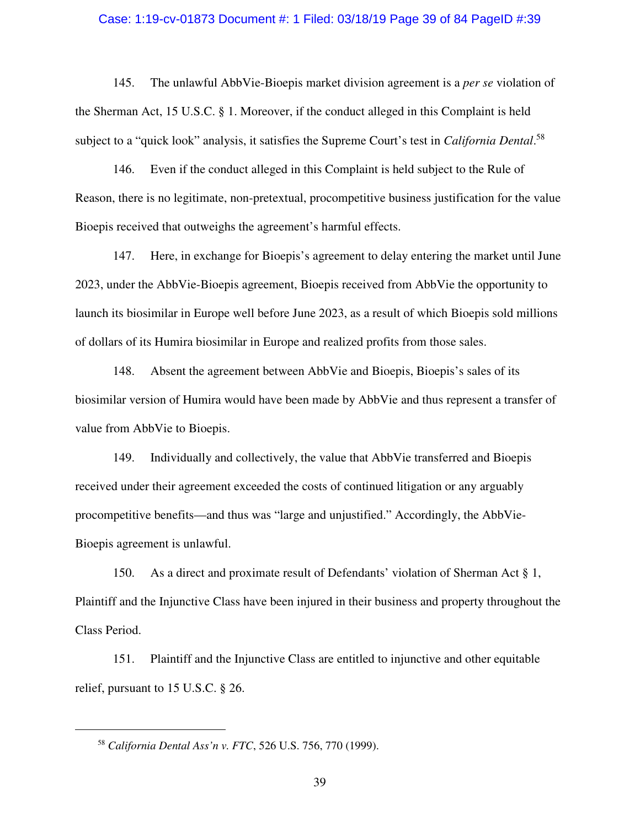#### Case: 1:19-cv-01873 Document #: 1 Filed: 03/18/19 Page 39 of 84 PageID #:39

145. The unlawful AbbVie-Bioepis market division agreement is a *per se* violation of the Sherman Act, 15 U.S.C. § 1. Moreover, if the conduct alleged in this Complaint is held subject to a "quick look" analysis, it satisfies the Supreme Court's test in *California Dental*. 58

146. Even if the conduct alleged in this Complaint is held subject to the Rule of Reason, there is no legitimate, non-pretextual, procompetitive business justification for the value Bioepis received that outweighs the agreement's harmful effects.

147. Here, in exchange for Bioepis's agreement to delay entering the market until June 2023, under the AbbVie-Bioepis agreement, Bioepis received from AbbVie the opportunity to launch its biosimilar in Europe well before June 2023, as a result of which Bioepis sold millions of dollars of its Humira biosimilar in Europe and realized profits from those sales.

148. Absent the agreement between AbbVie and Bioepis, Bioepis's sales of its biosimilar version of Humira would have been made by AbbVie and thus represent a transfer of value from AbbVie to Bioepis.

149. Individually and collectively, the value that AbbVie transferred and Bioepis received under their agreement exceeded the costs of continued litigation or any arguably procompetitive benefits—and thus was "large and unjustified." Accordingly, the AbbVie-Bioepis agreement is unlawful.

150. As a direct and proximate result of Defendants' violation of Sherman Act § 1, Plaintiff and the Injunctive Class have been injured in their business and property throughout the Class Period.

151. Plaintiff and the Injunctive Class are entitled to injunctive and other equitable relief, pursuant to 15 U.S.C. § 26.

<sup>58</sup> *California Dental Ass'n v. FTC*, 526 U.S. 756, 770 (1999).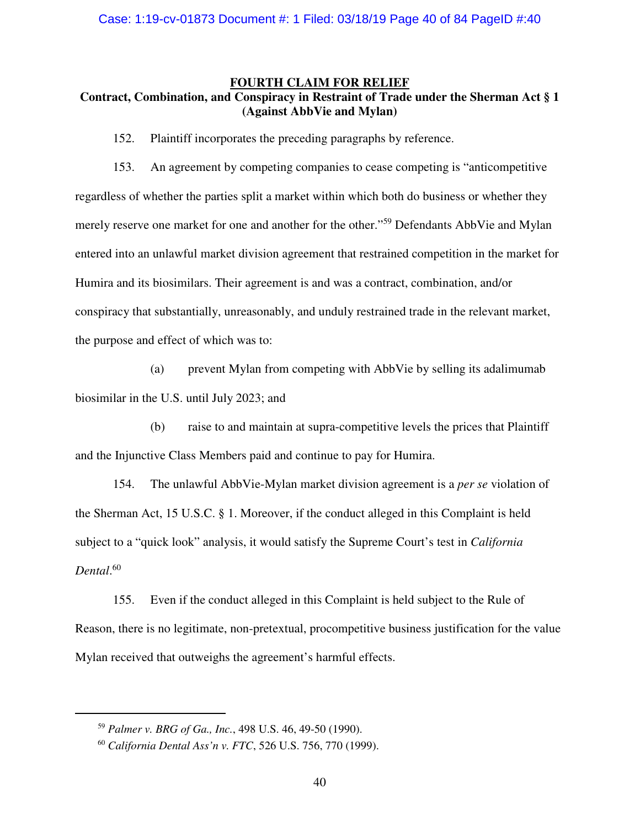#### **FOURTH CLAIM FOR RELIEF**

# **Contract, Combination, and Conspiracy in Restraint of Trade under the Sherman Act § 1 (Against AbbVie and Mylan)**

152. Plaintiff incorporates the preceding paragraphs by reference.

153. An agreement by competing companies to cease competing is "anticompetitive regardless of whether the parties split a market within which both do business or whether they merely reserve one market for one and another for the other."<sup>59</sup> Defendants AbbVie and Mylan entered into an unlawful market division agreement that restrained competition in the market for Humira and its biosimilars. Their agreement is and was a contract, combination, and/or conspiracy that substantially, unreasonably, and unduly restrained trade in the relevant market, the purpose and effect of which was to:

(a) prevent Mylan from competing with AbbVie by selling its adalimumab biosimilar in the U.S. until July 2023; and

(b) raise to and maintain at supra-competitive levels the prices that Plaintiff and the Injunctive Class Members paid and continue to pay for Humira.

154. The unlawful AbbVie-Mylan market division agreement is a *per se* violation of the Sherman Act, 15 U.S.C. § 1. Moreover, if the conduct alleged in this Complaint is held subject to a "quick look" analysis, it would satisfy the Supreme Court's test in *California Dental*. 60

155. Even if the conduct alleged in this Complaint is held subject to the Rule of Reason, there is no legitimate, non-pretextual, procompetitive business justification for the value Mylan received that outweighs the agreement's harmful effects.

<sup>59</sup> *Palmer v. BRG of Ga., Inc.*, 498 U.S. 46, 49-50 (1990).

<sup>60</sup> *California Dental Ass'n v. FTC*, 526 U.S. 756, 770 (1999).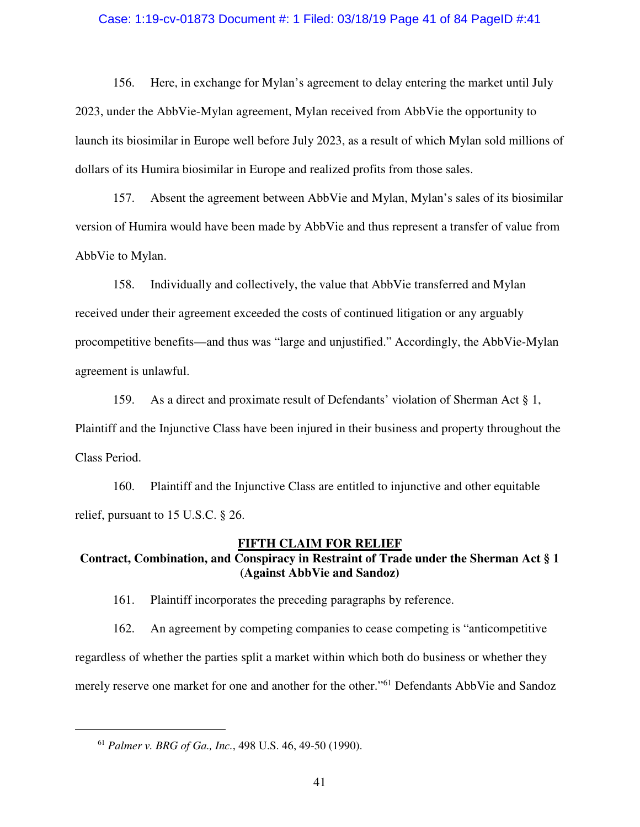#### Case: 1:19-cv-01873 Document #: 1 Filed: 03/18/19 Page 41 of 84 PageID #:41

156. Here, in exchange for Mylan's agreement to delay entering the market until July 2023, under the AbbVie-Mylan agreement, Mylan received from AbbVie the opportunity to launch its biosimilar in Europe well before July 2023, as a result of which Mylan sold millions of dollars of its Humira biosimilar in Europe and realized profits from those sales.

157. Absent the agreement between AbbVie and Mylan, Mylan's sales of its biosimilar version of Humira would have been made by AbbVie and thus represent a transfer of value from AbbVie to Mylan.

158. Individually and collectively, the value that AbbVie transferred and Mylan received under their agreement exceeded the costs of continued litigation or any arguably procompetitive benefits—and thus was "large and unjustified." Accordingly, the AbbVie-Mylan agreement is unlawful.

159. As a direct and proximate result of Defendants' violation of Sherman Act § 1, Plaintiff and the Injunctive Class have been injured in their business and property throughout the Class Period.

160. Plaintiff and the Injunctive Class are entitled to injunctive and other equitable relief, pursuant to 15 U.S.C. § 26.

#### **FIFTH CLAIM FOR RELIEF**

# **Contract, Combination, and Conspiracy in Restraint of Trade under the Sherman Act § 1 (Against AbbVie and Sandoz)**

161. Plaintiff incorporates the preceding paragraphs by reference.

162. An agreement by competing companies to cease competing is "anticompetitive regardless of whether the parties split a market within which both do business or whether they merely reserve one market for one and another for the other."<sup>61</sup> Defendants AbbVie and Sandoz

<sup>61</sup> *Palmer v. BRG of Ga., Inc.*, 498 U.S. 46, 49-50 (1990).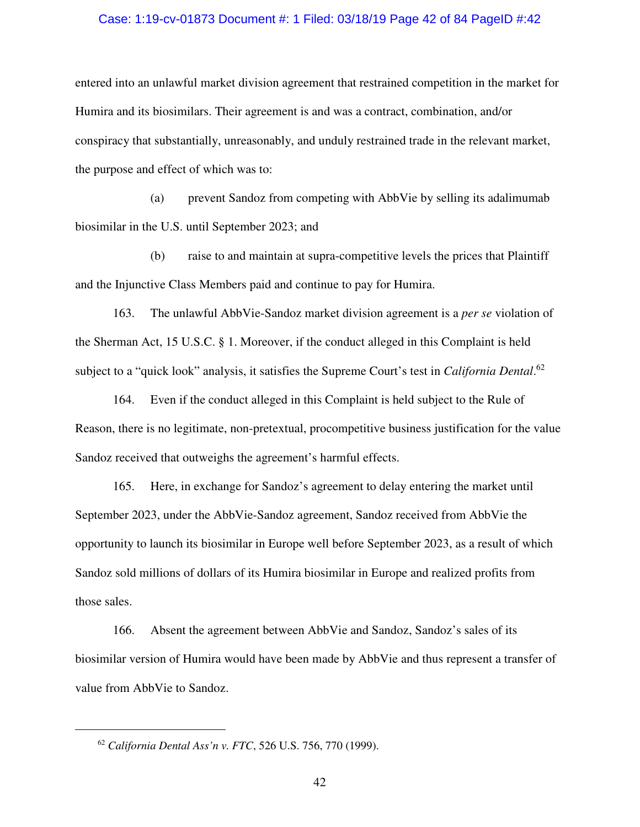#### Case: 1:19-cv-01873 Document #: 1 Filed: 03/18/19 Page 42 of 84 PageID #:42

entered into an unlawful market division agreement that restrained competition in the market for Humira and its biosimilars. Their agreement is and was a contract, combination, and/or conspiracy that substantially, unreasonably, and unduly restrained trade in the relevant market, the purpose and effect of which was to:

(a) prevent Sandoz from competing with AbbVie by selling its adalimumab biosimilar in the U.S. until September 2023; and

(b) raise to and maintain at supra-competitive levels the prices that Plaintiff and the Injunctive Class Members paid and continue to pay for Humira.

163. The unlawful AbbVie-Sandoz market division agreement is a *per se* violation of the Sherman Act, 15 U.S.C. § 1. Moreover, if the conduct alleged in this Complaint is held subject to a "quick look" analysis, it satisfies the Supreme Court's test in *California Dental*. 62

164. Even if the conduct alleged in this Complaint is held subject to the Rule of Reason, there is no legitimate, non-pretextual, procompetitive business justification for the value Sandoz received that outweighs the agreement's harmful effects.

165. Here, in exchange for Sandoz's agreement to delay entering the market until September 2023, under the AbbVie-Sandoz agreement, Sandoz received from AbbVie the opportunity to launch its biosimilar in Europe well before September 2023, as a result of which Sandoz sold millions of dollars of its Humira biosimilar in Europe and realized profits from those sales.

166. Absent the agreement between AbbVie and Sandoz, Sandoz's sales of its biosimilar version of Humira would have been made by AbbVie and thus represent a transfer of value from AbbVie to Sandoz.

<sup>62</sup> *California Dental Ass'n v. FTC*, 526 U.S. 756, 770 (1999).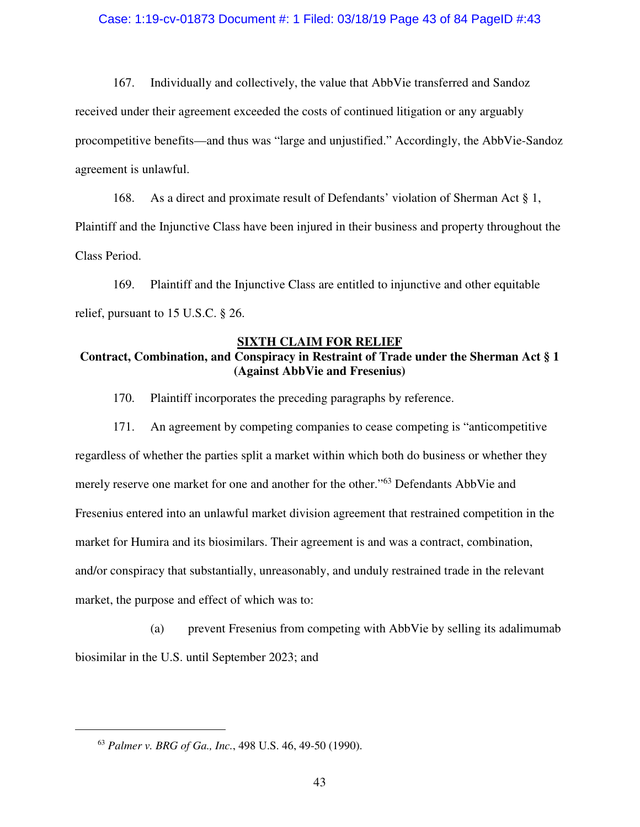#### Case: 1:19-cv-01873 Document #: 1 Filed: 03/18/19 Page 43 of 84 PageID #:43

167. Individually and collectively, the value that AbbVie transferred and Sandoz received under their agreement exceeded the costs of continued litigation or any arguably procompetitive benefits—and thus was "large and unjustified." Accordingly, the AbbVie-Sandoz agreement is unlawful.

168. As a direct and proximate result of Defendants' violation of Sherman Act § 1, Plaintiff and the Injunctive Class have been injured in their business and property throughout the Class Period.

169. Plaintiff and the Injunctive Class are entitled to injunctive and other equitable relief, pursuant to 15 U.S.C. § 26.

### **SIXTH CLAIM FOR RELIEF**

# **Contract, Combination, and Conspiracy in Restraint of Trade under the Sherman Act § 1 (Against AbbVie and Fresenius)**

170. Plaintiff incorporates the preceding paragraphs by reference.

171. An agreement by competing companies to cease competing is "anticompetitive regardless of whether the parties split a market within which both do business or whether they merely reserve one market for one and another for the other."<sup>63</sup> Defendants AbbVie and Fresenius entered into an unlawful market division agreement that restrained competition in the market for Humira and its biosimilars. Their agreement is and was a contract, combination, and/or conspiracy that substantially, unreasonably, and unduly restrained trade in the relevant market, the purpose and effect of which was to:

(a) prevent Fresenius from competing with AbbVie by selling its adalimumab biosimilar in the U.S. until September 2023; and

<sup>63</sup> *Palmer v. BRG of Ga., Inc.*, 498 U.S. 46, 49-50 (1990).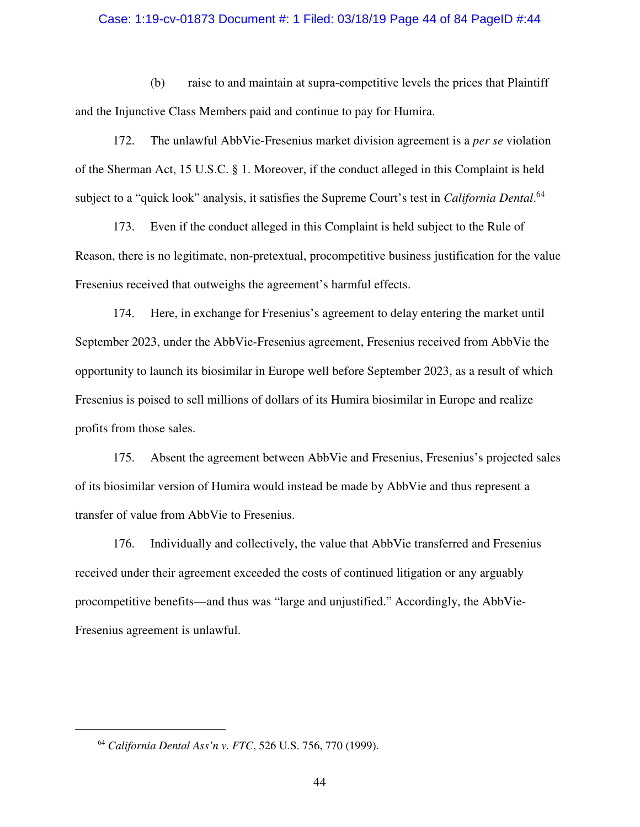#### Case: 1:19-cv-01873 Document #: 1 Filed: 03/18/19 Page 44 of 84 PageID #:44

(b) raise to and maintain at supra-competitive levels the prices that Plaintiff and the Injunctive Class Members paid and continue to pay for Humira.

172. The unlawful AbbVie-Fresenius market division agreement is a *per se* violation of the Sherman Act, 15 U.S.C. § 1. Moreover, if the conduct alleged in this Complaint is held subject to a "quick look" analysis, it satisfies the Supreme Court's test in *California Dental*. 64

173. Even if the conduct alleged in this Complaint is held subject to the Rule of Reason, there is no legitimate, non-pretextual, procompetitive business justification for the value Fresenius received that outweighs the agreement's harmful effects.

174. Here, in exchange for Fresenius's agreement to delay entering the market until September 2023, under the AbbVie-Fresenius agreement, Fresenius received from AbbVie the opportunity to launch its biosimilar in Europe well before September 2023, as a result of which Fresenius is poised to sell millions of dollars of its Humira biosimilar in Europe and realize profits from those sales.

175. Absent the agreement between AbbVie and Fresenius, Fresenius's projected sales of its biosimilar version of Humira would instead be made by AbbVie and thus represent a transfer of value from AbbVie to Fresenius.

176. Individually and collectively, the value that AbbVie transferred and Fresenius received under their agreement exceeded the costs of continued litigation or any arguably procompetitive benefits—and thus was "large and unjustified." Accordingly, the AbbVie-Fresenius agreement is unlawful.

 $\overline{a}$ 

<sup>64</sup> *California Dental Ass'n v. FTC*, 526 U.S. 756, 770 (1999).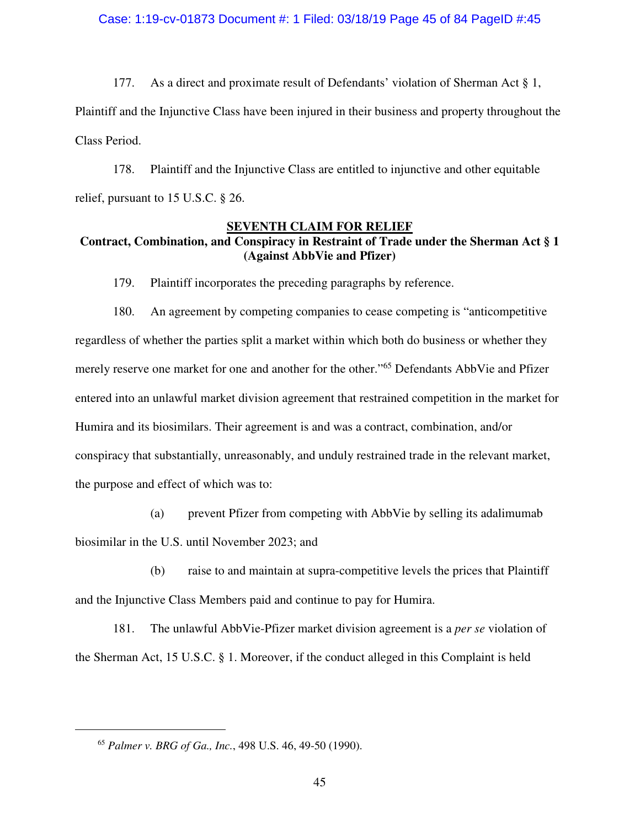177. As a direct and proximate result of Defendants' violation of Sherman Act § 1, Plaintiff and the Injunctive Class have been injured in their business and property throughout the Class Period.

178. Plaintiff and the Injunctive Class are entitled to injunctive and other equitable relief, pursuant to 15 U.S.C. § 26.

# **SEVENTH CLAIM FOR RELIEF Contract, Combination, and Conspiracy in Restraint of Trade under the Sherman Act § 1 (Against AbbVie and Pfizer)**

179. Plaintiff incorporates the preceding paragraphs by reference.

180. An agreement by competing companies to cease competing is "anticompetitive regardless of whether the parties split a market within which both do business or whether they merely reserve one market for one and another for the other."<sup>65</sup> Defendants AbbVie and Pfizer entered into an unlawful market division agreement that restrained competition in the market for Humira and its biosimilars. Their agreement is and was a contract, combination, and/or conspiracy that substantially, unreasonably, and unduly restrained trade in the relevant market, the purpose and effect of which was to:

(a) prevent Pfizer from competing with AbbVie by selling its adalimumab biosimilar in the U.S. until November 2023; and

(b) raise to and maintain at supra-competitive levels the prices that Plaintiff and the Injunctive Class Members paid and continue to pay for Humira.

181. The unlawful AbbVie-Pfizer market division agreement is a *per se* violation of the Sherman Act, 15 U.S.C. § 1. Moreover, if the conduct alleged in this Complaint is held

<sup>65</sup> *Palmer v. BRG of Ga., Inc.*, 498 U.S. 46, 49-50 (1990).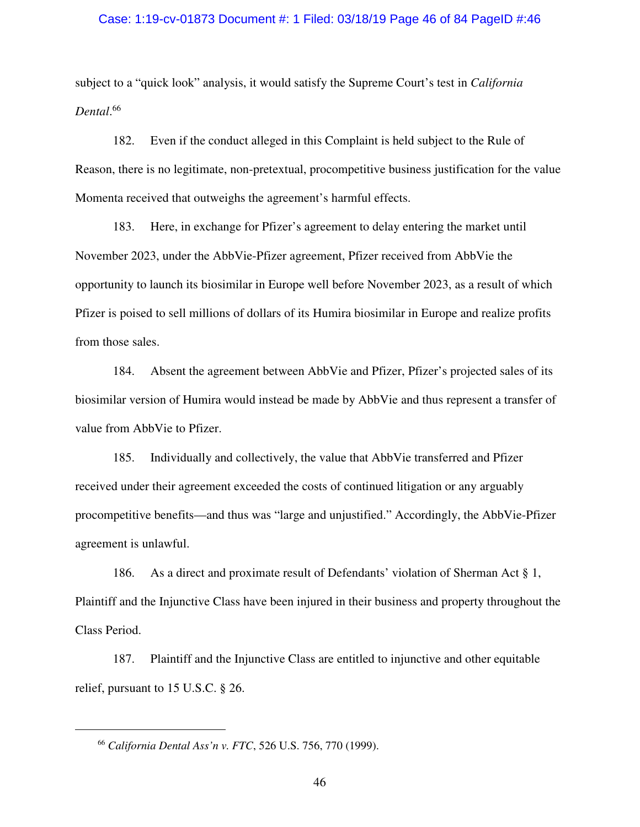#### Case: 1:19-cv-01873 Document #: 1 Filed: 03/18/19 Page 46 of 84 PageID #:46

subject to a "quick look" analysis, it would satisfy the Supreme Court's test in *California Dental*. 66

182. Even if the conduct alleged in this Complaint is held subject to the Rule of Reason, there is no legitimate, non-pretextual, procompetitive business justification for the value Momenta received that outweighs the agreement's harmful effects.

183. Here, in exchange for Pfizer's agreement to delay entering the market until November 2023, under the AbbVie-Pfizer agreement, Pfizer received from AbbVie the opportunity to launch its biosimilar in Europe well before November 2023, as a result of which Pfizer is poised to sell millions of dollars of its Humira biosimilar in Europe and realize profits from those sales.

184. Absent the agreement between AbbVie and Pfizer, Pfizer's projected sales of its biosimilar version of Humira would instead be made by AbbVie and thus represent a transfer of value from AbbVie to Pfizer.

185. Individually and collectively, the value that AbbVie transferred and Pfizer received under their agreement exceeded the costs of continued litigation or any arguably procompetitive benefits—and thus was "large and unjustified." Accordingly, the AbbVie-Pfizer agreement is unlawful.

186. As a direct and proximate result of Defendants' violation of Sherman Act § 1, Plaintiff and the Injunctive Class have been injured in their business and property throughout the Class Period.

187. Plaintiff and the Injunctive Class are entitled to injunctive and other equitable relief, pursuant to 15 U.S.C. § 26.

<sup>66</sup> *California Dental Ass'n v. FTC*, 526 U.S. 756, 770 (1999).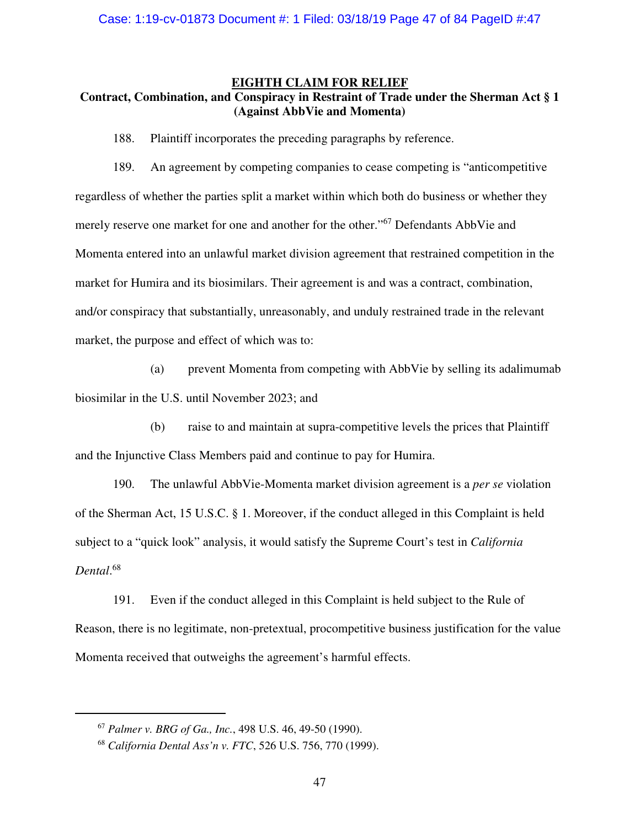### **EIGHTH CLAIM FOR RELIEF**

# **Contract, Combination, and Conspiracy in Restraint of Trade under the Sherman Act § 1 (Against AbbVie and Momenta)**

188. Plaintiff incorporates the preceding paragraphs by reference.

189. An agreement by competing companies to cease competing is "anticompetitive regardless of whether the parties split a market within which both do business or whether they merely reserve one market for one and another for the other."<sup>67</sup> Defendants AbbVie and Momenta entered into an unlawful market division agreement that restrained competition in the market for Humira and its biosimilars. Their agreement is and was a contract, combination, and/or conspiracy that substantially, unreasonably, and unduly restrained trade in the relevant market, the purpose and effect of which was to:

(a) prevent Momenta from competing with AbbVie by selling its adalimumab biosimilar in the U.S. until November 2023; and

(b) raise to and maintain at supra-competitive levels the prices that Plaintiff and the Injunctive Class Members paid and continue to pay for Humira.

190. The unlawful AbbVie-Momenta market division agreement is a *per se* violation of the Sherman Act, 15 U.S.C. § 1. Moreover, if the conduct alleged in this Complaint is held subject to a "quick look" analysis, it would satisfy the Supreme Court's test in *California Dental*. 68

191. Even if the conduct alleged in this Complaint is held subject to the Rule of Reason, there is no legitimate, non-pretextual, procompetitive business justification for the value Momenta received that outweighs the agreement's harmful effects.

<sup>67</sup> *Palmer v. BRG of Ga., Inc.*, 498 U.S. 46, 49-50 (1990).

<sup>68</sup> *California Dental Ass'n v. FTC*, 526 U.S. 756, 770 (1999).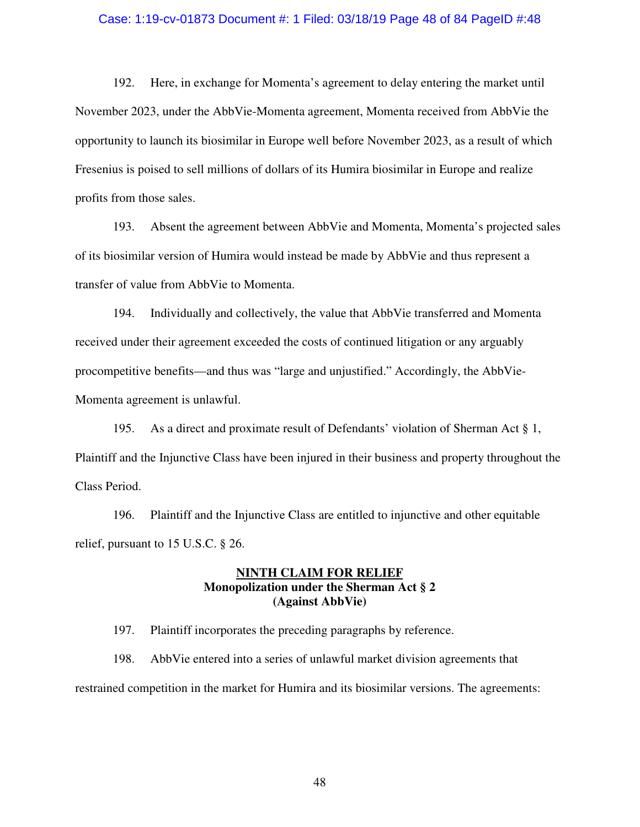#### Case: 1:19-cv-01873 Document #: 1 Filed: 03/18/19 Page 48 of 84 PageID #:48

192. Here, in exchange for Momenta's agreement to delay entering the market until November 2023, under the AbbVie-Momenta agreement, Momenta received from AbbVie the opportunity to launch its biosimilar in Europe well before November 2023, as a result of which Fresenius is poised to sell millions of dollars of its Humira biosimilar in Europe and realize profits from those sales.

193. Absent the agreement between AbbVie and Momenta, Momenta's projected sales of its biosimilar version of Humira would instead be made by AbbVie and thus represent a transfer of value from AbbVie to Momenta.

194. Individually and collectively, the value that AbbVie transferred and Momenta received under their agreement exceeded the costs of continued litigation or any arguably procompetitive benefits—and thus was "large and unjustified." Accordingly, the AbbVie-Momenta agreement is unlawful.

195. As a direct and proximate result of Defendants' violation of Sherman Act § 1, Plaintiff and the Injunctive Class have been injured in their business and property throughout the Class Period.

196. Plaintiff and the Injunctive Class are entitled to injunctive and other equitable relief, pursuant to 15 U.S.C. § 26.

# **NINTH CLAIM FOR RELIEF Monopolization under the Sherman Act § 2 (Against AbbVie)**

197. Plaintiff incorporates the preceding paragraphs by reference.

198. AbbVie entered into a series of unlawful market division agreements that restrained competition in the market for Humira and its biosimilar versions. The agreements: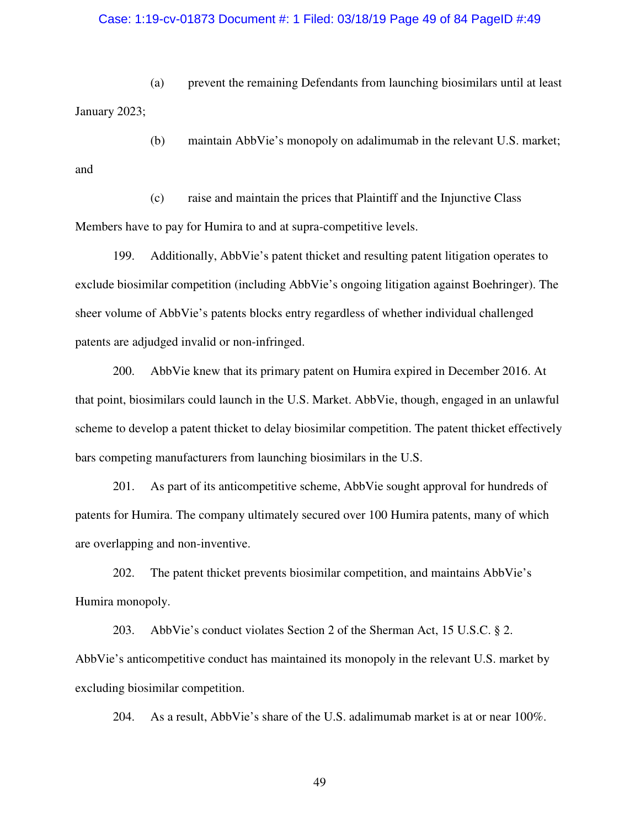# Case: 1:19-cv-01873 Document #: 1 Filed: 03/18/19 Page 49 of 84 PageID #:49

(a) prevent the remaining Defendants from launching biosimilars until at least January 2023;

(b) maintain AbbVie's monopoly on adalimumab in the relevant U.S. market; and

(c) raise and maintain the prices that Plaintiff and the Injunctive Class Members have to pay for Humira to and at supra-competitive levels.

199. Additionally, AbbVie's patent thicket and resulting patent litigation operates to exclude biosimilar competition (including AbbVie's ongoing litigation against Boehringer). The sheer volume of AbbVie's patents blocks entry regardless of whether individual challenged patents are adjudged invalid or non-infringed.

200. AbbVie knew that its primary patent on Humira expired in December 2016. At that point, biosimilars could launch in the U.S. Market. AbbVie, though, engaged in an unlawful scheme to develop a patent thicket to delay biosimilar competition. The patent thicket effectively bars competing manufacturers from launching biosimilars in the U.S.

201. As part of its anticompetitive scheme, AbbVie sought approval for hundreds of patents for Humira. The company ultimately secured over 100 Humira patents, many of which are overlapping and non-inventive.

202. The patent thicket prevents biosimilar competition, and maintains AbbVie's Humira monopoly.

203. AbbVie's conduct violates Section 2 of the Sherman Act, 15 U.S.C. § 2. AbbVie's anticompetitive conduct has maintained its monopoly in the relevant U.S. market by excluding biosimilar competition.

204. As a result, AbbVie's share of the U.S. adalimumab market is at or near 100%.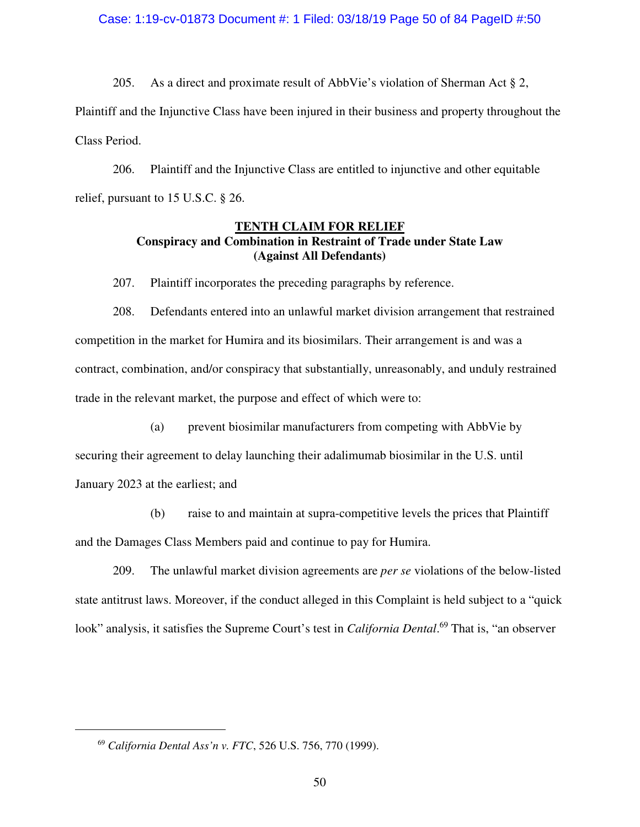### Case: 1:19-cv-01873 Document #: 1 Filed: 03/18/19 Page 50 of 84 PageID #:50

205. As a direct and proximate result of AbbVie's violation of Sherman Act  $\S 2$ , Plaintiff and the Injunctive Class have been injured in their business and property throughout the Class Period.

206. Plaintiff and the Injunctive Class are entitled to injunctive and other equitable relief, pursuant to 15 U.S.C. § 26.

# **TENTH CLAIM FOR RELIEF Conspiracy and Combination in Restraint of Trade under State Law (Against All Defendants)**

207. Plaintiff incorporates the preceding paragraphs by reference.

208. Defendants entered into an unlawful market division arrangement that restrained competition in the market for Humira and its biosimilars. Their arrangement is and was a contract, combination, and/or conspiracy that substantially, unreasonably, and unduly restrained trade in the relevant market, the purpose and effect of which were to:

(a) prevent biosimilar manufacturers from competing with AbbVie by

securing their agreement to delay launching their adalimumab biosimilar in the U.S. until January 2023 at the earliest; and

(b) raise to and maintain at supra-competitive levels the prices that Plaintiff and the Damages Class Members paid and continue to pay for Humira.

209. The unlawful market division agreements are *per se* violations of the below-listed state antitrust laws. Moreover, if the conduct alleged in this Complaint is held subject to a "quick look" analysis, it satisfies the Supreme Court's test in *California Dental*. <sup>69</sup> That is, "an observer

<sup>69</sup> *California Dental Ass'n v. FTC*, 526 U.S. 756, 770 (1999).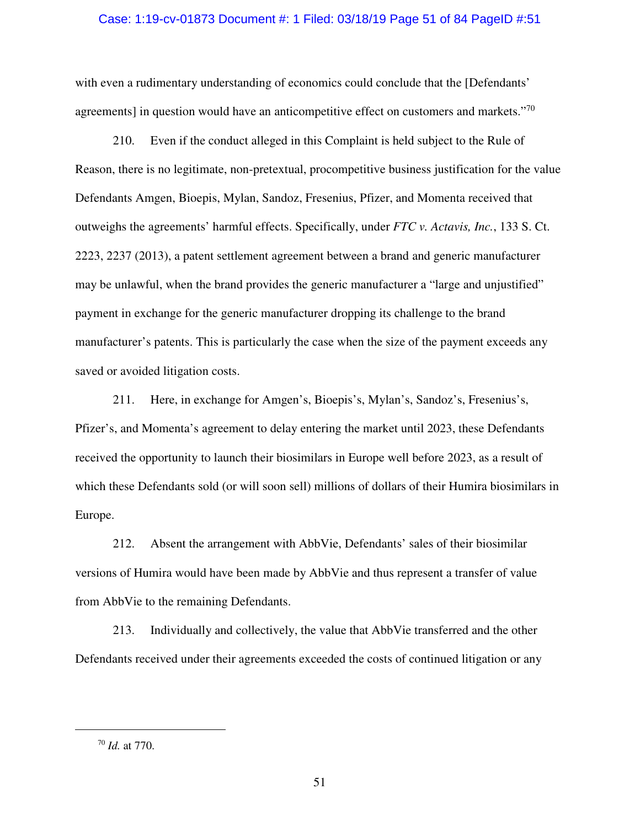#### Case: 1:19-cv-01873 Document #: 1 Filed: 03/18/19 Page 51 of 84 PageID #:51

with even a rudimentary understanding of economics could conclude that the [Defendants' agreements] in question would have an anticompetitive effect on customers and markets."<sup>70</sup>

210. Even if the conduct alleged in this Complaint is held subject to the Rule of Reason, there is no legitimate, non-pretextual, procompetitive business justification for the value Defendants Amgen, Bioepis, Mylan, Sandoz, Fresenius, Pfizer, and Momenta received that outweighs the agreements' harmful effects. Specifically, under *FTC v. Actavis, Inc.*, 133 S. Ct. 2223, 2237 (2013), a patent settlement agreement between a brand and generic manufacturer may be unlawful, when the brand provides the generic manufacturer a "large and unjustified" payment in exchange for the generic manufacturer dropping its challenge to the brand manufacturer's patents. This is particularly the case when the size of the payment exceeds any saved or avoided litigation costs.

211. Here, in exchange for Amgen's, Bioepis's, Mylan's, Sandoz's, Fresenius's, Pfizer's, and Momenta's agreement to delay entering the market until 2023, these Defendants received the opportunity to launch their biosimilars in Europe well before 2023, as a result of which these Defendants sold (or will soon sell) millions of dollars of their Humira biosimilars in Europe.

212. Absent the arrangement with AbbVie, Defendants' sales of their biosimilar versions of Humira would have been made by AbbVie and thus represent a transfer of value from AbbVie to the remaining Defendants.

213. Individually and collectively, the value that AbbVie transferred and the other Defendants received under their agreements exceeded the costs of continued litigation or any

 $\overline{a}$ 

<sup>70</sup> *Id.* at 770.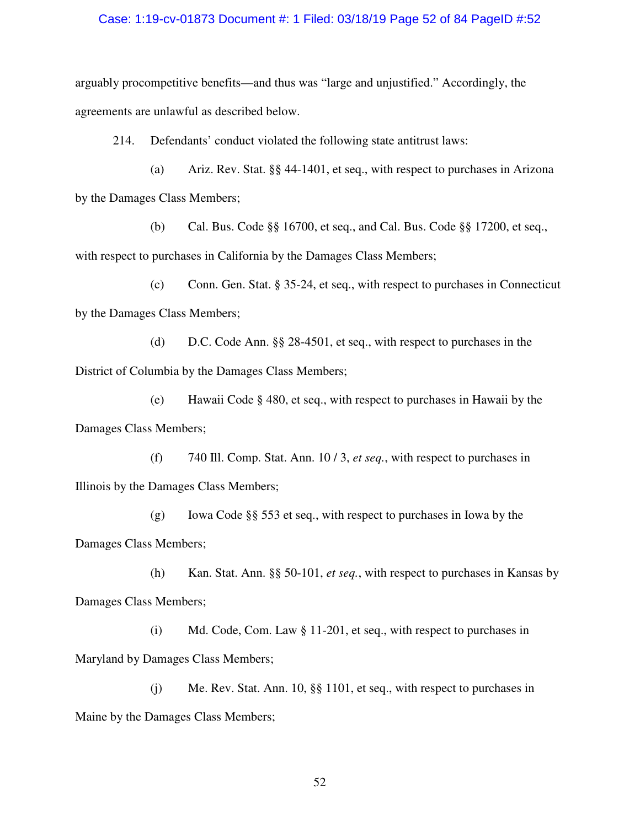### Case: 1:19-cv-01873 Document #: 1 Filed: 03/18/19 Page 52 of 84 PageID #:52

arguably procompetitive benefits—and thus was "large and unjustified." Accordingly, the agreements are unlawful as described below.

214. Defendants' conduct violated the following state antitrust laws:

(a) Ariz. Rev. Stat. §§ 44-1401, et seq., with respect to purchases in Arizona by the Damages Class Members;

(b) Cal. Bus. Code §§ 16700, et seq., and Cal. Bus. Code §§ 17200, et seq., with respect to purchases in California by the Damages Class Members;

(c) Conn. Gen. Stat. § 35-24, et seq., with respect to purchases in Connecticut by the Damages Class Members;

(d) D.C. Code Ann. §§ 28-4501, et seq., with respect to purchases in the District of Columbia by the Damages Class Members;

(e) Hawaii Code § 480, et seq., with respect to purchases in Hawaii by the Damages Class Members;

(f) 740 Ill. Comp. Stat. Ann. 10 / 3, *et seq.*, with respect to purchases in Illinois by the Damages Class Members;

(g) Iowa Code §§ 553 et seq., with respect to purchases in Iowa by the Damages Class Members;

(h) Kan. Stat. Ann. §§ 50-101, *et seq.*, with respect to purchases in Kansas by Damages Class Members;

(i) Md. Code, Com. Law § 11-201, et seq., with respect to purchases in Maryland by Damages Class Members;

(j) Me. Rev. Stat. Ann. 10, §§ 1101, et seq., with respect to purchases in Maine by the Damages Class Members;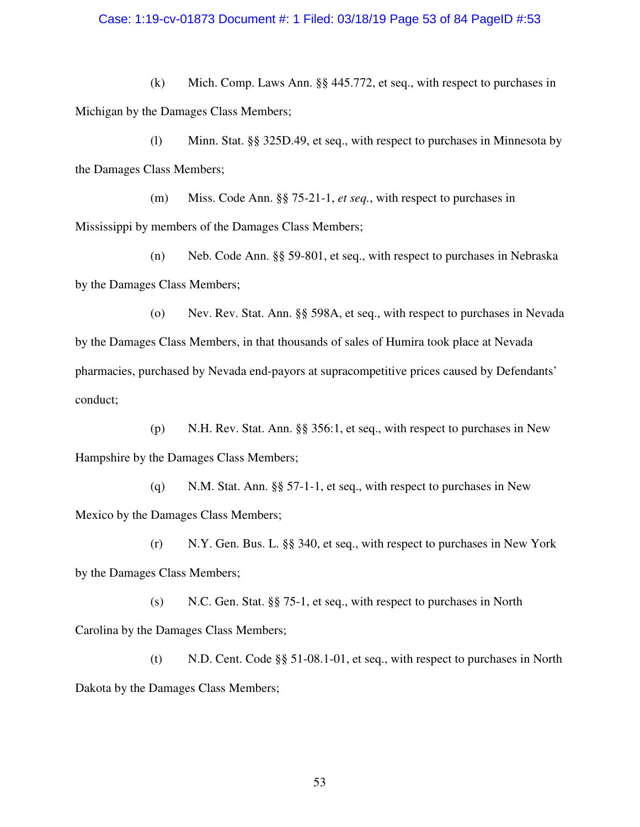### Case: 1:19-cv-01873 Document #: 1 Filed: 03/18/19 Page 53 of 84 PageID #:53

(k) Mich. Comp. Laws Ann. §§ 445.772, et seq., with respect to purchases in Michigan by the Damages Class Members;

(l) Minn. Stat. §§ 325D.49, et seq., with respect to purchases in Minnesota by the Damages Class Members;

(m) Miss. Code Ann. §§ 75-21-1, *et seq.*, with respect to purchases in Mississippi by members of the Damages Class Members;

(n) Neb. Code Ann. §§ 59-801, et seq., with respect to purchases in Nebraska by the Damages Class Members;

(o) Nev. Rev. Stat. Ann. §§ 598A, et seq., with respect to purchases in Nevada by the Damages Class Members, in that thousands of sales of Humira took place at Nevada pharmacies, purchased by Nevada end-payors at supracompetitive prices caused by Defendants' conduct;

(p) N.H. Rev. Stat. Ann. §§ 356:1, et seq., with respect to purchases in New Hampshire by the Damages Class Members;

(q) N.M. Stat. Ann. §§ 57-1-1, et seq., with respect to purchases in New Mexico by the Damages Class Members;

(r) N.Y. Gen. Bus. L. §§ 340, et seq., with respect to purchases in New York by the Damages Class Members;

(s) N.C. Gen. Stat. §§ 75-1, et seq., with respect to purchases in North Carolina by the Damages Class Members;

(t) N.D. Cent. Code §§ 51-08.1-01, et seq., with respect to purchases in North Dakota by the Damages Class Members;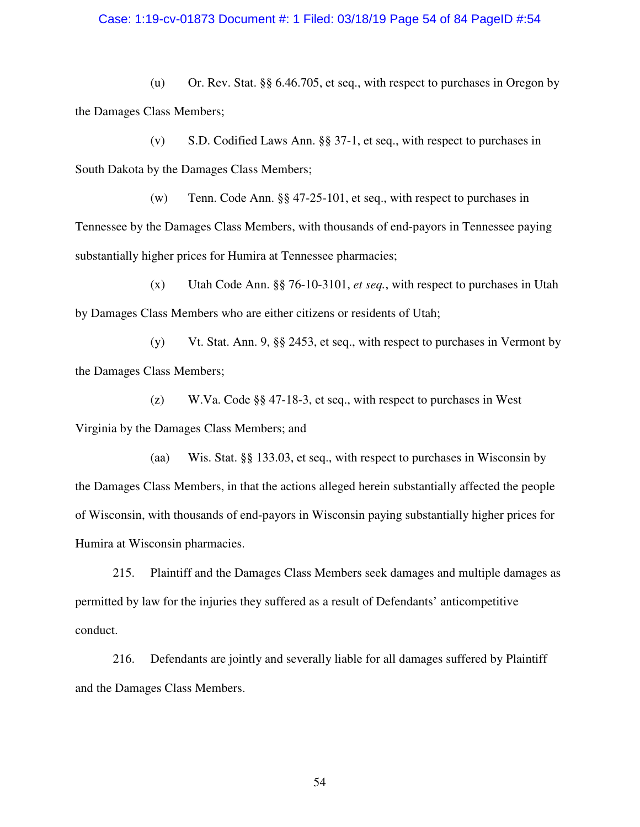### Case: 1:19-cv-01873 Document #: 1 Filed: 03/18/19 Page 54 of 84 PageID #:54

(u) Or. Rev. Stat. §§ 6.46.705, et seq., with respect to purchases in Oregon by the Damages Class Members;

(v) S.D. Codified Laws Ann. §§ 37-1, et seq., with respect to purchases in South Dakota by the Damages Class Members;

(w) Tenn. Code Ann. §§ 47-25-101, et seq., with respect to purchases in Tennessee by the Damages Class Members, with thousands of end-payors in Tennessee paying substantially higher prices for Humira at Tennessee pharmacies;

(x) Utah Code Ann. §§ 76-10-3101, *et seq.*, with respect to purchases in Utah by Damages Class Members who are either citizens or residents of Utah;

(y) Vt. Stat. Ann. 9, §§ 2453, et seq., with respect to purchases in Vermont by the Damages Class Members;

(z) W.Va. Code §§ 47-18-3, et seq., with respect to purchases in West Virginia by the Damages Class Members; and

(aa) Wis. Stat. §§ 133.03, et seq., with respect to purchases in Wisconsin by the Damages Class Members, in that the actions alleged herein substantially affected the people of Wisconsin, with thousands of end-payors in Wisconsin paying substantially higher prices for Humira at Wisconsin pharmacies.

215. Plaintiff and the Damages Class Members seek damages and multiple damages as permitted by law for the injuries they suffered as a result of Defendants' anticompetitive conduct.

216. Defendants are jointly and severally liable for all damages suffered by Plaintiff and the Damages Class Members.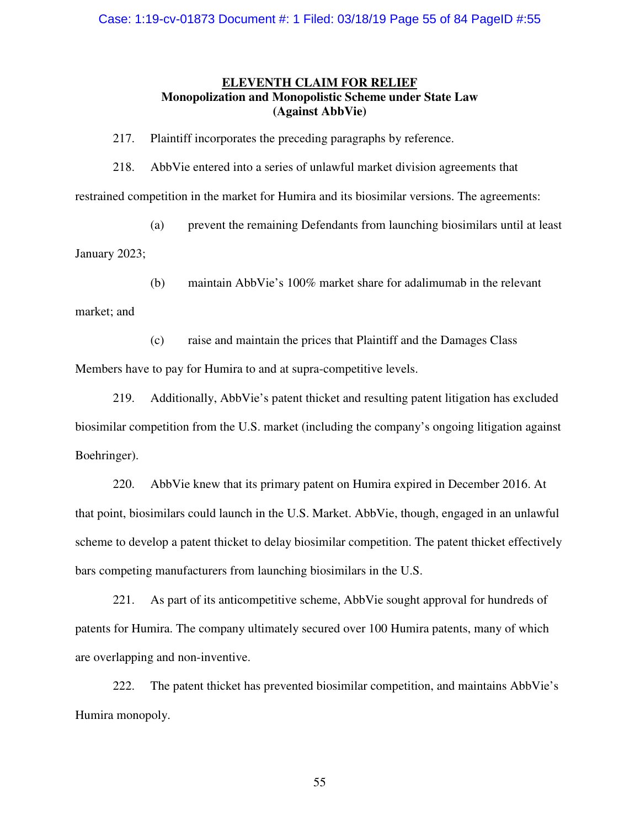# **ELEVENTH CLAIM FOR RELIEF Monopolization and Monopolistic Scheme under State Law (Against AbbVie)**

217. Plaintiff incorporates the preceding paragraphs by reference.

218. AbbVie entered into a series of unlawful market division agreements that restrained competition in the market for Humira and its biosimilar versions. The agreements:

(a) prevent the remaining Defendants from launching biosimilars until at least

January 2023;

(b) maintain AbbVie's 100% market share for adalimumab in the relevant

market; and

(c) raise and maintain the prices that Plaintiff and the Damages Class Members have to pay for Humira to and at supra-competitive levels.

219. Additionally, AbbVie's patent thicket and resulting patent litigation has excluded biosimilar competition from the U.S. market (including the company's ongoing litigation against Boehringer).

220. AbbVie knew that its primary patent on Humira expired in December 2016. At that point, biosimilars could launch in the U.S. Market. AbbVie, though, engaged in an unlawful scheme to develop a patent thicket to delay biosimilar competition. The patent thicket effectively bars competing manufacturers from launching biosimilars in the U.S.

221. As part of its anticompetitive scheme, AbbVie sought approval for hundreds of patents for Humira. The company ultimately secured over 100 Humira patents, many of which are overlapping and non-inventive.

222. The patent thicket has prevented biosimilar competition, and maintains AbbVie's Humira monopoly.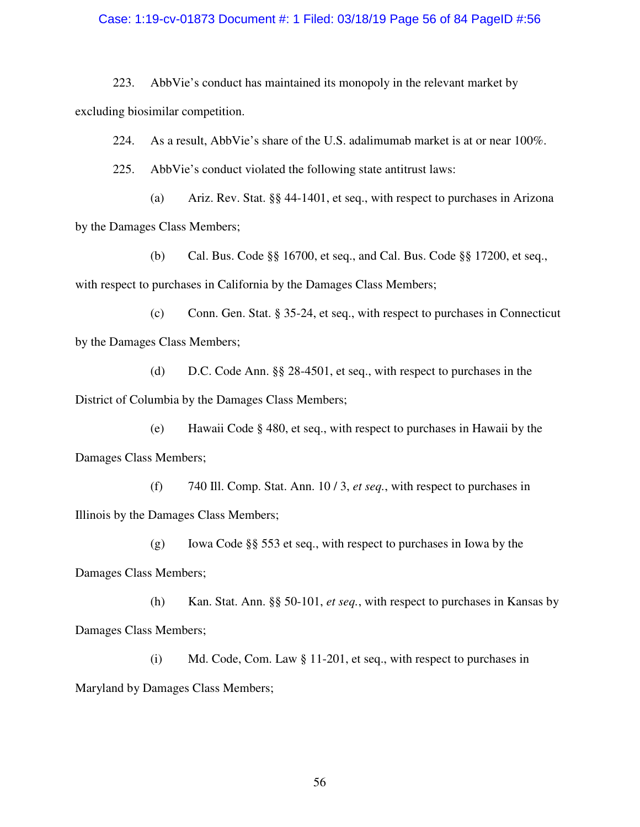### Case: 1:19-cv-01873 Document #: 1 Filed: 03/18/19 Page 56 of 84 PageID #:56

223. AbbVie's conduct has maintained its monopoly in the relevant market by excluding biosimilar competition.

224. As a result, AbbVie's share of the U.S. adalimumab market is at or near  $100\%$ .

225. AbbVie's conduct violated the following state antitrust laws:

(a) Ariz. Rev. Stat. §§ 44-1401, et seq., with respect to purchases in Arizona by the Damages Class Members;

(b) Cal. Bus. Code §§ 16700, et seq., and Cal. Bus. Code §§ 17200, et seq., with respect to purchases in California by the Damages Class Members;

(c) Conn. Gen. Stat. § 35-24, et seq., with respect to purchases in Connecticut by the Damages Class Members;

(d) D.C. Code Ann. §§ 28-4501, et seq., with respect to purchases in the District of Columbia by the Damages Class Members;

(e) Hawaii Code § 480, et seq., with respect to purchases in Hawaii by the Damages Class Members;

(f) 740 Ill. Comp. Stat. Ann. 10 / 3, *et seq.*, with respect to purchases in Illinois by the Damages Class Members;

(g) Iowa Code §§ 553 et seq., with respect to purchases in Iowa by the Damages Class Members;

(h) Kan. Stat. Ann. §§ 50-101, *et seq.*, with respect to purchases in Kansas by Damages Class Members;

(i) Md. Code, Com. Law § 11-201, et seq., with respect to purchases in Maryland by Damages Class Members;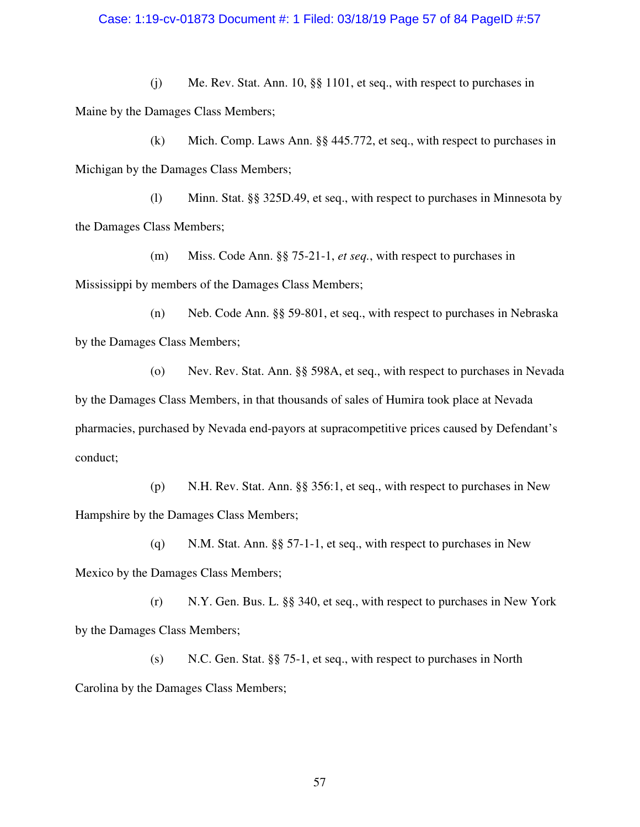### Case: 1:19-cv-01873 Document #: 1 Filed: 03/18/19 Page 57 of 84 PageID #:57

(j) Me. Rev. Stat. Ann. 10, §§ 1101, et seq., with respect to purchases in Maine by the Damages Class Members;

(k) Mich. Comp. Laws Ann. §§ 445.772, et seq., with respect to purchases in Michigan by the Damages Class Members;

(l) Minn. Stat. §§ 325D.49, et seq., with respect to purchases in Minnesota by the Damages Class Members;

(m) Miss. Code Ann. §§ 75-21-1, *et seq.*, with respect to purchases in Mississippi by members of the Damages Class Members;

(n) Neb. Code Ann. §§ 59-801, et seq., with respect to purchases in Nebraska by the Damages Class Members;

(o) Nev. Rev. Stat. Ann. §§ 598A, et seq., with respect to purchases in Nevada by the Damages Class Members, in that thousands of sales of Humira took place at Nevada pharmacies, purchased by Nevada end-payors at supracompetitive prices caused by Defendant's conduct;

(p) N.H. Rev. Stat. Ann. §§ 356:1, et seq., with respect to purchases in New Hampshire by the Damages Class Members;

(q) N.M. Stat. Ann. §§ 57-1-1, et seq., with respect to purchases in New Mexico by the Damages Class Members;

(r) N.Y. Gen. Bus. L. §§ 340, et seq., with respect to purchases in New York by the Damages Class Members;

(s) N.C. Gen. Stat. §§ 75-1, et seq., with respect to purchases in North Carolina by the Damages Class Members;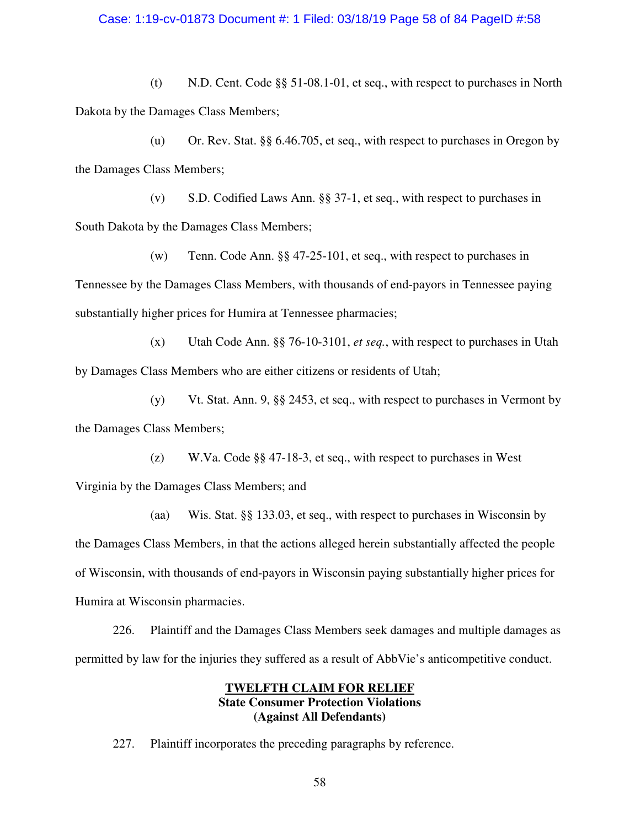### Case: 1:19-cv-01873 Document #: 1 Filed: 03/18/19 Page 58 of 84 PageID #:58

(t) N.D. Cent. Code §§ 51-08.1-01, et seq., with respect to purchases in North Dakota by the Damages Class Members;

(u) Or. Rev. Stat. §§ 6.46.705, et seq., with respect to purchases in Oregon by the Damages Class Members;

(v) S.D. Codified Laws Ann. §§ 37-1, et seq., with respect to purchases in South Dakota by the Damages Class Members;

(w) Tenn. Code Ann. §§ 47-25-101, et seq., with respect to purchases in Tennessee by the Damages Class Members, with thousands of end-payors in Tennessee paying substantially higher prices for Humira at Tennessee pharmacies;

(x) Utah Code Ann. §§ 76-10-3101, *et seq.*, with respect to purchases in Utah by Damages Class Members who are either citizens or residents of Utah;

(y) Vt. Stat. Ann. 9, §§ 2453, et seq., with respect to purchases in Vermont by the Damages Class Members;

(z) W.Va. Code §§ 47-18-3, et seq., with respect to purchases in West Virginia by the Damages Class Members; and

(aa) Wis. Stat. §§ 133.03, et seq., with respect to purchases in Wisconsin by the Damages Class Members, in that the actions alleged herein substantially affected the people of Wisconsin, with thousands of end-payors in Wisconsin paying substantially higher prices for Humira at Wisconsin pharmacies.

226. Plaintiff and the Damages Class Members seek damages and multiple damages as permitted by law for the injuries they suffered as a result of AbbVie's anticompetitive conduct.

## **TWELFTH CLAIM FOR RELIEF State Consumer Protection Violations (Against All Defendants)**

227. Plaintiff incorporates the preceding paragraphs by reference.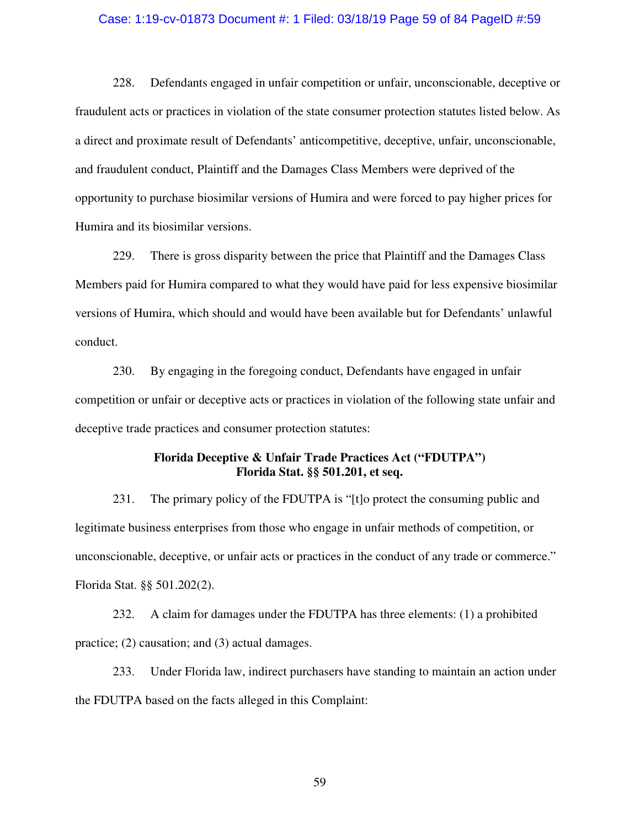#### Case: 1:19-cv-01873 Document #: 1 Filed: 03/18/19 Page 59 of 84 PageID #:59

228. Defendants engaged in unfair competition or unfair, unconscionable, deceptive or fraudulent acts or practices in violation of the state consumer protection statutes listed below. As a direct and proximate result of Defendants' anticompetitive, deceptive, unfair, unconscionable, and fraudulent conduct, Plaintiff and the Damages Class Members were deprived of the opportunity to purchase biosimilar versions of Humira and were forced to pay higher prices for Humira and its biosimilar versions.

229. There is gross disparity between the price that Plaintiff and the Damages Class Members paid for Humira compared to what they would have paid for less expensive biosimilar versions of Humira, which should and would have been available but for Defendants' unlawful conduct.

230. By engaging in the foregoing conduct, Defendants have engaged in unfair competition or unfair or deceptive acts or practices in violation of the following state unfair and deceptive trade practices and consumer protection statutes:

# **Florida Deceptive & Unfair Trade Practices Act ("FDUTPA") Florida Stat. §§ 501.201, et seq.**

231. The primary policy of the FDUTPA is "[t]o protect the consuming public and legitimate business enterprises from those who engage in unfair methods of competition, or unconscionable, deceptive, or unfair acts or practices in the conduct of any trade or commerce." Florida Stat. §§ 501.202(2).

232. A claim for damages under the FDUTPA has three elements: (1) a prohibited practice; (2) causation; and (3) actual damages.

233. Under Florida law, indirect purchasers have standing to maintain an action under the FDUTPA based on the facts alleged in this Complaint: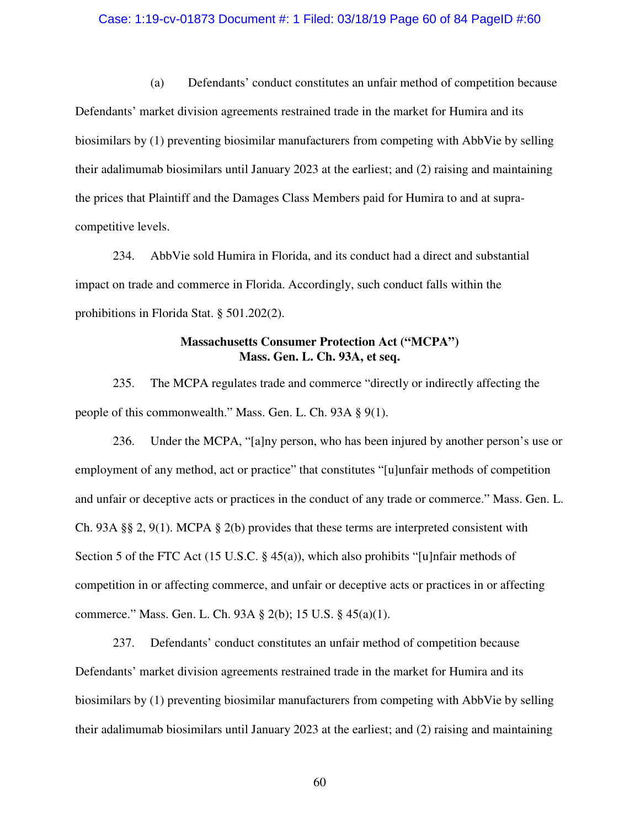#### Case: 1:19-cv-01873 Document #: 1 Filed: 03/18/19 Page 60 of 84 PageID #:60

(a) Defendants' conduct constitutes an unfair method of competition because Defendants' market division agreements restrained trade in the market for Humira and its biosimilars by (1) preventing biosimilar manufacturers from competing with AbbVie by selling their adalimumab biosimilars until January 2023 at the earliest; and (2) raising and maintaining the prices that Plaintiff and the Damages Class Members paid for Humira to and at supracompetitive levels.

234. AbbVie sold Humira in Florida, and its conduct had a direct and substantial impact on trade and commerce in Florida. Accordingly, such conduct falls within the prohibitions in Florida Stat. § 501.202(2).

# **Massachusetts Consumer Protection Act ("MCPA") Mass. Gen. L. Ch. 93A, et seq.**

235. The MCPA regulates trade and commerce "directly or indirectly affecting the people of this commonwealth." Mass. Gen. L. Ch. 93A § 9(1).

236. Under the MCPA, "[a]ny person, who has been injured by another person's use or employment of any method, act or practice" that constitutes "[u]unfair methods of competition and unfair or deceptive acts or practices in the conduct of any trade or commerce." Mass. Gen. L. Ch. 93A §§ 2, 9(1). MCPA § 2(b) provides that these terms are interpreted consistent with Section 5 of the FTC Act (15 U.S.C. § 45(a)), which also prohibits "[u]nfair methods of competition in or affecting commerce, and unfair or deceptive acts or practices in or affecting commerce." Mass. Gen. L. Ch. 93A § 2(b); 15 U.S. § 45(a)(1).

237. Defendants' conduct constitutes an unfair method of competition because Defendants' market division agreements restrained trade in the market for Humira and its biosimilars by (1) preventing biosimilar manufacturers from competing with AbbVie by selling their adalimumab biosimilars until January 2023 at the earliest; and (2) raising and maintaining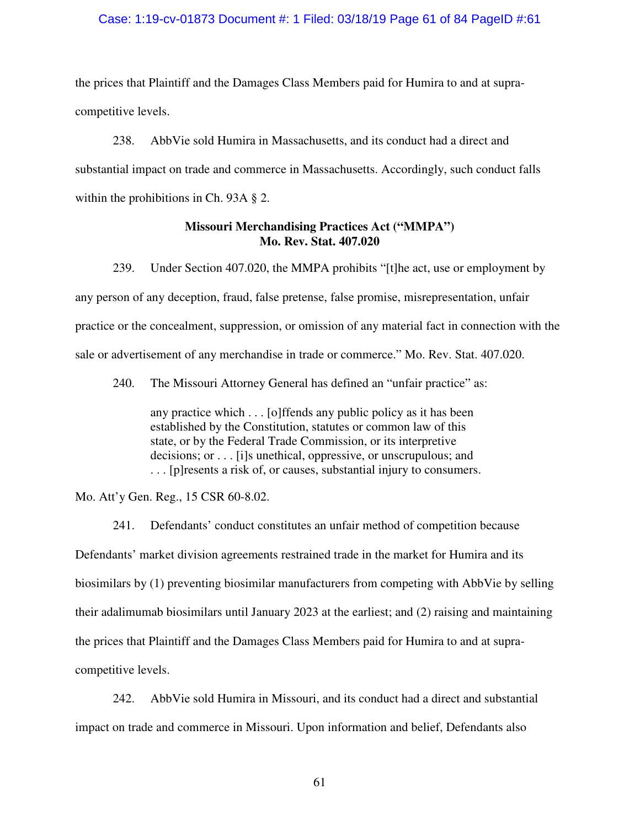# Case: 1:19-cv-01873 Document #: 1 Filed: 03/18/19 Page 61 of 84 PageID #:61

the prices that Plaintiff and the Damages Class Members paid for Humira to and at supracompetitive levels.

238. AbbVie sold Humira in Massachusetts, and its conduct had a direct and substantial impact on trade and commerce in Massachusetts. Accordingly, such conduct falls within the prohibitions in Ch. 93A § 2.

## **Missouri Merchandising Practices Act ("MMPA") Mo. Rev. Stat. 407.020**

239. Under Section 407.020, the MMPA prohibits "[t]he act, use or employment by any person of any deception, fraud, false pretense, false promise, misrepresentation, unfair practice or the concealment, suppression, or omission of any material fact in connection with the sale or advertisement of any merchandise in trade or commerce." Mo. Rev. Stat. 407.020.

240. The Missouri Attorney General has defined an "unfair practice" as:

any practice which . . . [o]ffends any public policy as it has been established by the Constitution, statutes or common law of this state, or by the Federal Trade Commission, or its interpretive decisions; or . . . [i]s unethical, oppressive, or unscrupulous; and . . . [p]resents a risk of, or causes, substantial injury to consumers.

Mo. Att'y Gen. Reg., 15 CSR 60-8.02.

241. Defendants' conduct constitutes an unfair method of competition because Defendants' market division agreements restrained trade in the market for Humira and its biosimilars by (1) preventing biosimilar manufacturers from competing with AbbVie by selling their adalimumab biosimilars until January 2023 at the earliest; and (2) raising and maintaining the prices that Plaintiff and the Damages Class Members paid for Humira to and at supracompetitive levels.

242. AbbVie sold Humira in Missouri, and its conduct had a direct and substantial impact on trade and commerce in Missouri. Upon information and belief, Defendants also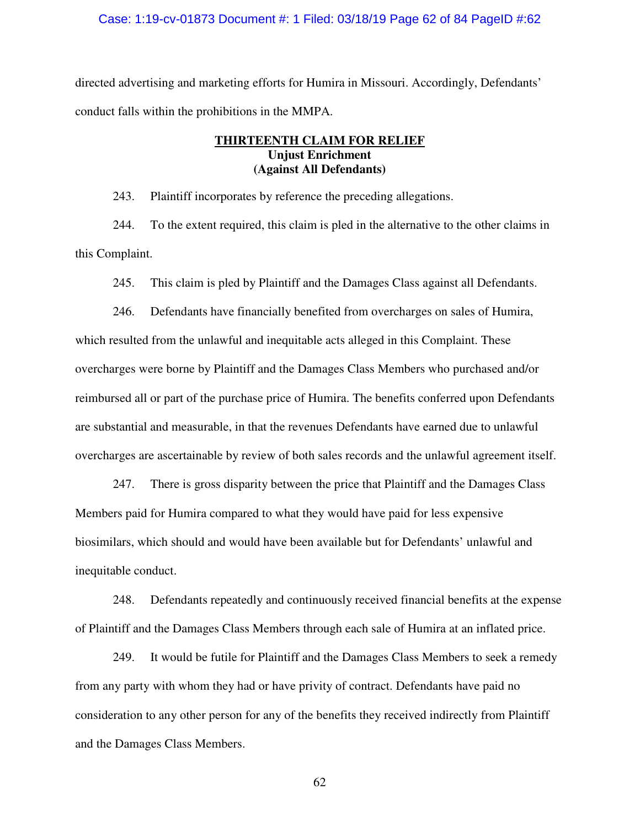#### Case: 1:19-cv-01873 Document #: 1 Filed: 03/18/19 Page 62 of 84 PageID #:62

directed advertising and marketing efforts for Humira in Missouri. Accordingly, Defendants' conduct falls within the prohibitions in the MMPA.

# **THIRTEENTH CLAIM FOR RELIEF Unjust Enrichment (Against All Defendants)**

243. Plaintiff incorporates by reference the preceding allegations.

244. To the extent required, this claim is pled in the alternative to the other claims in this Complaint.

245. This claim is pled by Plaintiff and the Damages Class against all Defendants.

246. Defendants have financially benefited from overcharges on sales of Humira, which resulted from the unlawful and inequitable acts alleged in this Complaint. These overcharges were borne by Plaintiff and the Damages Class Members who purchased and/or reimbursed all or part of the purchase price of Humira. The benefits conferred upon Defendants are substantial and measurable, in that the revenues Defendants have earned due to unlawful overcharges are ascertainable by review of both sales records and the unlawful agreement itself.

247. There is gross disparity between the price that Plaintiff and the Damages Class Members paid for Humira compared to what they would have paid for less expensive biosimilars, which should and would have been available but for Defendants' unlawful and inequitable conduct.

248. Defendants repeatedly and continuously received financial benefits at the expense of Plaintiff and the Damages Class Members through each sale of Humira at an inflated price.

249. It would be futile for Plaintiff and the Damages Class Members to seek a remedy from any party with whom they had or have privity of contract. Defendants have paid no consideration to any other person for any of the benefits they received indirectly from Plaintiff and the Damages Class Members.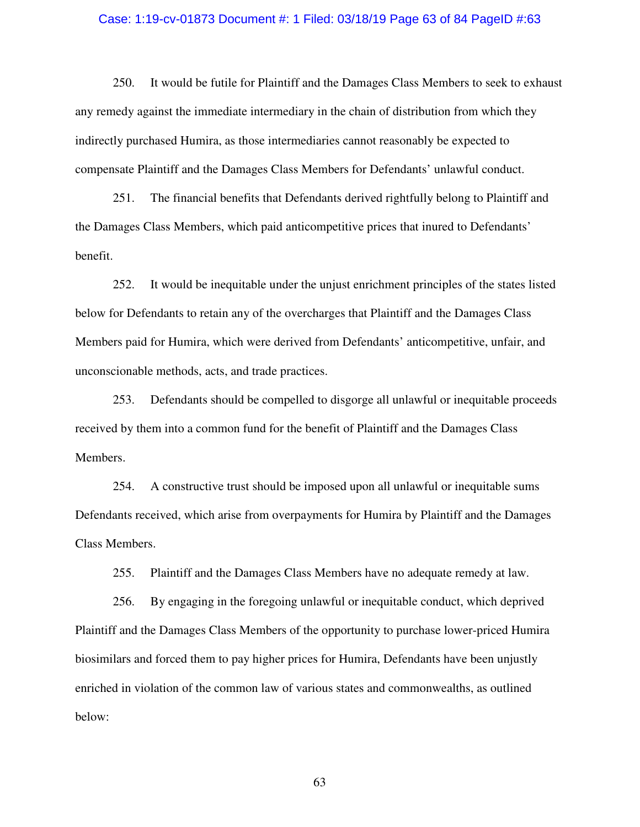#### Case: 1:19-cv-01873 Document #: 1 Filed: 03/18/19 Page 63 of 84 PageID #:63

250. It would be futile for Plaintiff and the Damages Class Members to seek to exhaust any remedy against the immediate intermediary in the chain of distribution from which they indirectly purchased Humira, as those intermediaries cannot reasonably be expected to compensate Plaintiff and the Damages Class Members for Defendants' unlawful conduct.

251. The financial benefits that Defendants derived rightfully belong to Plaintiff and the Damages Class Members, which paid anticompetitive prices that inured to Defendants' benefit.

252. It would be inequitable under the unjust enrichment principles of the states listed below for Defendants to retain any of the overcharges that Plaintiff and the Damages Class Members paid for Humira, which were derived from Defendants' anticompetitive, unfair, and unconscionable methods, acts, and trade practices.

253. Defendants should be compelled to disgorge all unlawful or inequitable proceeds received by them into a common fund for the benefit of Plaintiff and the Damages Class Members.

254. A constructive trust should be imposed upon all unlawful or inequitable sums Defendants received, which arise from overpayments for Humira by Plaintiff and the Damages Class Members.

255. Plaintiff and the Damages Class Members have no adequate remedy at law.

256. By engaging in the foregoing unlawful or inequitable conduct, which deprived Plaintiff and the Damages Class Members of the opportunity to purchase lower-priced Humira biosimilars and forced them to pay higher prices for Humira, Defendants have been unjustly enriched in violation of the common law of various states and commonwealths, as outlined below: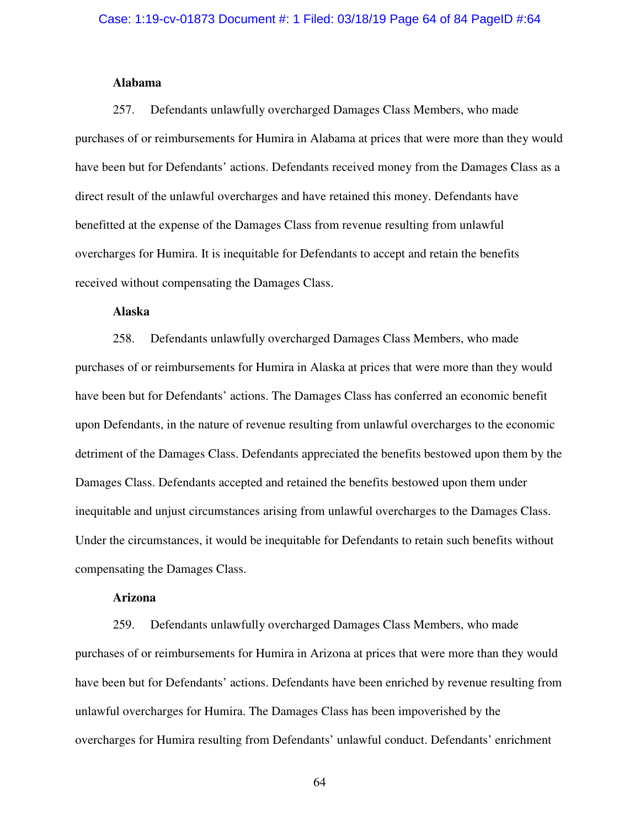#### **Alabama**

257. Defendants unlawfully overcharged Damages Class Members, who made purchases of or reimbursements for Humira in Alabama at prices that were more than they would have been but for Defendants' actions. Defendants received money from the Damages Class as a direct result of the unlawful overcharges and have retained this money. Defendants have benefitted at the expense of the Damages Class from revenue resulting from unlawful overcharges for Humira. It is inequitable for Defendants to accept and retain the benefits received without compensating the Damages Class.

### **Alaska**

258. Defendants unlawfully overcharged Damages Class Members, who made purchases of or reimbursements for Humira in Alaska at prices that were more than they would have been but for Defendants' actions. The Damages Class has conferred an economic benefit upon Defendants, in the nature of revenue resulting from unlawful overcharges to the economic detriment of the Damages Class. Defendants appreciated the benefits bestowed upon them by the Damages Class. Defendants accepted and retained the benefits bestowed upon them under inequitable and unjust circumstances arising from unlawful overcharges to the Damages Class. Under the circumstances, it would be inequitable for Defendants to retain such benefits without compensating the Damages Class.

# **Arizona**

259. Defendants unlawfully overcharged Damages Class Members, who made purchases of or reimbursements for Humira in Arizona at prices that were more than they would have been but for Defendants' actions. Defendants have been enriched by revenue resulting from unlawful overcharges for Humira. The Damages Class has been impoverished by the overcharges for Humira resulting from Defendants' unlawful conduct. Defendants' enrichment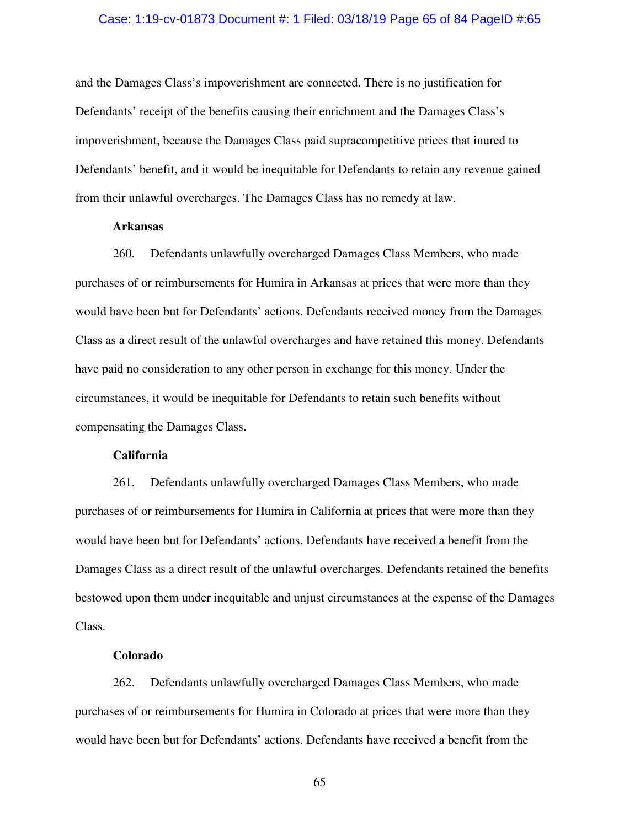### Case: 1:19-cv-01873 Document #: 1 Filed: 03/18/19 Page 65 of 84 PageID #:65

and the Damages Class's impoverishment are connected. There is no justification for Defendants' receipt of the benefits causing their enrichment and the Damages Class's impoverishment, because the Damages Class paid supracompetitive prices that inured to Defendants' benefit, and it would be inequitable for Defendants to retain any revenue gained from their unlawful overcharges. The Damages Class has no remedy at law.

### **Arkansas**

260. Defendants unlawfully overcharged Damages Class Members, who made purchases of or reimbursements for Humira in Arkansas at prices that were more than they would have been but for Defendants' actions. Defendants received money from the Damages Class as a direct result of the unlawful overcharges and have retained this money. Defendants have paid no consideration to any other person in exchange for this money. Under the circumstances, it would be inequitable for Defendants to retain such benefits without compensating the Damages Class.

# **California**

261. Defendants unlawfully overcharged Damages Class Members, who made purchases of or reimbursements for Humira in California at prices that were more than they would have been but for Defendants' actions. Defendants have received a benefit from the Damages Class as a direct result of the unlawful overcharges. Defendants retained the benefits bestowed upon them under inequitable and unjust circumstances at the expense of the Damages Class.

## **Colorado**

262. Defendants unlawfully overcharged Damages Class Members, who made purchases of or reimbursements for Humira in Colorado at prices that were more than they would have been but for Defendants' actions. Defendants have received a benefit from the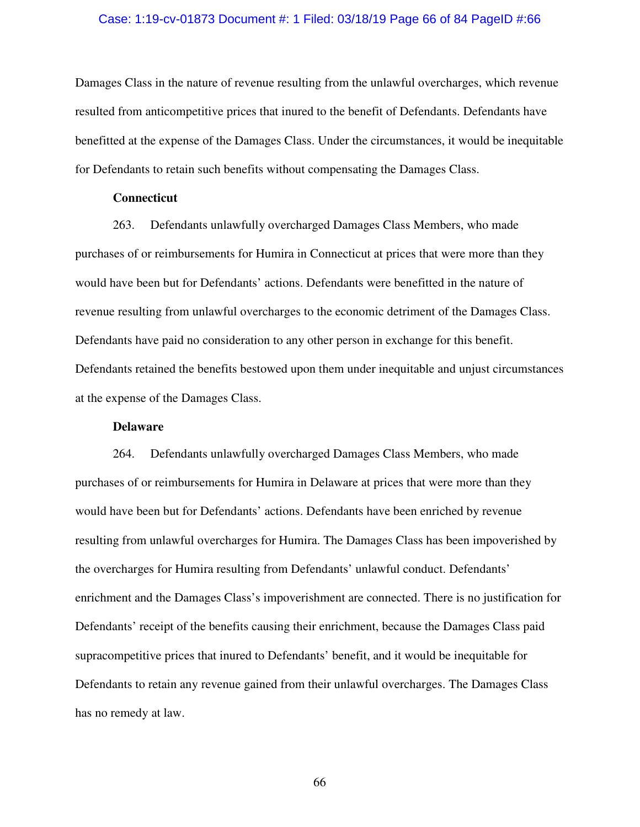#### Case: 1:19-cv-01873 Document #: 1 Filed: 03/18/19 Page 66 of 84 PageID #:66

Damages Class in the nature of revenue resulting from the unlawful overcharges, which revenue resulted from anticompetitive prices that inured to the benefit of Defendants. Defendants have benefitted at the expense of the Damages Class. Under the circumstances, it would be inequitable for Defendants to retain such benefits without compensating the Damages Class.

#### **Connecticut**

263. Defendants unlawfully overcharged Damages Class Members, who made purchases of or reimbursements for Humira in Connecticut at prices that were more than they would have been but for Defendants' actions. Defendants were benefitted in the nature of revenue resulting from unlawful overcharges to the economic detriment of the Damages Class. Defendants have paid no consideration to any other person in exchange for this benefit. Defendants retained the benefits bestowed upon them under inequitable and unjust circumstances at the expense of the Damages Class.

# **Delaware**

264. Defendants unlawfully overcharged Damages Class Members, who made purchases of or reimbursements for Humira in Delaware at prices that were more than they would have been but for Defendants' actions. Defendants have been enriched by revenue resulting from unlawful overcharges for Humira. The Damages Class has been impoverished by the overcharges for Humira resulting from Defendants' unlawful conduct. Defendants' enrichment and the Damages Class's impoverishment are connected. There is no justification for Defendants' receipt of the benefits causing their enrichment, because the Damages Class paid supracompetitive prices that inured to Defendants' benefit, and it would be inequitable for Defendants to retain any revenue gained from their unlawful overcharges. The Damages Class has no remedy at law.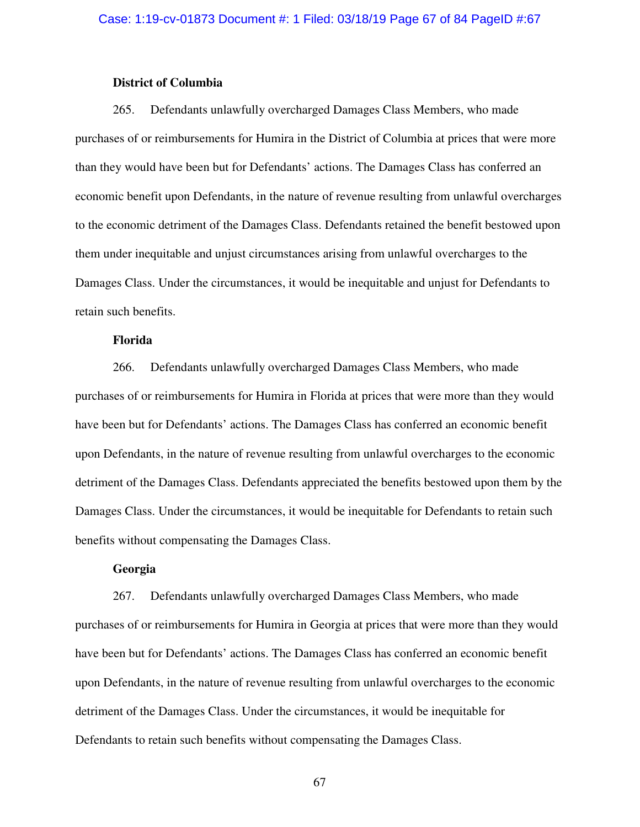### **District of Columbia**

265. Defendants unlawfully overcharged Damages Class Members, who made purchases of or reimbursements for Humira in the District of Columbia at prices that were more than they would have been but for Defendants' actions. The Damages Class has conferred an economic benefit upon Defendants, in the nature of revenue resulting from unlawful overcharges to the economic detriment of the Damages Class. Defendants retained the benefit bestowed upon them under inequitable and unjust circumstances arising from unlawful overcharges to the Damages Class. Under the circumstances, it would be inequitable and unjust for Defendants to retain such benefits.

# **Florida**

266. Defendants unlawfully overcharged Damages Class Members, who made purchases of or reimbursements for Humira in Florida at prices that were more than they would have been but for Defendants' actions. The Damages Class has conferred an economic benefit upon Defendants, in the nature of revenue resulting from unlawful overcharges to the economic detriment of the Damages Class. Defendants appreciated the benefits bestowed upon them by the Damages Class. Under the circumstances, it would be inequitable for Defendants to retain such benefits without compensating the Damages Class.

# **Georgia**

267. Defendants unlawfully overcharged Damages Class Members, who made purchases of or reimbursements for Humira in Georgia at prices that were more than they would have been but for Defendants' actions. The Damages Class has conferred an economic benefit upon Defendants, in the nature of revenue resulting from unlawful overcharges to the economic detriment of the Damages Class. Under the circumstances, it would be inequitable for Defendants to retain such benefits without compensating the Damages Class.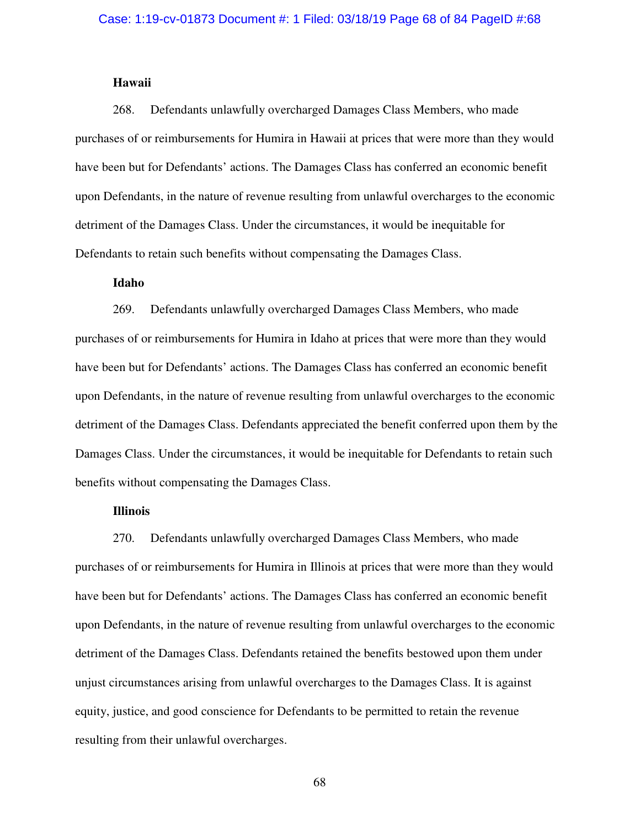# **Hawaii**

268. Defendants unlawfully overcharged Damages Class Members, who made purchases of or reimbursements for Humira in Hawaii at prices that were more than they would have been but for Defendants' actions. The Damages Class has conferred an economic benefit upon Defendants, in the nature of revenue resulting from unlawful overcharges to the economic detriment of the Damages Class. Under the circumstances, it would be inequitable for Defendants to retain such benefits without compensating the Damages Class.

# **Idaho**

269. Defendants unlawfully overcharged Damages Class Members, who made purchases of or reimbursements for Humira in Idaho at prices that were more than they would have been but for Defendants' actions. The Damages Class has conferred an economic benefit upon Defendants, in the nature of revenue resulting from unlawful overcharges to the economic detriment of the Damages Class. Defendants appreciated the benefit conferred upon them by the Damages Class. Under the circumstances, it would be inequitable for Defendants to retain such benefits without compensating the Damages Class.

# **Illinois**

270. Defendants unlawfully overcharged Damages Class Members, who made purchases of or reimbursements for Humira in Illinois at prices that were more than they would have been but for Defendants' actions. The Damages Class has conferred an economic benefit upon Defendants, in the nature of revenue resulting from unlawful overcharges to the economic detriment of the Damages Class. Defendants retained the benefits bestowed upon them under unjust circumstances arising from unlawful overcharges to the Damages Class. It is against equity, justice, and good conscience for Defendants to be permitted to retain the revenue resulting from their unlawful overcharges.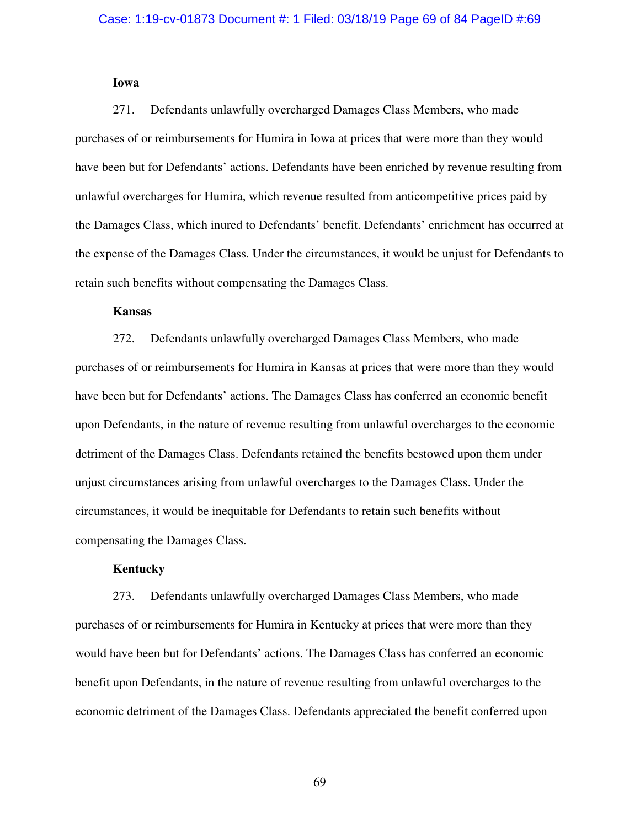# **Iowa**

271. Defendants unlawfully overcharged Damages Class Members, who made purchases of or reimbursements for Humira in Iowa at prices that were more than they would have been but for Defendants' actions. Defendants have been enriched by revenue resulting from unlawful overcharges for Humira, which revenue resulted from anticompetitive prices paid by the Damages Class, which inured to Defendants' benefit. Defendants' enrichment has occurred at the expense of the Damages Class. Under the circumstances, it would be unjust for Defendants to retain such benefits without compensating the Damages Class.

### **Kansas**

272. Defendants unlawfully overcharged Damages Class Members, who made purchases of or reimbursements for Humira in Kansas at prices that were more than they would have been but for Defendants' actions. The Damages Class has conferred an economic benefit upon Defendants, in the nature of revenue resulting from unlawful overcharges to the economic detriment of the Damages Class. Defendants retained the benefits bestowed upon them under unjust circumstances arising from unlawful overcharges to the Damages Class. Under the circumstances, it would be inequitable for Defendants to retain such benefits without compensating the Damages Class.

# **Kentucky**

273. Defendants unlawfully overcharged Damages Class Members, who made purchases of or reimbursements for Humira in Kentucky at prices that were more than they would have been but for Defendants' actions. The Damages Class has conferred an economic benefit upon Defendants, in the nature of revenue resulting from unlawful overcharges to the economic detriment of the Damages Class. Defendants appreciated the benefit conferred upon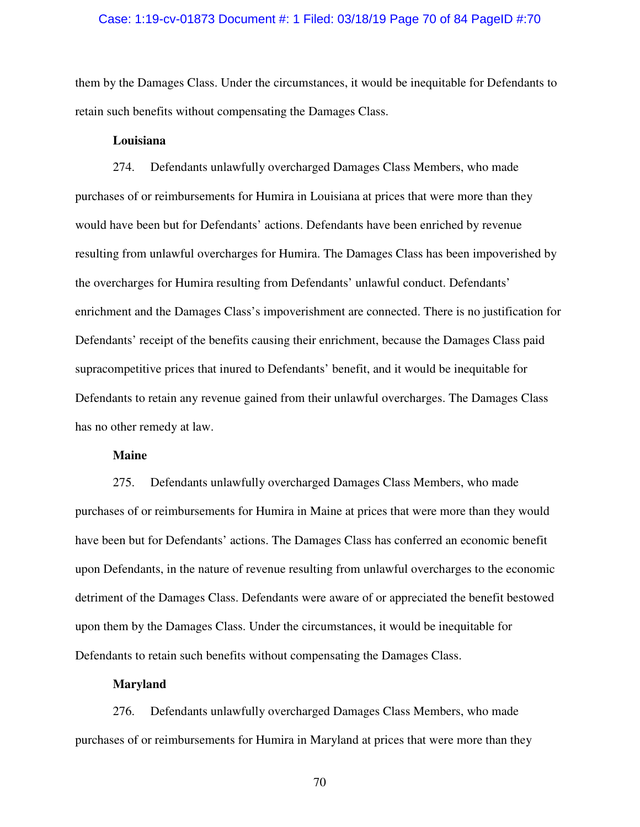#### Case: 1:19-cv-01873 Document #: 1 Filed: 03/18/19 Page 70 of 84 PageID #:70

them by the Damages Class. Under the circumstances, it would be inequitable for Defendants to retain such benefits without compensating the Damages Class.

#### **Louisiana**

274. Defendants unlawfully overcharged Damages Class Members, who made purchases of or reimbursements for Humira in Louisiana at prices that were more than they would have been but for Defendants' actions. Defendants have been enriched by revenue resulting from unlawful overcharges for Humira. The Damages Class has been impoverished by the overcharges for Humira resulting from Defendants' unlawful conduct. Defendants' enrichment and the Damages Class's impoverishment are connected. There is no justification for Defendants' receipt of the benefits causing their enrichment, because the Damages Class paid supracompetitive prices that inured to Defendants' benefit, and it would be inequitable for Defendants to retain any revenue gained from their unlawful overcharges. The Damages Class has no other remedy at law.

#### **Maine**

275. Defendants unlawfully overcharged Damages Class Members, who made purchases of or reimbursements for Humira in Maine at prices that were more than they would have been but for Defendants' actions. The Damages Class has conferred an economic benefit upon Defendants, in the nature of revenue resulting from unlawful overcharges to the economic detriment of the Damages Class. Defendants were aware of or appreciated the benefit bestowed upon them by the Damages Class. Under the circumstances, it would be inequitable for Defendants to retain such benefits without compensating the Damages Class.

# **Maryland**

276. Defendants unlawfully overcharged Damages Class Members, who made purchases of or reimbursements for Humira in Maryland at prices that were more than they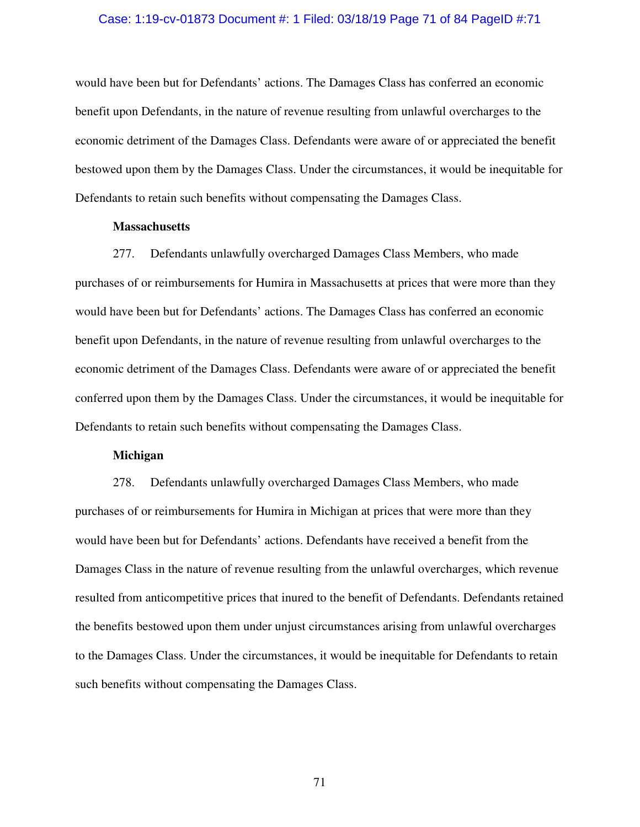#### Case: 1:19-cv-01873 Document #: 1 Filed: 03/18/19 Page 71 of 84 PageID #:71

would have been but for Defendants' actions. The Damages Class has conferred an economic benefit upon Defendants, in the nature of revenue resulting from unlawful overcharges to the economic detriment of the Damages Class. Defendants were aware of or appreciated the benefit bestowed upon them by the Damages Class. Under the circumstances, it would be inequitable for Defendants to retain such benefits without compensating the Damages Class.

#### **Massachusetts**

277. Defendants unlawfully overcharged Damages Class Members, who made purchases of or reimbursements for Humira in Massachusetts at prices that were more than they would have been but for Defendants' actions. The Damages Class has conferred an economic benefit upon Defendants, in the nature of revenue resulting from unlawful overcharges to the economic detriment of the Damages Class. Defendants were aware of or appreciated the benefit conferred upon them by the Damages Class. Under the circumstances, it would be inequitable for Defendants to retain such benefits without compensating the Damages Class.

### **Michigan**

278. Defendants unlawfully overcharged Damages Class Members, who made purchases of or reimbursements for Humira in Michigan at prices that were more than they would have been but for Defendants' actions. Defendants have received a benefit from the Damages Class in the nature of revenue resulting from the unlawful overcharges, which revenue resulted from anticompetitive prices that inured to the benefit of Defendants. Defendants retained the benefits bestowed upon them under unjust circumstances arising from unlawful overcharges to the Damages Class. Under the circumstances, it would be inequitable for Defendants to retain such benefits without compensating the Damages Class.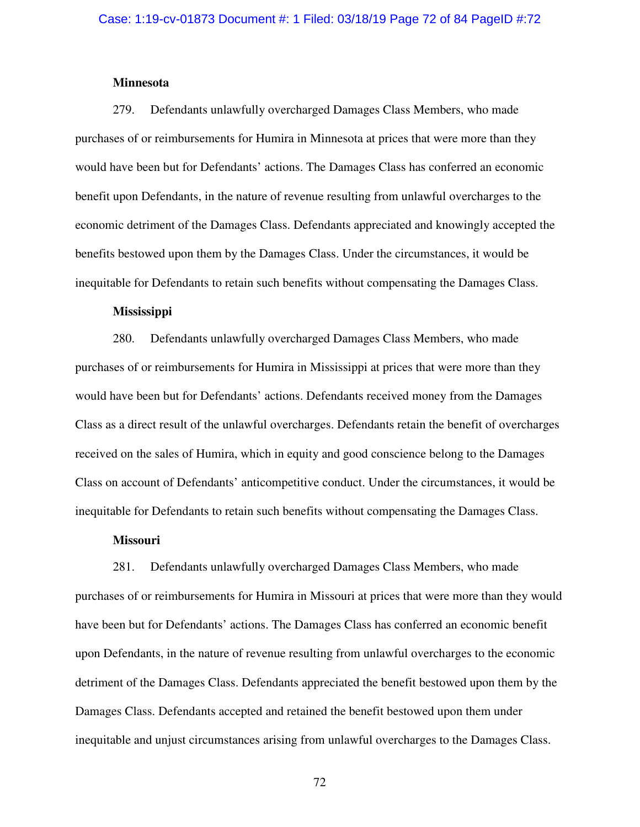#### **Minnesota**

279. Defendants unlawfully overcharged Damages Class Members, who made purchases of or reimbursements for Humira in Minnesota at prices that were more than they would have been but for Defendants' actions. The Damages Class has conferred an economic benefit upon Defendants, in the nature of revenue resulting from unlawful overcharges to the economic detriment of the Damages Class. Defendants appreciated and knowingly accepted the benefits bestowed upon them by the Damages Class. Under the circumstances, it would be inequitable for Defendants to retain such benefits without compensating the Damages Class.

### **Mississippi**

280. Defendants unlawfully overcharged Damages Class Members, who made purchases of or reimbursements for Humira in Mississippi at prices that were more than they would have been but for Defendants' actions. Defendants received money from the Damages Class as a direct result of the unlawful overcharges. Defendants retain the benefit of overcharges received on the sales of Humira, which in equity and good conscience belong to the Damages Class on account of Defendants' anticompetitive conduct. Under the circumstances, it would be inequitable for Defendants to retain such benefits without compensating the Damages Class.

## **Missouri**

281. Defendants unlawfully overcharged Damages Class Members, who made purchases of or reimbursements for Humira in Missouri at prices that were more than they would have been but for Defendants' actions. The Damages Class has conferred an economic benefit upon Defendants, in the nature of revenue resulting from unlawful overcharges to the economic detriment of the Damages Class. Defendants appreciated the benefit bestowed upon them by the Damages Class. Defendants accepted and retained the benefit bestowed upon them under inequitable and unjust circumstances arising from unlawful overcharges to the Damages Class.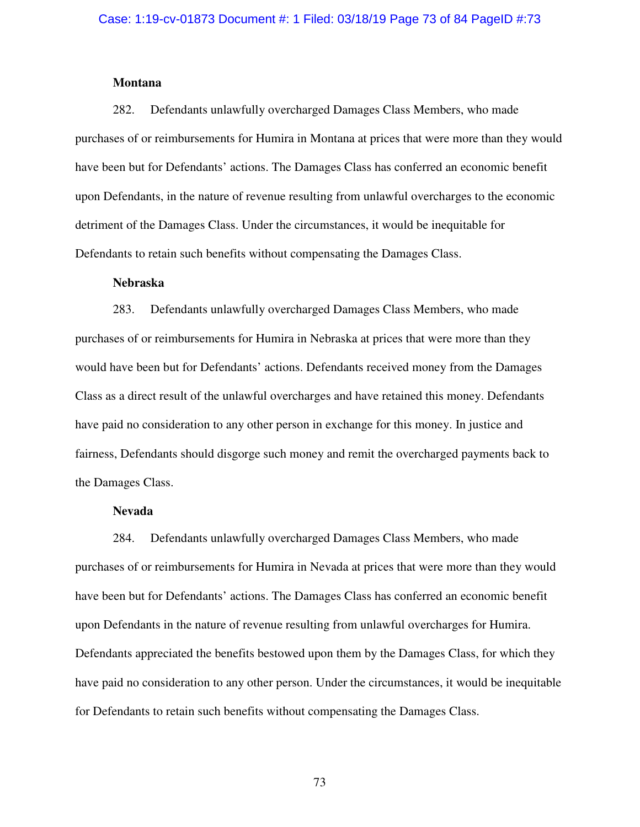## **Montana**

282. Defendants unlawfully overcharged Damages Class Members, who made purchases of or reimbursements for Humira in Montana at prices that were more than they would have been but for Defendants' actions. The Damages Class has conferred an economic benefit upon Defendants, in the nature of revenue resulting from unlawful overcharges to the economic detriment of the Damages Class. Under the circumstances, it would be inequitable for Defendants to retain such benefits without compensating the Damages Class.

#### **Nebraska**

283. Defendants unlawfully overcharged Damages Class Members, who made purchases of or reimbursements for Humira in Nebraska at prices that were more than they would have been but for Defendants' actions. Defendants received money from the Damages Class as a direct result of the unlawful overcharges and have retained this money. Defendants have paid no consideration to any other person in exchange for this money. In justice and fairness, Defendants should disgorge such money and remit the overcharged payments back to the Damages Class.

# **Nevada**

284. Defendants unlawfully overcharged Damages Class Members, who made purchases of or reimbursements for Humira in Nevada at prices that were more than they would have been but for Defendants' actions. The Damages Class has conferred an economic benefit upon Defendants in the nature of revenue resulting from unlawful overcharges for Humira. Defendants appreciated the benefits bestowed upon them by the Damages Class, for which they have paid no consideration to any other person. Under the circumstances, it would be inequitable for Defendants to retain such benefits without compensating the Damages Class.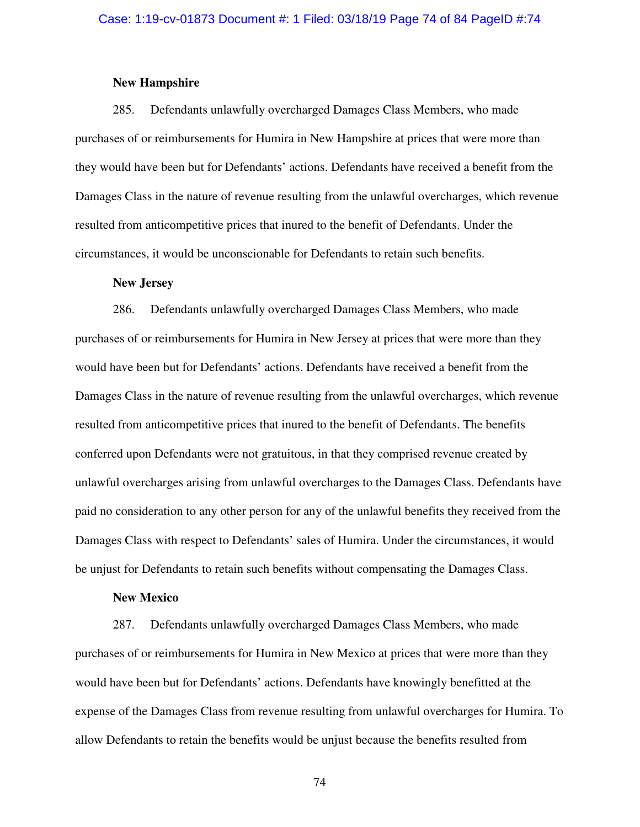## **New Hampshire**

285. Defendants unlawfully overcharged Damages Class Members, who made purchases of or reimbursements for Humira in New Hampshire at prices that were more than they would have been but for Defendants' actions. Defendants have received a benefit from the Damages Class in the nature of revenue resulting from the unlawful overcharges, which revenue resulted from anticompetitive prices that inured to the benefit of Defendants. Under the circumstances, it would be unconscionable for Defendants to retain such benefits.

#### **New Jersey**

286. Defendants unlawfully overcharged Damages Class Members, who made purchases of or reimbursements for Humira in New Jersey at prices that were more than they would have been but for Defendants' actions. Defendants have received a benefit from the Damages Class in the nature of revenue resulting from the unlawful overcharges, which revenue resulted from anticompetitive prices that inured to the benefit of Defendants. The benefits conferred upon Defendants were not gratuitous, in that they comprised revenue created by unlawful overcharges arising from unlawful overcharges to the Damages Class. Defendants have paid no consideration to any other person for any of the unlawful benefits they received from the Damages Class with respect to Defendants' sales of Humira. Under the circumstances, it would be unjust for Defendants to retain such benefits without compensating the Damages Class.

# **New Mexico**

287. Defendants unlawfully overcharged Damages Class Members, who made purchases of or reimbursements for Humira in New Mexico at prices that were more than they would have been but for Defendants' actions. Defendants have knowingly benefitted at the expense of the Damages Class from revenue resulting from unlawful overcharges for Humira. To allow Defendants to retain the benefits would be unjust because the benefits resulted from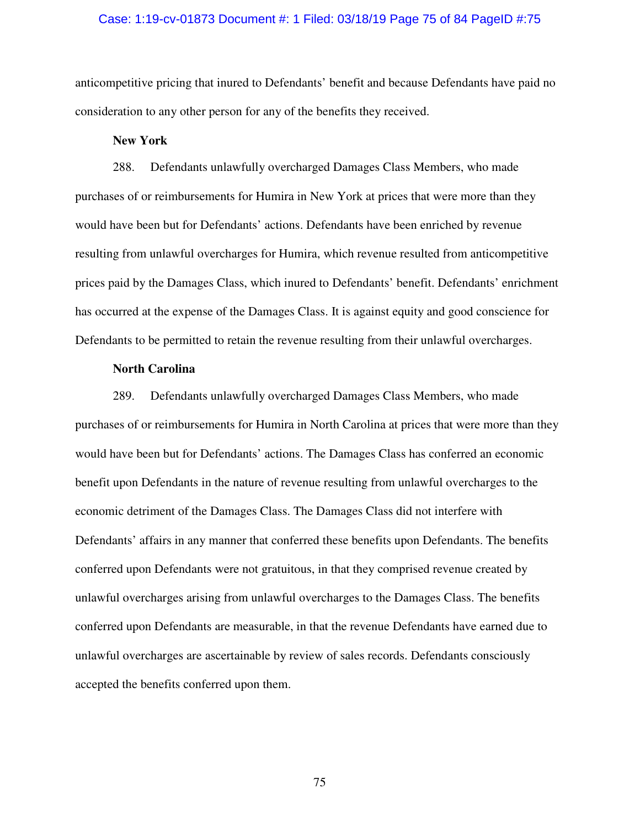#### Case: 1:19-cv-01873 Document #: 1 Filed: 03/18/19 Page 75 of 84 PageID #:75

anticompetitive pricing that inured to Defendants' benefit and because Defendants have paid no consideration to any other person for any of the benefits they received.

## **New York**

288. Defendants unlawfully overcharged Damages Class Members, who made purchases of or reimbursements for Humira in New York at prices that were more than they would have been but for Defendants' actions. Defendants have been enriched by revenue resulting from unlawful overcharges for Humira, which revenue resulted from anticompetitive prices paid by the Damages Class, which inured to Defendants' benefit. Defendants' enrichment has occurred at the expense of the Damages Class. It is against equity and good conscience for Defendants to be permitted to retain the revenue resulting from their unlawful overcharges.

## **North Carolina**

289. Defendants unlawfully overcharged Damages Class Members, who made purchases of or reimbursements for Humira in North Carolina at prices that were more than they would have been but for Defendants' actions. The Damages Class has conferred an economic benefit upon Defendants in the nature of revenue resulting from unlawful overcharges to the economic detriment of the Damages Class. The Damages Class did not interfere with Defendants' affairs in any manner that conferred these benefits upon Defendants. The benefits conferred upon Defendants were not gratuitous, in that they comprised revenue created by unlawful overcharges arising from unlawful overcharges to the Damages Class. The benefits conferred upon Defendants are measurable, in that the revenue Defendants have earned due to unlawful overcharges are ascertainable by review of sales records. Defendants consciously accepted the benefits conferred upon them.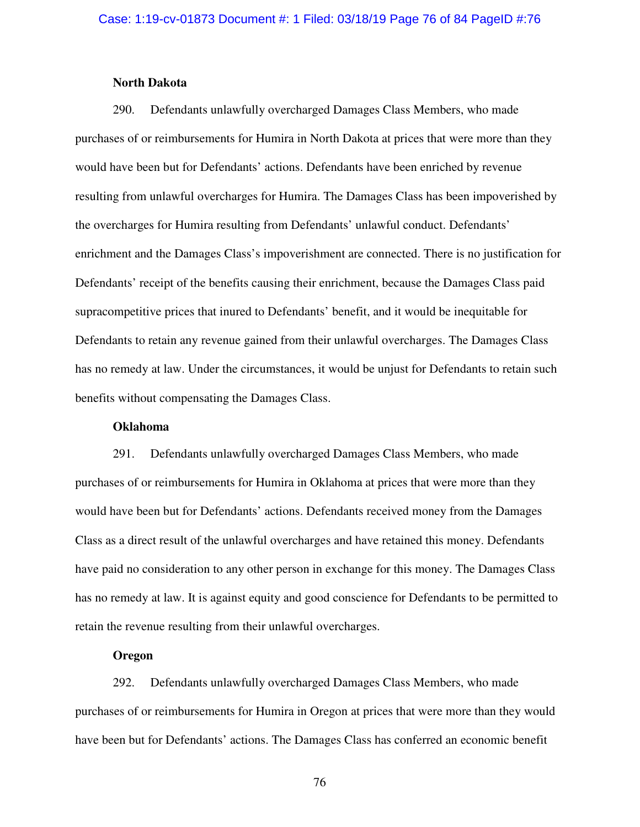## **North Dakota**

290. Defendants unlawfully overcharged Damages Class Members, who made purchases of or reimbursements for Humira in North Dakota at prices that were more than they would have been but for Defendants' actions. Defendants have been enriched by revenue resulting from unlawful overcharges for Humira. The Damages Class has been impoverished by the overcharges for Humira resulting from Defendants' unlawful conduct. Defendants' enrichment and the Damages Class's impoverishment are connected. There is no justification for Defendants' receipt of the benefits causing their enrichment, because the Damages Class paid supracompetitive prices that inured to Defendants' benefit, and it would be inequitable for Defendants to retain any revenue gained from their unlawful overcharges. The Damages Class has no remedy at law. Under the circumstances, it would be unjust for Defendants to retain such benefits without compensating the Damages Class.

#### **Oklahoma**

291. Defendants unlawfully overcharged Damages Class Members, who made purchases of or reimbursements for Humira in Oklahoma at prices that were more than they would have been but for Defendants' actions. Defendants received money from the Damages Class as a direct result of the unlawful overcharges and have retained this money. Defendants have paid no consideration to any other person in exchange for this money. The Damages Class has no remedy at law. It is against equity and good conscience for Defendants to be permitted to retain the revenue resulting from their unlawful overcharges.

# **Oregon**

292. Defendants unlawfully overcharged Damages Class Members, who made purchases of or reimbursements for Humira in Oregon at prices that were more than they would have been but for Defendants' actions. The Damages Class has conferred an economic benefit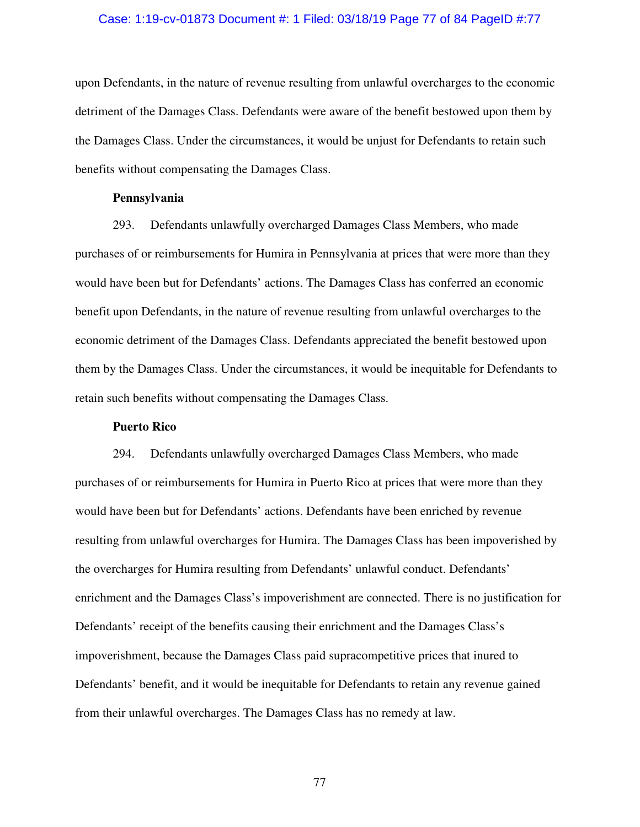#### Case: 1:19-cv-01873 Document #: 1 Filed: 03/18/19 Page 77 of 84 PageID #:77

upon Defendants, in the nature of revenue resulting from unlawful overcharges to the economic detriment of the Damages Class. Defendants were aware of the benefit bestowed upon them by the Damages Class. Under the circumstances, it would be unjust for Defendants to retain such benefits without compensating the Damages Class.

## **Pennsylvania**

293. Defendants unlawfully overcharged Damages Class Members, who made purchases of or reimbursements for Humira in Pennsylvania at prices that were more than they would have been but for Defendants' actions. The Damages Class has conferred an economic benefit upon Defendants, in the nature of revenue resulting from unlawful overcharges to the economic detriment of the Damages Class. Defendants appreciated the benefit bestowed upon them by the Damages Class. Under the circumstances, it would be inequitable for Defendants to retain such benefits without compensating the Damages Class.

# **Puerto Rico**

294. Defendants unlawfully overcharged Damages Class Members, who made purchases of or reimbursements for Humira in Puerto Rico at prices that were more than they would have been but for Defendants' actions. Defendants have been enriched by revenue resulting from unlawful overcharges for Humira. The Damages Class has been impoverished by the overcharges for Humira resulting from Defendants' unlawful conduct. Defendants' enrichment and the Damages Class's impoverishment are connected. There is no justification for Defendants' receipt of the benefits causing their enrichment and the Damages Class's impoverishment, because the Damages Class paid supracompetitive prices that inured to Defendants' benefit, and it would be inequitable for Defendants to retain any revenue gained from their unlawful overcharges. The Damages Class has no remedy at law.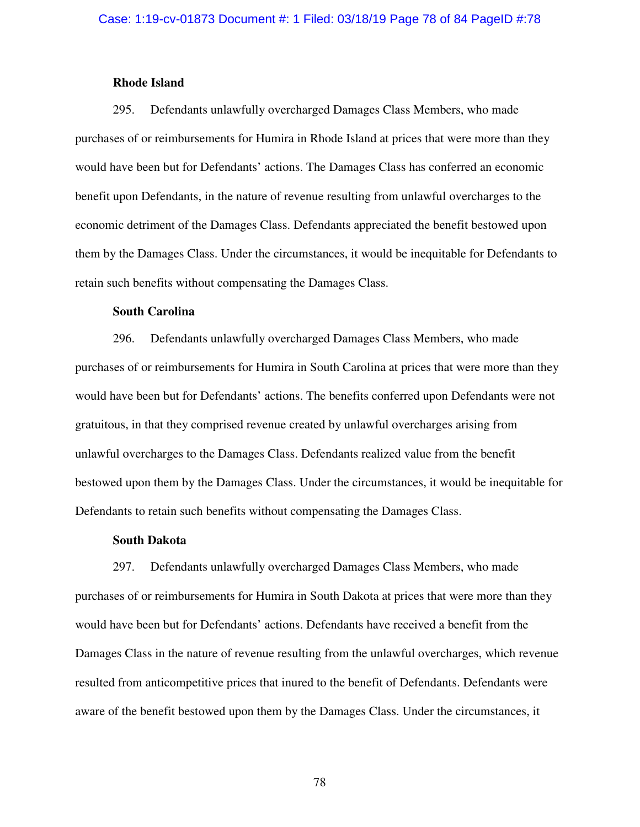## **Rhode Island**

295. Defendants unlawfully overcharged Damages Class Members, who made purchases of or reimbursements for Humira in Rhode Island at prices that were more than they would have been but for Defendants' actions. The Damages Class has conferred an economic benefit upon Defendants, in the nature of revenue resulting from unlawful overcharges to the economic detriment of the Damages Class. Defendants appreciated the benefit bestowed upon them by the Damages Class. Under the circumstances, it would be inequitable for Defendants to retain such benefits without compensating the Damages Class.

## **South Carolina**

296. Defendants unlawfully overcharged Damages Class Members, who made purchases of or reimbursements for Humira in South Carolina at prices that were more than they would have been but for Defendants' actions. The benefits conferred upon Defendants were not gratuitous, in that they comprised revenue created by unlawful overcharges arising from unlawful overcharges to the Damages Class. Defendants realized value from the benefit bestowed upon them by the Damages Class. Under the circumstances, it would be inequitable for Defendants to retain such benefits without compensating the Damages Class.

## **South Dakota**

297. Defendants unlawfully overcharged Damages Class Members, who made purchases of or reimbursements for Humira in South Dakota at prices that were more than they would have been but for Defendants' actions. Defendants have received a benefit from the Damages Class in the nature of revenue resulting from the unlawful overcharges, which revenue resulted from anticompetitive prices that inured to the benefit of Defendants. Defendants were aware of the benefit bestowed upon them by the Damages Class. Under the circumstances, it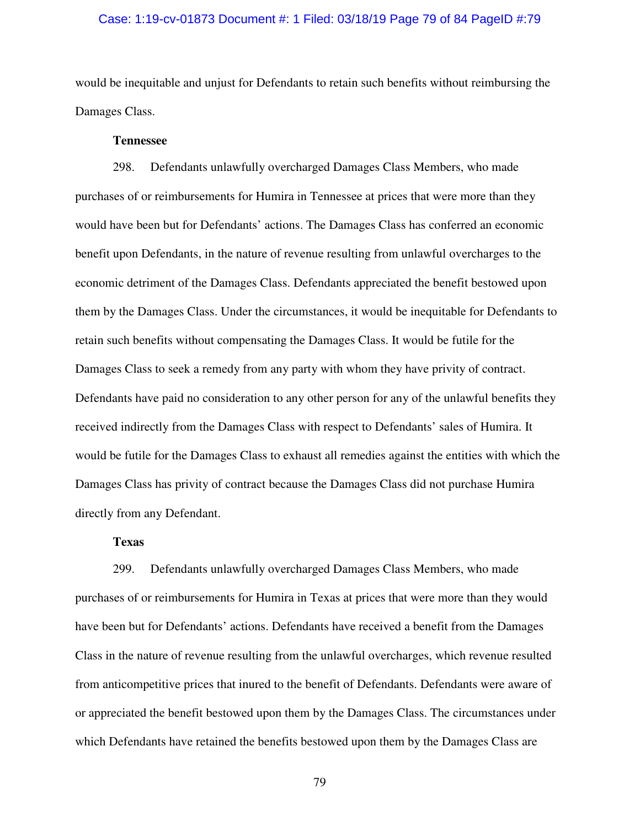## Case: 1:19-cv-01873 Document #: 1 Filed: 03/18/19 Page 79 of 84 PageID #:79

would be inequitable and unjust for Defendants to retain such benefits without reimbursing the Damages Class.

## **Tennessee**

298. Defendants unlawfully overcharged Damages Class Members, who made purchases of or reimbursements for Humira in Tennessee at prices that were more than they would have been but for Defendants' actions. The Damages Class has conferred an economic benefit upon Defendants, in the nature of revenue resulting from unlawful overcharges to the economic detriment of the Damages Class. Defendants appreciated the benefit bestowed upon them by the Damages Class. Under the circumstances, it would be inequitable for Defendants to retain such benefits without compensating the Damages Class. It would be futile for the Damages Class to seek a remedy from any party with whom they have privity of contract. Defendants have paid no consideration to any other person for any of the unlawful benefits they received indirectly from the Damages Class with respect to Defendants' sales of Humira. It would be futile for the Damages Class to exhaust all remedies against the entities with which the Damages Class has privity of contract because the Damages Class did not purchase Humira directly from any Defendant.

# **Texas**

299. Defendants unlawfully overcharged Damages Class Members, who made purchases of or reimbursements for Humira in Texas at prices that were more than they would have been but for Defendants' actions. Defendants have received a benefit from the Damages Class in the nature of revenue resulting from the unlawful overcharges, which revenue resulted from anticompetitive prices that inured to the benefit of Defendants. Defendants were aware of or appreciated the benefit bestowed upon them by the Damages Class. The circumstances under which Defendants have retained the benefits bestowed upon them by the Damages Class are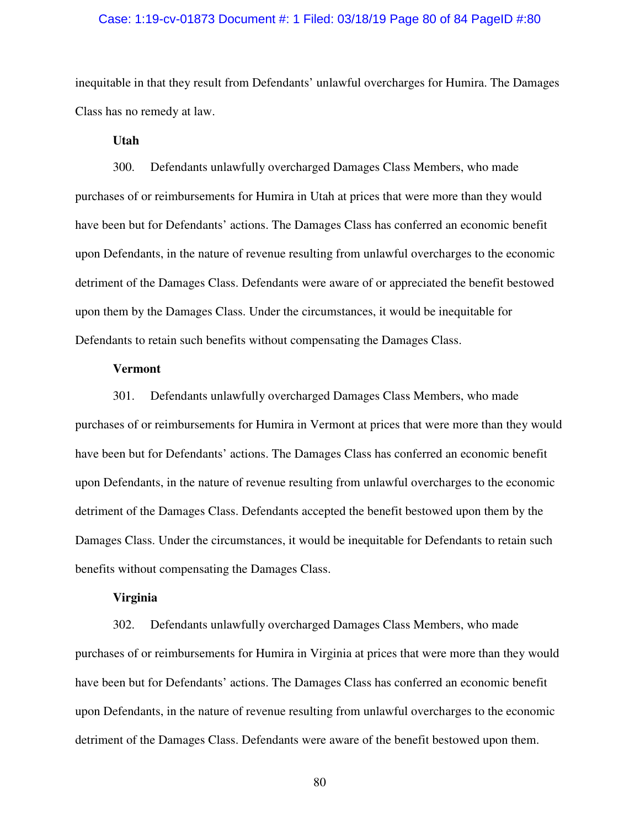## Case: 1:19-cv-01873 Document #: 1 Filed: 03/18/19 Page 80 of 84 PageID #:80

inequitable in that they result from Defendants' unlawful overcharges for Humira. The Damages Class has no remedy at law.

# **Utah**

300. Defendants unlawfully overcharged Damages Class Members, who made purchases of or reimbursements for Humira in Utah at prices that were more than they would have been but for Defendants' actions. The Damages Class has conferred an economic benefit upon Defendants, in the nature of revenue resulting from unlawful overcharges to the economic detriment of the Damages Class. Defendants were aware of or appreciated the benefit bestowed upon them by the Damages Class. Under the circumstances, it would be inequitable for Defendants to retain such benefits without compensating the Damages Class.

#### **Vermont**

301. Defendants unlawfully overcharged Damages Class Members, who made purchases of or reimbursements for Humira in Vermont at prices that were more than they would have been but for Defendants' actions. The Damages Class has conferred an economic benefit upon Defendants, in the nature of revenue resulting from unlawful overcharges to the economic detriment of the Damages Class. Defendants accepted the benefit bestowed upon them by the Damages Class. Under the circumstances, it would be inequitable for Defendants to retain such benefits without compensating the Damages Class.

#### **Virginia**

302. Defendants unlawfully overcharged Damages Class Members, who made purchases of or reimbursements for Humira in Virginia at prices that were more than they would have been but for Defendants' actions. The Damages Class has conferred an economic benefit upon Defendants, in the nature of revenue resulting from unlawful overcharges to the economic detriment of the Damages Class. Defendants were aware of the benefit bestowed upon them.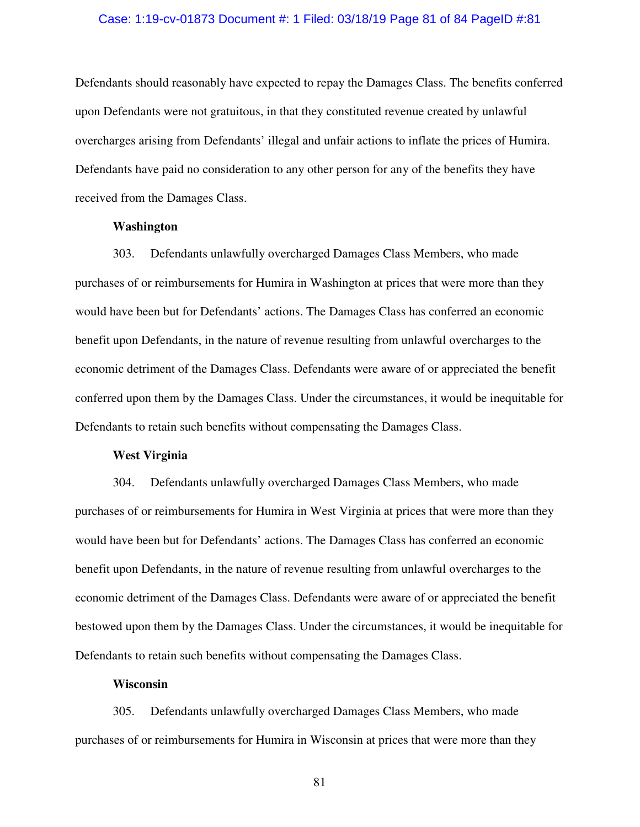#### Case: 1:19-cv-01873 Document #: 1 Filed: 03/18/19 Page 81 of 84 PageID #:81

Defendants should reasonably have expected to repay the Damages Class. The benefits conferred upon Defendants were not gratuitous, in that they constituted revenue created by unlawful overcharges arising from Defendants' illegal and unfair actions to inflate the prices of Humira. Defendants have paid no consideration to any other person for any of the benefits they have received from the Damages Class.

#### **Washington**

303. Defendants unlawfully overcharged Damages Class Members, who made purchases of or reimbursements for Humira in Washington at prices that were more than they would have been but for Defendants' actions. The Damages Class has conferred an economic benefit upon Defendants, in the nature of revenue resulting from unlawful overcharges to the economic detriment of the Damages Class. Defendants were aware of or appreciated the benefit conferred upon them by the Damages Class. Under the circumstances, it would be inequitable for Defendants to retain such benefits without compensating the Damages Class.

#### **West Virginia**

304. Defendants unlawfully overcharged Damages Class Members, who made purchases of or reimbursements for Humira in West Virginia at prices that were more than they would have been but for Defendants' actions. The Damages Class has conferred an economic benefit upon Defendants, in the nature of revenue resulting from unlawful overcharges to the economic detriment of the Damages Class. Defendants were aware of or appreciated the benefit bestowed upon them by the Damages Class. Under the circumstances, it would be inequitable for Defendants to retain such benefits without compensating the Damages Class.

# **Wisconsin**

305. Defendants unlawfully overcharged Damages Class Members, who made purchases of or reimbursements for Humira in Wisconsin at prices that were more than they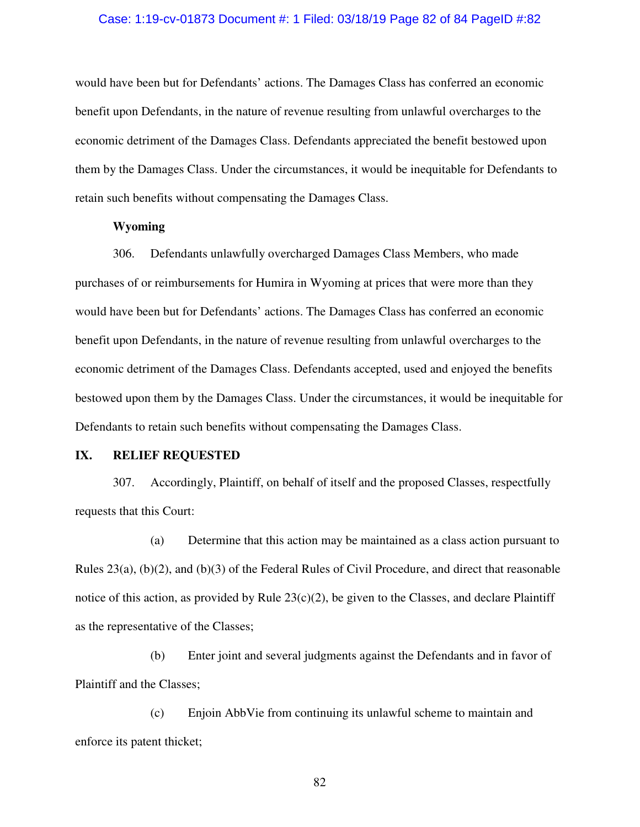## Case: 1:19-cv-01873 Document #: 1 Filed: 03/18/19 Page 82 of 84 PageID #:82

would have been but for Defendants' actions. The Damages Class has conferred an economic benefit upon Defendants, in the nature of revenue resulting from unlawful overcharges to the economic detriment of the Damages Class. Defendants appreciated the benefit bestowed upon them by the Damages Class. Under the circumstances, it would be inequitable for Defendants to retain such benefits without compensating the Damages Class.

## **Wyoming**

306. Defendants unlawfully overcharged Damages Class Members, who made purchases of or reimbursements for Humira in Wyoming at prices that were more than they would have been but for Defendants' actions. The Damages Class has conferred an economic benefit upon Defendants, in the nature of revenue resulting from unlawful overcharges to the economic detriment of the Damages Class. Defendants accepted, used and enjoyed the benefits bestowed upon them by the Damages Class. Under the circumstances, it would be inequitable for Defendants to retain such benefits without compensating the Damages Class.

#### **IX. RELIEF REQUESTED**

307. Accordingly, Plaintiff, on behalf of itself and the proposed Classes, respectfully requests that this Court:

(a) Determine that this action may be maintained as a class action pursuant to Rules 23(a), (b)(2), and (b)(3) of the Federal Rules of Civil Procedure, and direct that reasonable notice of this action, as provided by Rule  $23(c)(2)$ , be given to the Classes, and declare Plaintiff as the representative of the Classes;

(b) Enter joint and several judgments against the Defendants and in favor of Plaintiff and the Classes;

(c) Enjoin AbbVie from continuing its unlawful scheme to maintain and enforce its patent thicket;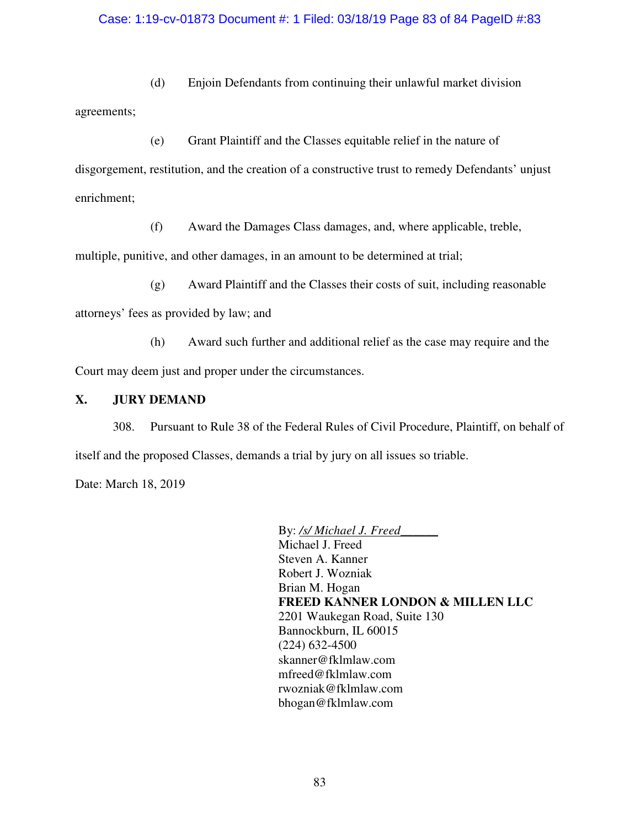# Case: 1:19-cv-01873 Document #: 1 Filed: 03/18/19 Page 83 of 84 PageID #:83

(d) Enjoin Defendants from continuing their unlawful market division

agreements;

(e) Grant Plaintiff and the Classes equitable relief in the nature of

disgorgement, restitution, and the creation of a constructive trust to remedy Defendants' unjust enrichment;

(f) Award the Damages Class damages, and, where applicable, treble,

multiple, punitive, and other damages, in an amount to be determined at trial;

(g) Award Plaintiff and the Classes their costs of suit, including reasonable

attorneys' fees as provided by law; and

(h) Award such further and additional relief as the case may require and the Court may deem just and proper under the circumstances.

# **X. JURY DEMAND**

308. Pursuant to Rule 38 of the Federal Rules of Civil Procedure, Plaintiff, on behalf of itself and the proposed Classes, demands a trial by jury on all issues so triable.

Date: March 18, 2019

By: */s/ Michael J. Freed\_\_\_\_\_\_* Michael J. Freed Steven A. Kanner Robert J. Wozniak Brian M. Hogan **FREED KANNER LONDON & MILLEN LLC**  2201 Waukegan Road, Suite 130 Bannockburn, IL 60015 (224) 632-4500 skanner@fklmlaw.com mfreed@fklmlaw.com rwozniak@fklmlaw.com bhogan@fklmlaw.com